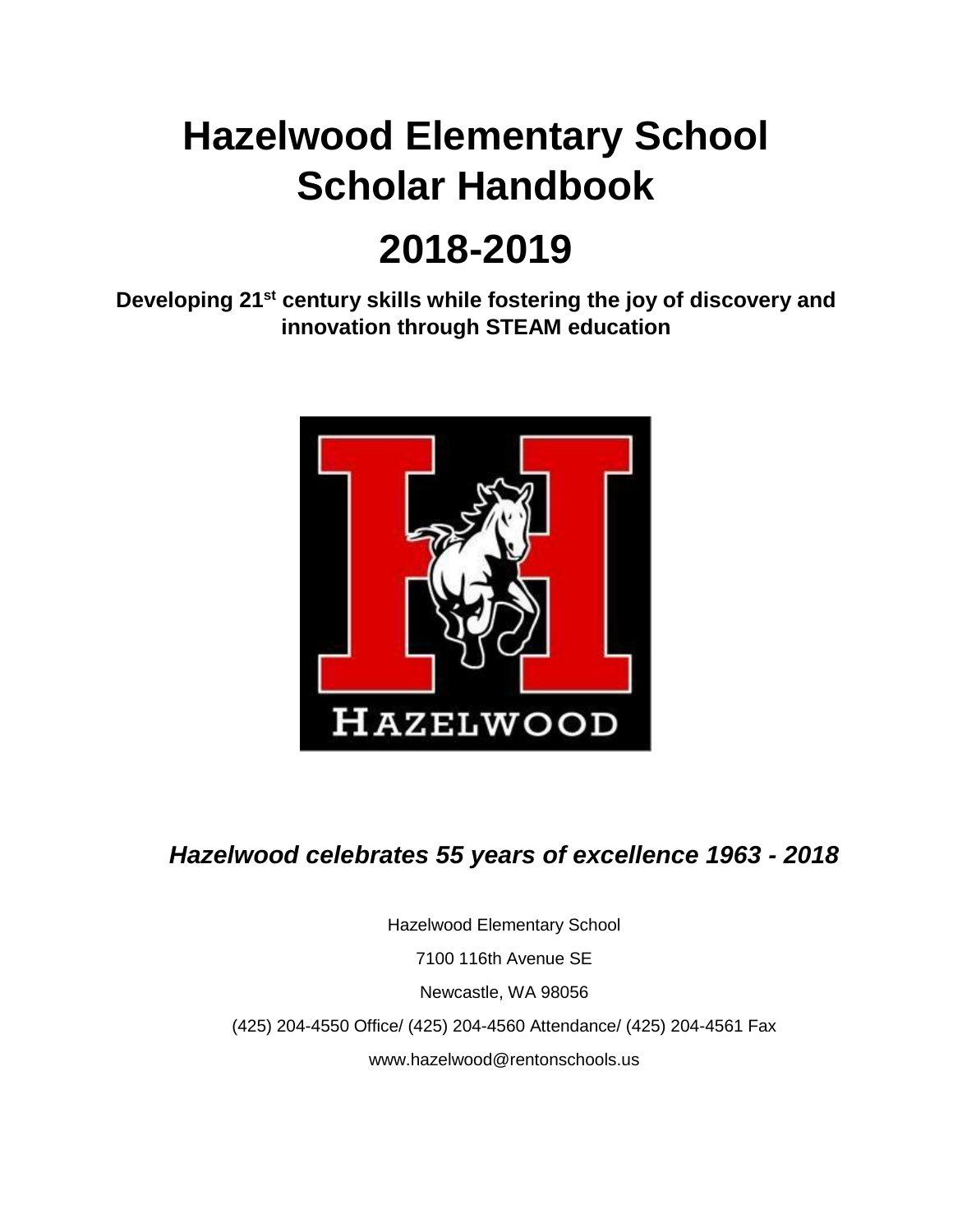# **Hazelwood Elementary School Scholar Handbook**

# **2018-2019**

**Developing 21st century skills while fostering the joy of discovery and innovation through STEAM education**



# *Hazelwood celebrates 55 years of excellence 1963 - 2018*

Hazelwood Elementary School 7100 116th Avenue SE Newcastle, WA 98056 (425) 204-4550 Office/ (425) 204-4560 Attendance/ (425) 204-4561 Fax www.hazelwood@rentonschools.us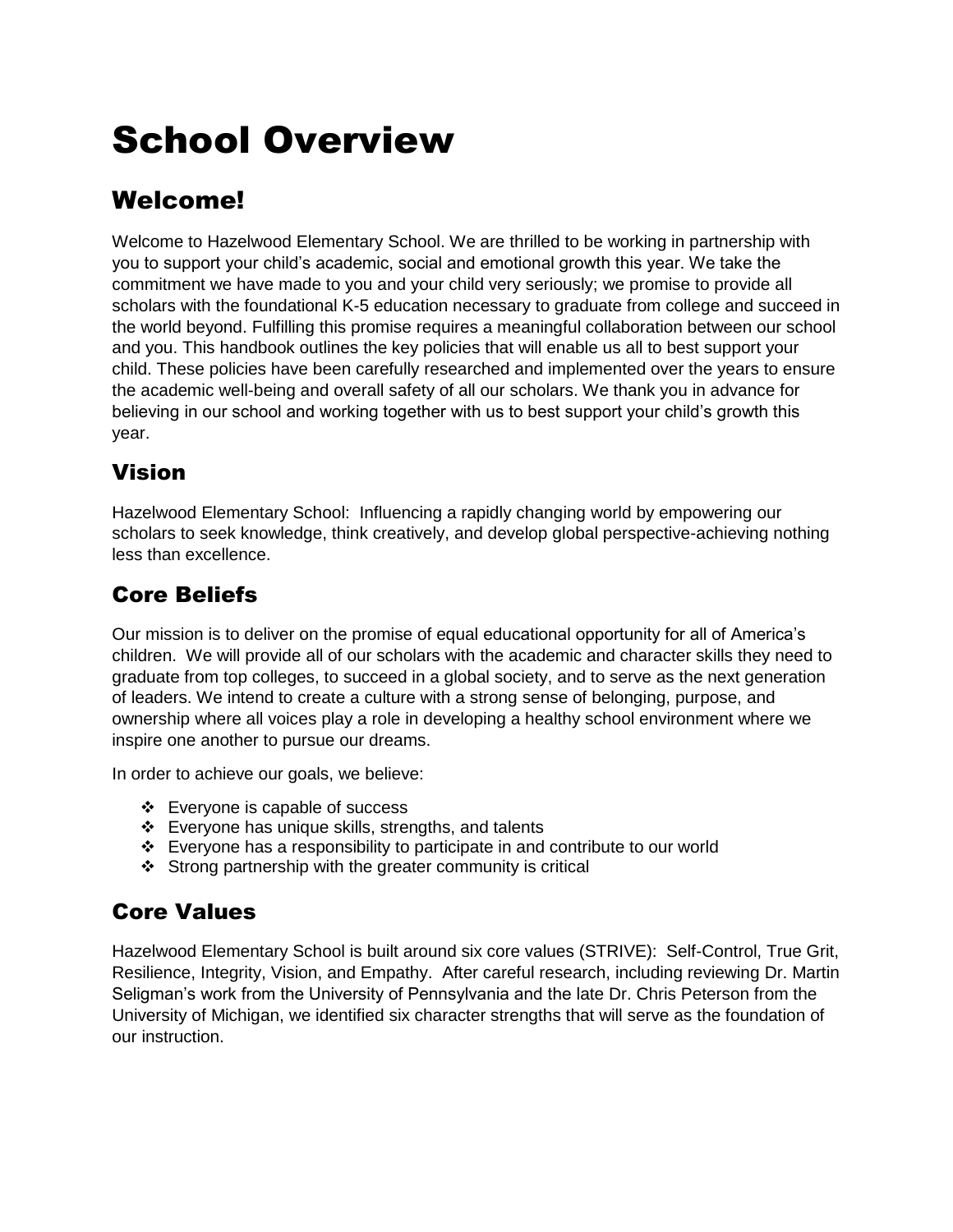# School Overview

# Welcome!

Welcome to Hazelwood Elementary School. We are thrilled to be working in partnership with you to support your child's academic, social and emotional growth this year. We take the commitment we have made to you and your child very seriously; we promise to provide all scholars with the foundational K-5 education necessary to graduate from college and succeed in the world beyond. Fulfilling this promise requires a meaningful collaboration between our school and you. This handbook outlines the key policies that will enable us all to best support your child. These policies have been carefully researched and implemented over the years to ensure the academic well-being and overall safety of all our scholars. We thank you in advance for believing in our school and working together with us to best support your child's growth this year.

# Vision

Hazelwood Elementary School: Influencing a rapidly changing world by empowering our scholars to seek knowledge, think creatively, and develop global perspective-achieving nothing less than excellence.

# Core Beliefs

Our mission is to deliver on the promise of equal educational opportunity for all of America's children. We will provide all of our scholars with the academic and character skills they need to graduate from top colleges, to succeed in a global society, and to serve as the next generation of leaders. We intend to create a culture with a strong sense of belonging, purpose, and ownership where all voices play a role in developing a healthy school environment where we inspire one another to pursue our dreams.

In order to achieve our goals, we believe:

- ❖ Everyone is capable of success
- ❖ Everyone has unique skills, strengths, and talents
- ❖ Everyone has a responsibility to participate in and contribute to our world
- $\div$  Strong partnership with the greater community is critical

# Core Values

Hazelwood Elementary School is built around six core values (STRIVE): Self-Control, True Grit, Resilience, Integrity, Vision, and Empathy. After careful research, including reviewing Dr. Martin Seligman's work from the University of Pennsylvania and the late Dr. Chris Peterson from the University of Michigan, we identified six character strengths that will serve as the foundation of our instruction.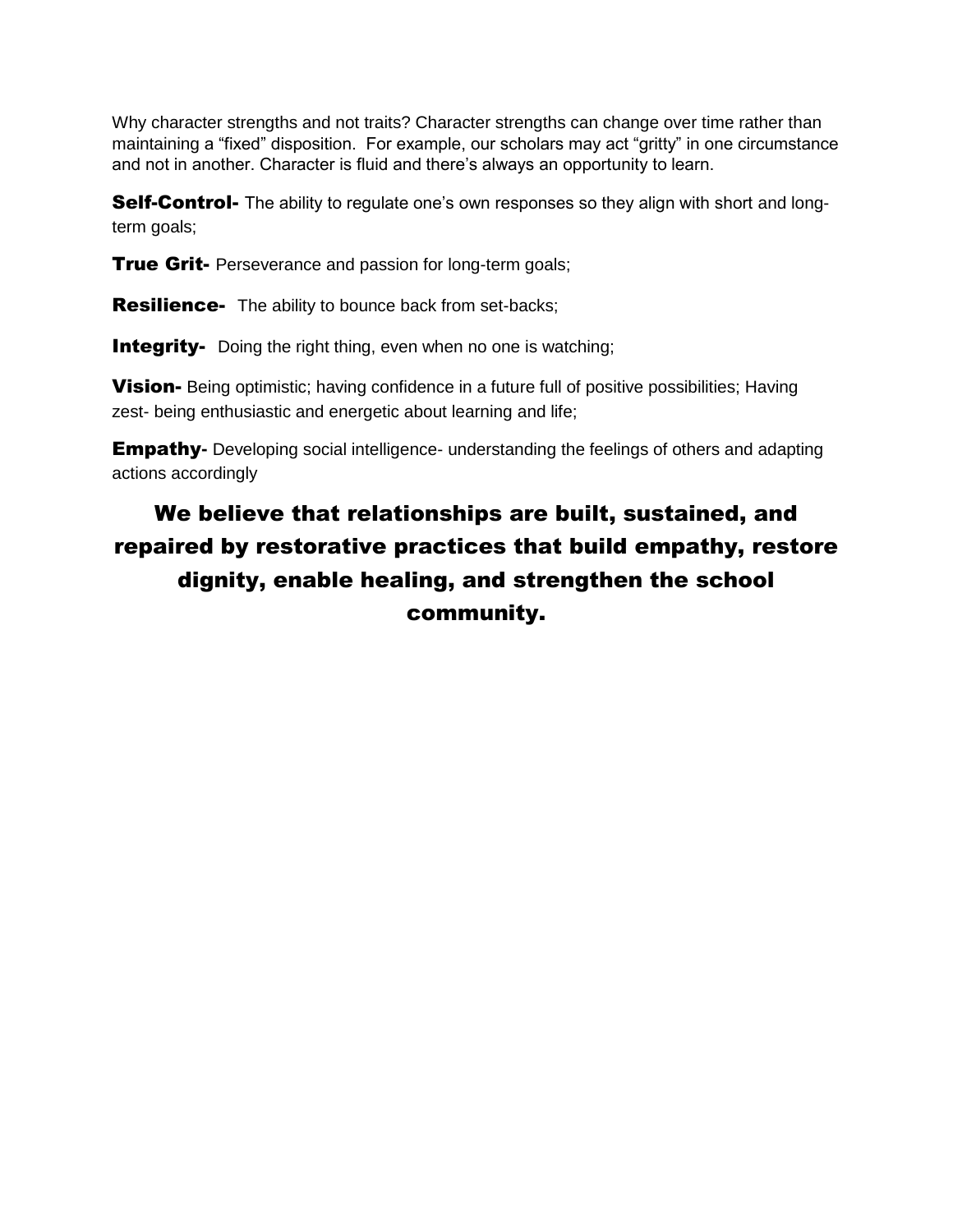Why character strengths and not traits? Character strengths can change over time rather than maintaining a "fixed" disposition. For example, our scholars may act "gritty" in one circumstance and not in another. Character is fluid and there's always an opportunity to learn.

**Self-Control-** The ability to regulate one's own responses so they align with short and longterm goals;

**True Grit-** Perseverance and passion for long-term goals;

**Resilience-** The ability to bounce back from set-backs;

**Integrity-** Doing the right thing, even when no one is watching;

**Vision-** Being optimistic; having confidence in a future full of positive possibilities; Having zest- being enthusiastic and energetic about learning and life;

**Empathy-** Developing social intelligence- understanding the feelings of others and adapting actions accordingly

# We believe that relationships are built, sustained, and repaired by restorative practices that build empathy, restore dignity, enable healing, and strengthen the school community.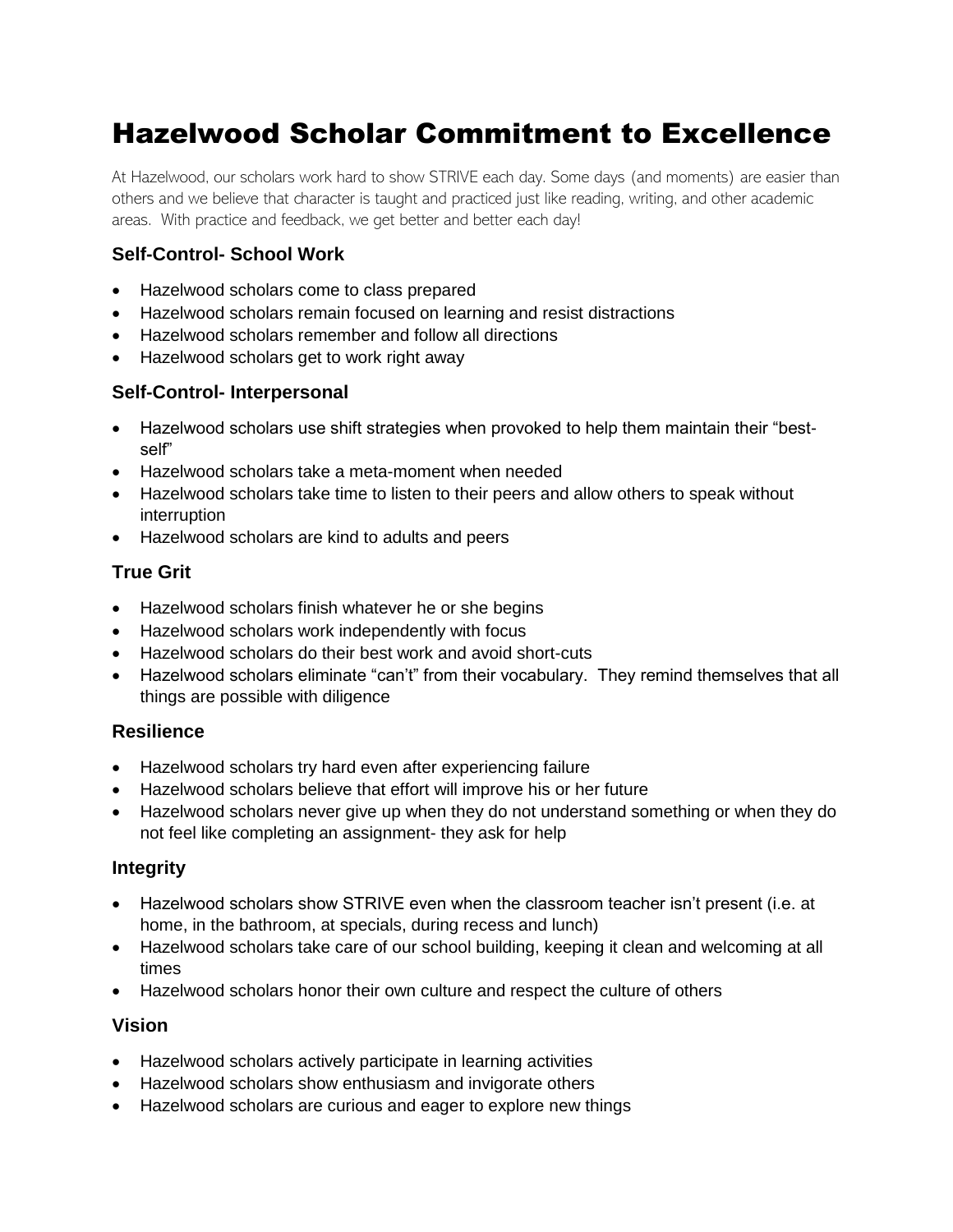# Hazelwood Scholar Commitment to Excellence

At Hazelwood, our scholars work hard to show STRIVE each day. Some days (and moments) are easier than others and we believe that character is taught and practiced just like reading, writing, and other academic areas. With practice and feedback, we get better and better each day!

#### **Self-Control- School Work**

- Hazelwood scholars come to class prepared
- Hazelwood scholars remain focused on learning and resist distractions
- Hazelwood scholars remember and follow all directions
- Hazelwood scholars get to work right away

#### **Self-Control- Interpersonal**

- Hazelwood scholars use shift strategies when provoked to help them maintain their "bestself"
- Hazelwood scholars take a meta-moment when needed
- Hazelwood scholars take time to listen to their peers and allow others to speak without interruption
- Hazelwood scholars are kind to adults and peers

#### **True Grit**

- Hazelwood scholars finish whatever he or she begins
- Hazelwood scholars work independently with focus
- Hazelwood scholars do their best work and avoid short-cuts
- Hazelwood scholars eliminate "can't" from their vocabulary. They remind themselves that all things are possible with diligence

#### **Resilience**

- Hazelwood scholars try hard even after experiencing failure
- Hazelwood scholars believe that effort will improve his or her future
- Hazelwood scholars never give up when they do not understand something or when they do not feel like completing an assignment- they ask for help

#### **Integrity**

- Hazelwood scholars show STRIVE even when the classroom teacher isn't present (i.e. at home, in the bathroom, at specials, during recess and lunch)
- Hazelwood scholars take care of our school building, keeping it clean and welcoming at all times
- Hazelwood scholars honor their own culture and respect the culture of others

#### **Vision**

- Hazelwood scholars actively participate in learning activities
- Hazelwood scholars show enthusiasm and invigorate others
- Hazelwood scholars are curious and eager to explore new things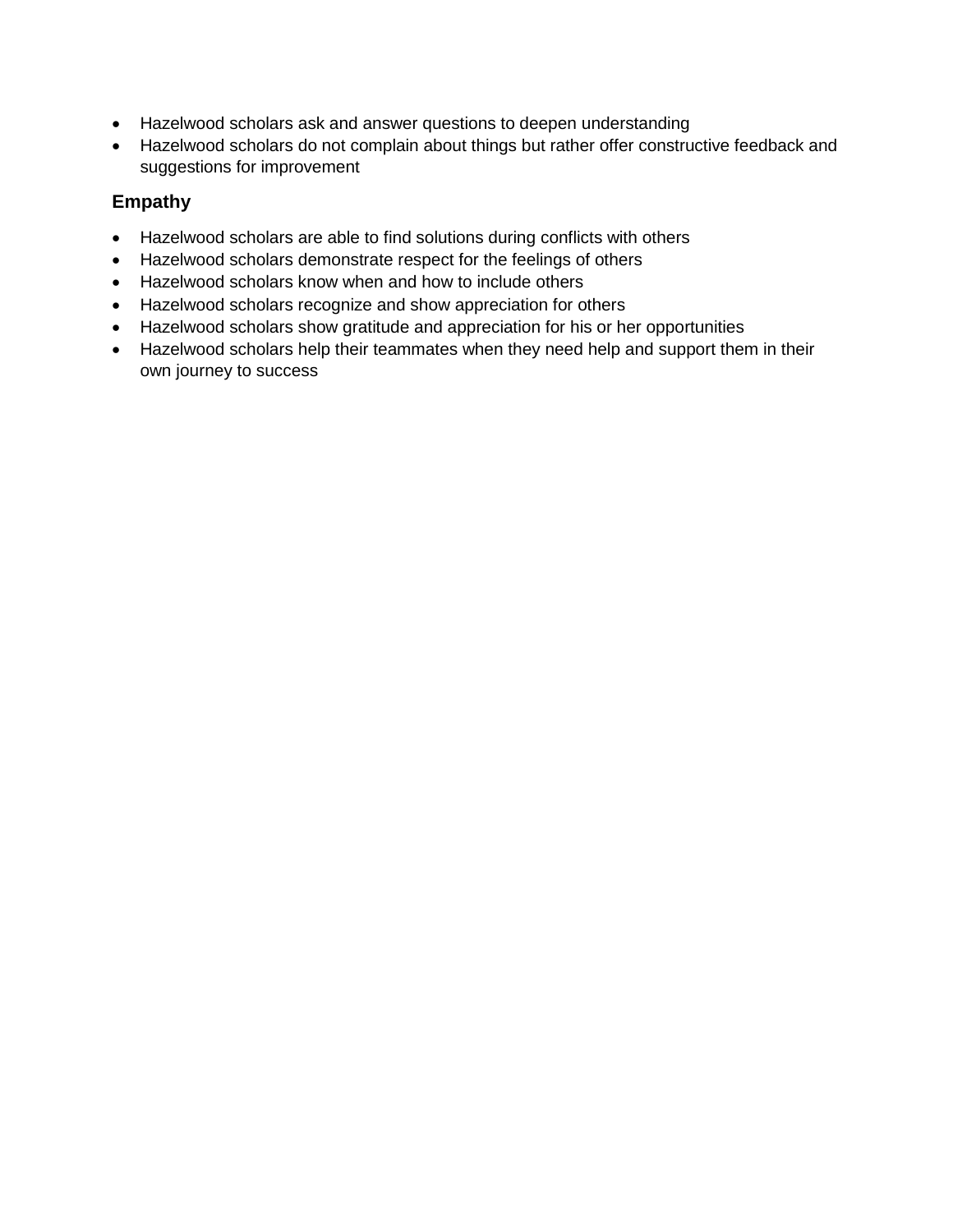- Hazelwood scholars ask and answer questions to deepen understanding
- Hazelwood scholars do not complain about things but rather offer constructive feedback and suggestions for improvement

#### **Empathy**

- Hazelwood scholars are able to find solutions during conflicts with others
- Hazelwood scholars demonstrate respect for the feelings of others
- Hazelwood scholars know when and how to include others
- Hazelwood scholars recognize and show appreciation for others
- Hazelwood scholars show gratitude and appreciation for his or her opportunities
- Hazelwood scholars help their teammates when they need help and support them in their own journey to success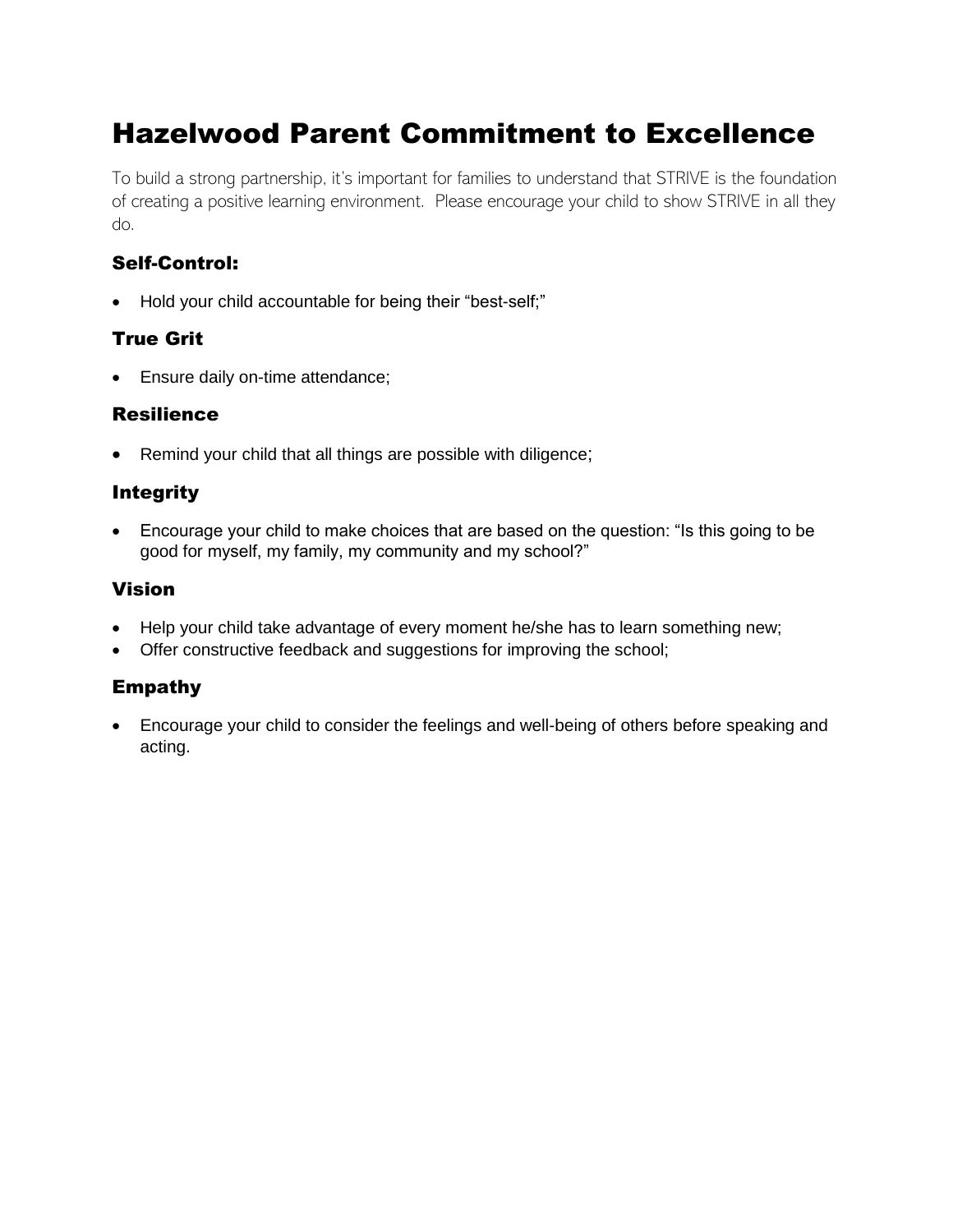# Hazelwood Parent Commitment to Excellence

To build a strong partnership, it's important for families to understand that STRIVE is the foundation of creating a positive learning environment. Please encourage your child to show STRIVE in all they do.

#### Self-Control:

• Hold your child accountable for being their "best-self;"

#### True Grit

• Ensure daily on-time attendance;

#### Resilience

• Remind your child that all things are possible with diligence;

#### Integrity

• Encourage your child to make choices that are based on the question: "Is this going to be good for myself, my family, my community and my school?"

#### Vision

- Help your child take advantage of every moment he/she has to learn something new;
- Offer constructive feedback and suggestions for improving the school;

#### Empathy

• Encourage your child to consider the feelings and well-being of others before speaking and acting.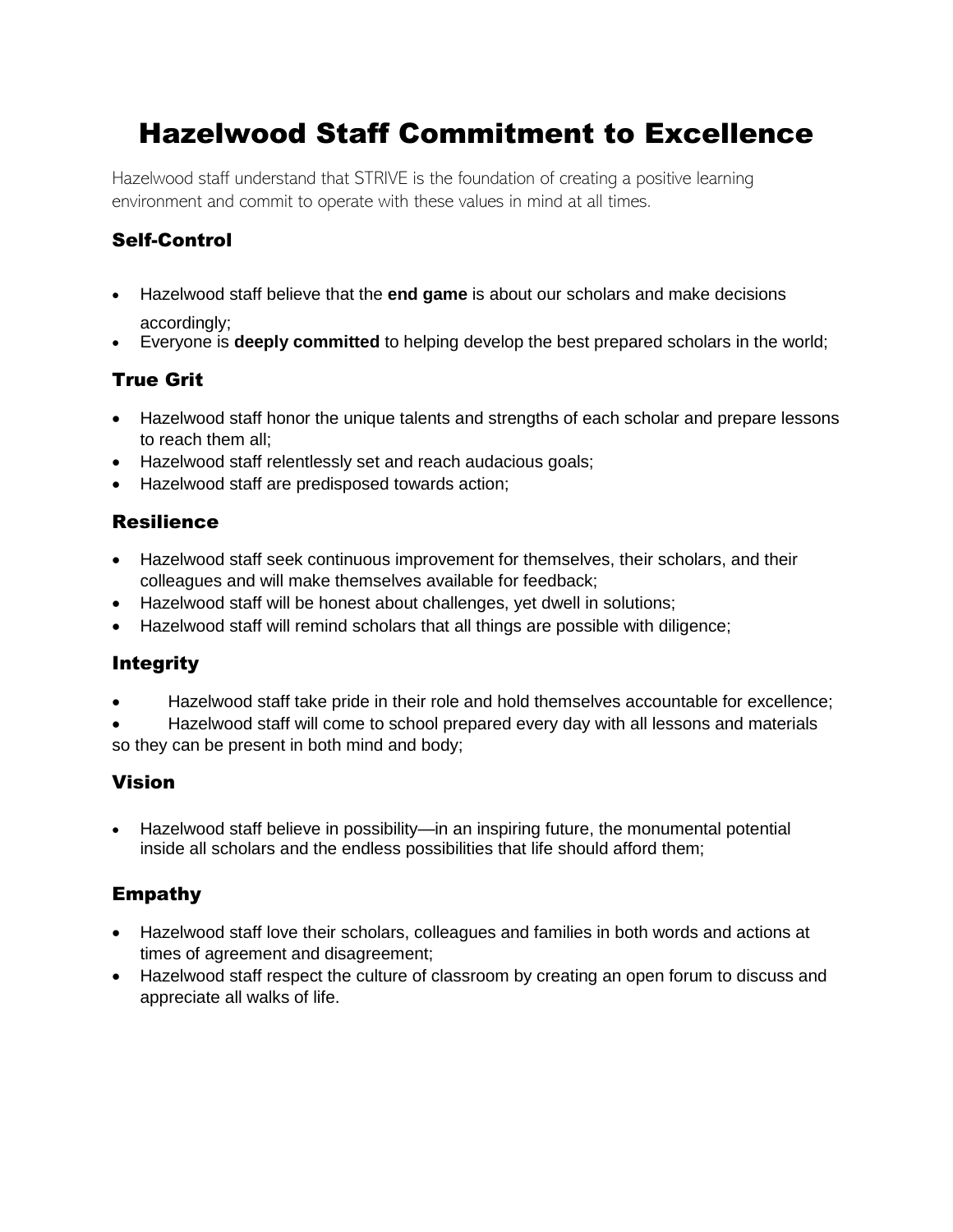# Hazelwood Staff Commitment to Excellence

Hazelwood staff understand that STRIVE is the foundation of creating a positive learning environment and commit to operate with these values in mind at all times.

#### Self-Control

- Hazelwood staff believe that the **end game** is about our scholars and make decisions accordingly;
- Everyone is **deeply committed** to helping develop the best prepared scholars in the world;

#### True Grit

- Hazelwood staff honor the unique talents and strengths of each scholar and prepare lessons to reach them all;
- Hazelwood staff relentlessly set and reach audacious goals;
- Hazelwood staff are predisposed towards action;

#### Resilience

- Hazelwood staff seek continuous improvement for themselves, their scholars, and their colleagues and will make themselves available for feedback;
- Hazelwood staff will be honest about challenges, yet dwell in solutions;
- Hazelwood staff will remind scholars that all things are possible with diligence;

#### Integrity

• Hazelwood staff take pride in their role and hold themselves accountable for excellence;

• Hazelwood staff will come to school prepared every day with all lessons and materials so they can be present in both mind and body;

#### Vision

• Hazelwood staff believe in possibility—in an inspiring future, the monumental potential inside all scholars and the endless possibilities that life should afford them;

#### Empathy

- Hazelwood staff love their scholars, colleagues and families in both words and actions at times of agreement and disagreement;
- Hazelwood staff respect the culture of classroom by creating an open forum to discuss and appreciate all walks of life.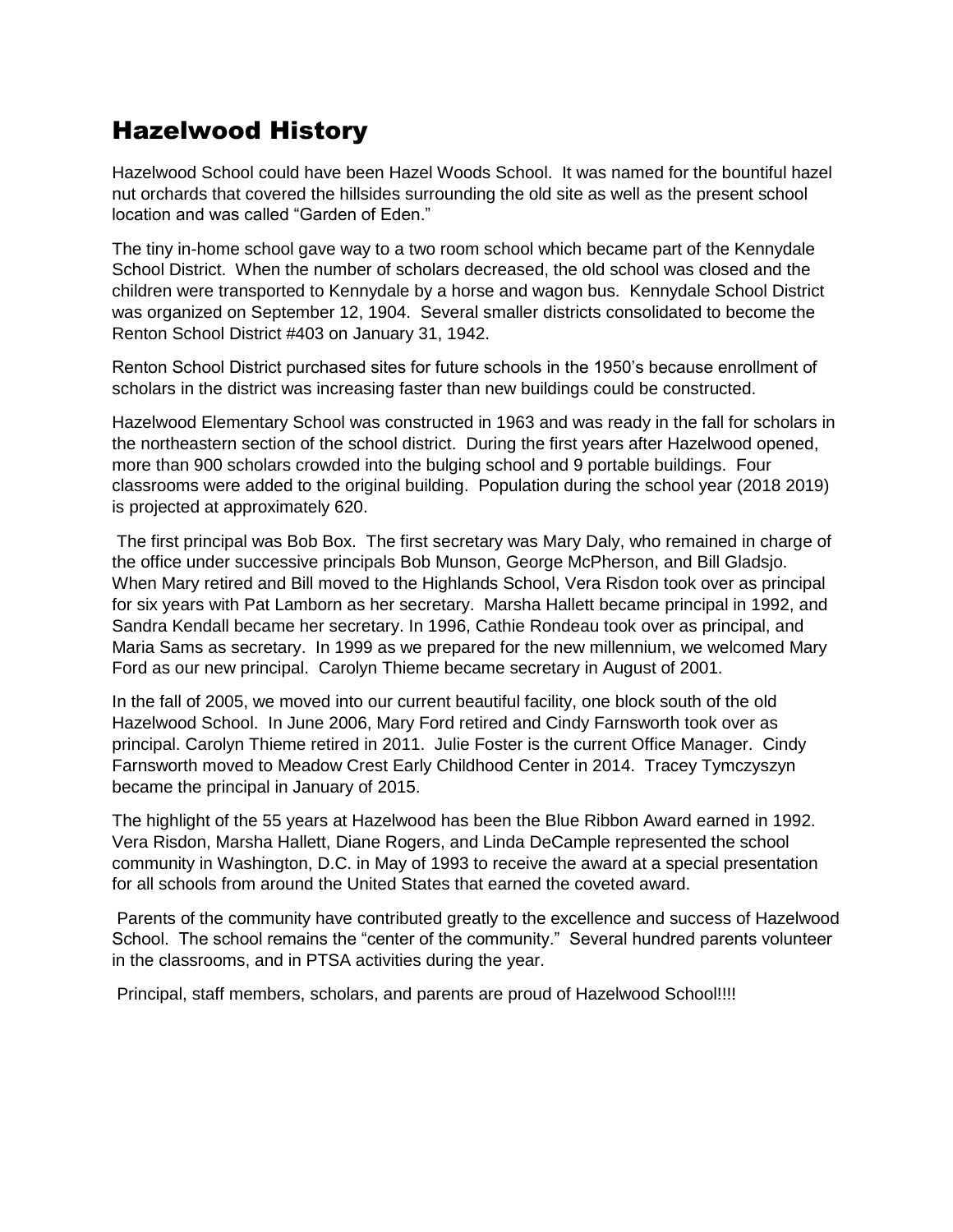# Hazelwood History

Hazelwood School could have been Hazel Woods School. It was named for the bountiful hazel nut orchards that covered the hillsides surrounding the old site as well as the present school location and was called "Garden of Eden."

The tiny in-home school gave way to a two room school which became part of the Kennydale School District. When the number of scholars decreased, the old school was closed and the children were transported to Kennydale by a horse and wagon bus. Kennydale School District was organized on September 12, 1904. Several smaller districts consolidated to become the Renton School District #403 on January 31, 1942.

Renton School District purchased sites for future schools in the 1950's because enrollment of scholars in the district was increasing faster than new buildings could be constructed.

Hazelwood Elementary School was constructed in 1963 and was ready in the fall for scholars in the northeastern section of the school district. During the first years after Hazelwood opened, more than 900 scholars crowded into the bulging school and 9 portable buildings. Four classrooms were added to the original building. Population during the school year (2018 2019) is projected at approximately 620.

The first principal was Bob Box. The first secretary was Mary Daly, who remained in charge of the office under successive principals Bob Munson, George McPherson, and Bill Gladsjo. When Mary retired and Bill moved to the Highlands School, Vera Risdon took over as principal for six years with Pat Lamborn as her secretary. Marsha Hallett became principal in 1992, and Sandra Kendall became her secretary. In 1996, Cathie Rondeau took over as principal, and Maria Sams as secretary. In 1999 as we prepared for the new millennium, we welcomed Mary Ford as our new principal. Carolyn Thieme became secretary in August of 2001.

In the fall of 2005, we moved into our current beautiful facility, one block south of the old Hazelwood School. In June 2006, Mary Ford retired and Cindy Farnsworth took over as principal. Carolyn Thieme retired in 2011. Julie Foster is the current Office Manager. Cindy Farnsworth moved to Meadow Crest Early Childhood Center in 2014. Tracey Tymczyszyn became the principal in January of 2015.

The highlight of the 55 years at Hazelwood has been the Blue Ribbon Award earned in 1992. Vera Risdon, Marsha Hallett, Diane Rogers, and Linda DeCample represented the school community in Washington, D.C. in May of 1993 to receive the award at a special presentation for all schools from around the United States that earned the coveted award.

Parents of the community have contributed greatly to the excellence and success of Hazelwood School. The school remains the "center of the community." Several hundred parents volunteer in the classrooms, and in PTSA activities during the year.

Principal, staff members, scholars, and parents are proud of Hazelwood School!!!!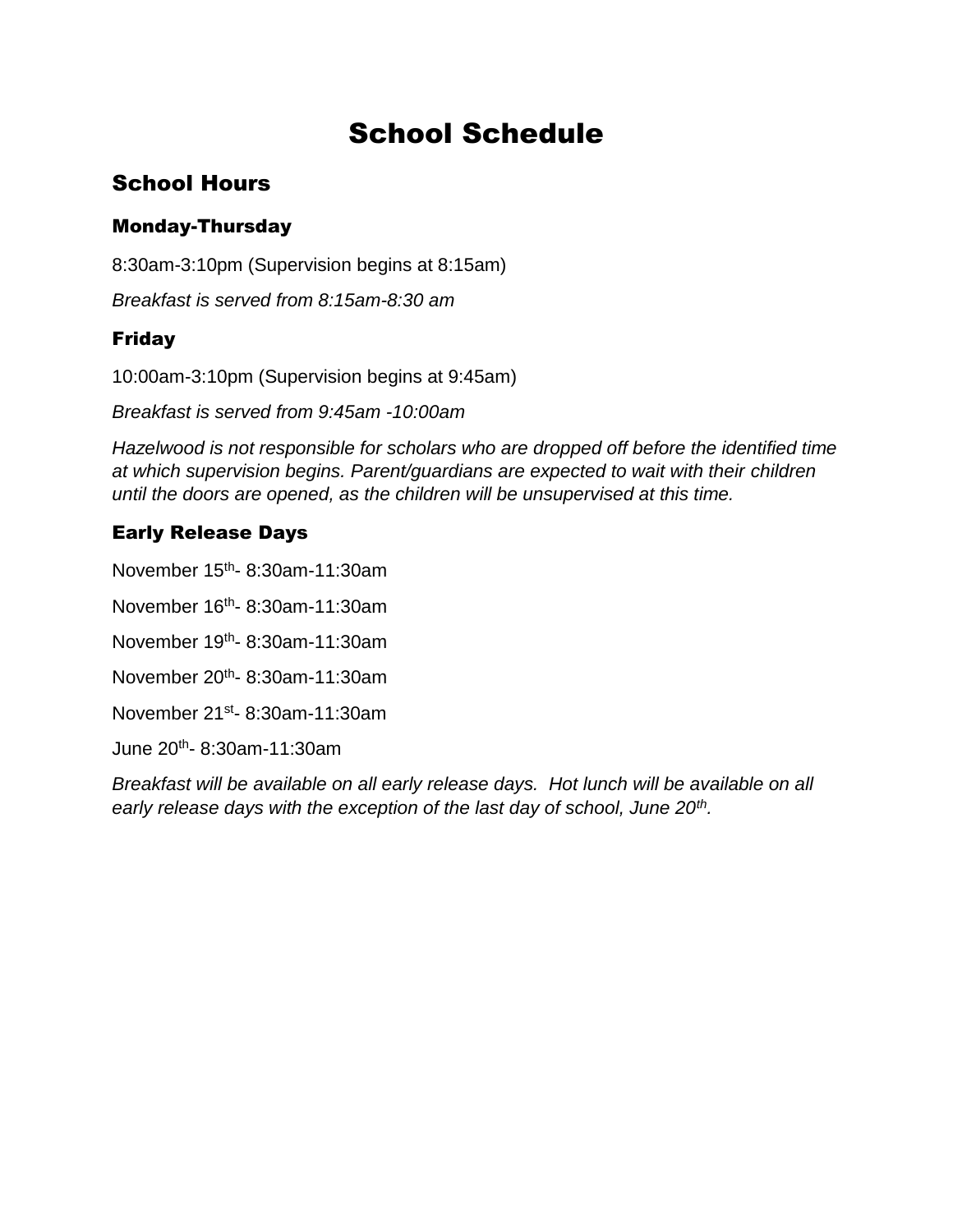# School Schedule

# School Hours

#### Monday-Thursday

8:30am-3:10pm (Supervision begins at 8:15am)

*Breakfast is served from 8:15am-8:30 am* 

#### Friday

10:00am-3:10pm (Supervision begins at 9:45am)

*Breakfast is served from 9:45am -10:00am* 

*Hazelwood is not responsible for scholars who are dropped off before the identified time at which supervision begins. Parent/guardians are expected to wait with their children until the doors are opened, as the children will be unsupervised at this time.* 

### Early Release Days

November 15<sup>th</sup>- 8:30am-11:30am

November 16<sup>th</sup>- 8:30am-11:30am

November 19<sup>th</sup>- 8:30am-11:30am

November 20<sup>th</sup>- 8:30am-11:30am

November 21<sup>st</sup>- 8:30am-11:30am

June 20th - 8:30am-11:30am

*Breakfast will be available on all early release days. Hot lunch will be available on all early release days with the exception of the last day of school, June 20th .*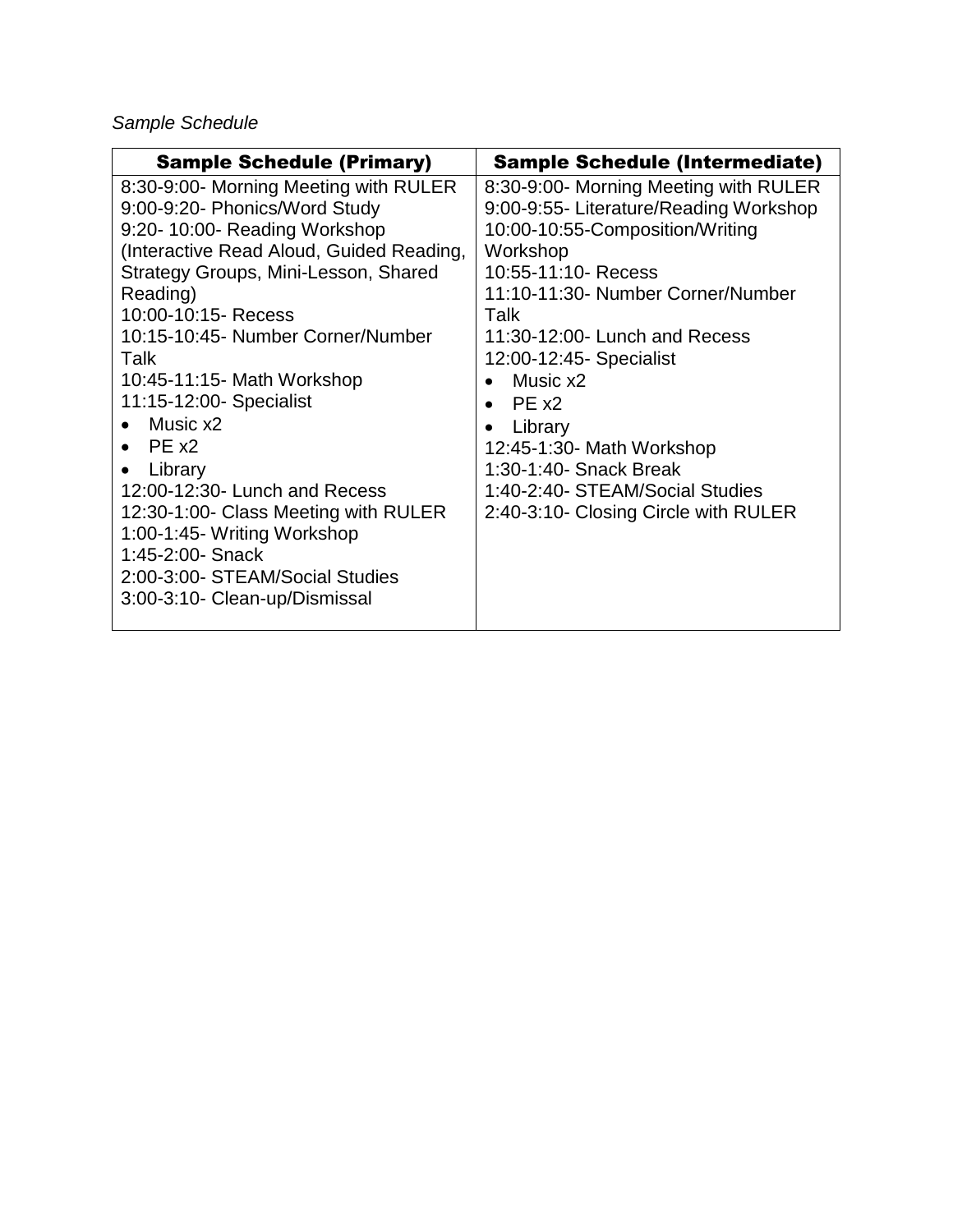*Sample Schedule* 

| <b>Sample Schedule (Primary)</b>                                                                                                                                                                                                                                                                                                                                                                                                                                                                                                                                                              | <b>Sample Schedule (Intermediate)</b>                                                                                                                                                                                                                                                                                                                                                                                        |
|-----------------------------------------------------------------------------------------------------------------------------------------------------------------------------------------------------------------------------------------------------------------------------------------------------------------------------------------------------------------------------------------------------------------------------------------------------------------------------------------------------------------------------------------------------------------------------------------------|------------------------------------------------------------------------------------------------------------------------------------------------------------------------------------------------------------------------------------------------------------------------------------------------------------------------------------------------------------------------------------------------------------------------------|
| 8:30-9:00- Morning Meeting with RULER<br>9:00-9:20- Phonics/Word Study<br>9:20-10:00- Reading Workshop<br>(Interactive Read Aloud, Guided Reading,<br>Strategy Groups, Mini-Lesson, Shared<br>Reading)<br>10:00-10:15- Recess<br>Talk<br>10:15-10:45- Number Corner/Number<br>Talk<br>10:45-11:15- Math Workshop<br>11:15-12:00- Specialist<br>Music x2<br>$\bullet$ PE $\times 2$<br>Library<br>12:00-12:30- Lunch and Recess<br>12:30-1:00- Class Meeting with RULER<br>1:00-1:45- Writing Workshop<br>1:45-2:00- Snack<br>2:00-3:00- STEAM/Social Studies<br>3:00-3:10- Clean-up/Dismissal | 8:30-9:00- Morning Meeting with RULER<br>9:00-9:55- Literature/Reading Workshop<br>10:00-10:55-Composition/Writing<br>Workshop<br>10:55-11:10- Recess<br>11:10-11:30- Number Corner/Number<br>11:30-12:00- Lunch and Recess<br>12:00-12:45- Specialist<br>Music x2<br>$PF_{X2}$<br>Library<br>12:45-1:30- Math Workshop<br>1:30-1:40- Snack Break<br>1:40-2:40- STEAM/Social Studies<br>2:40-3:10- Closing Circle with RULER |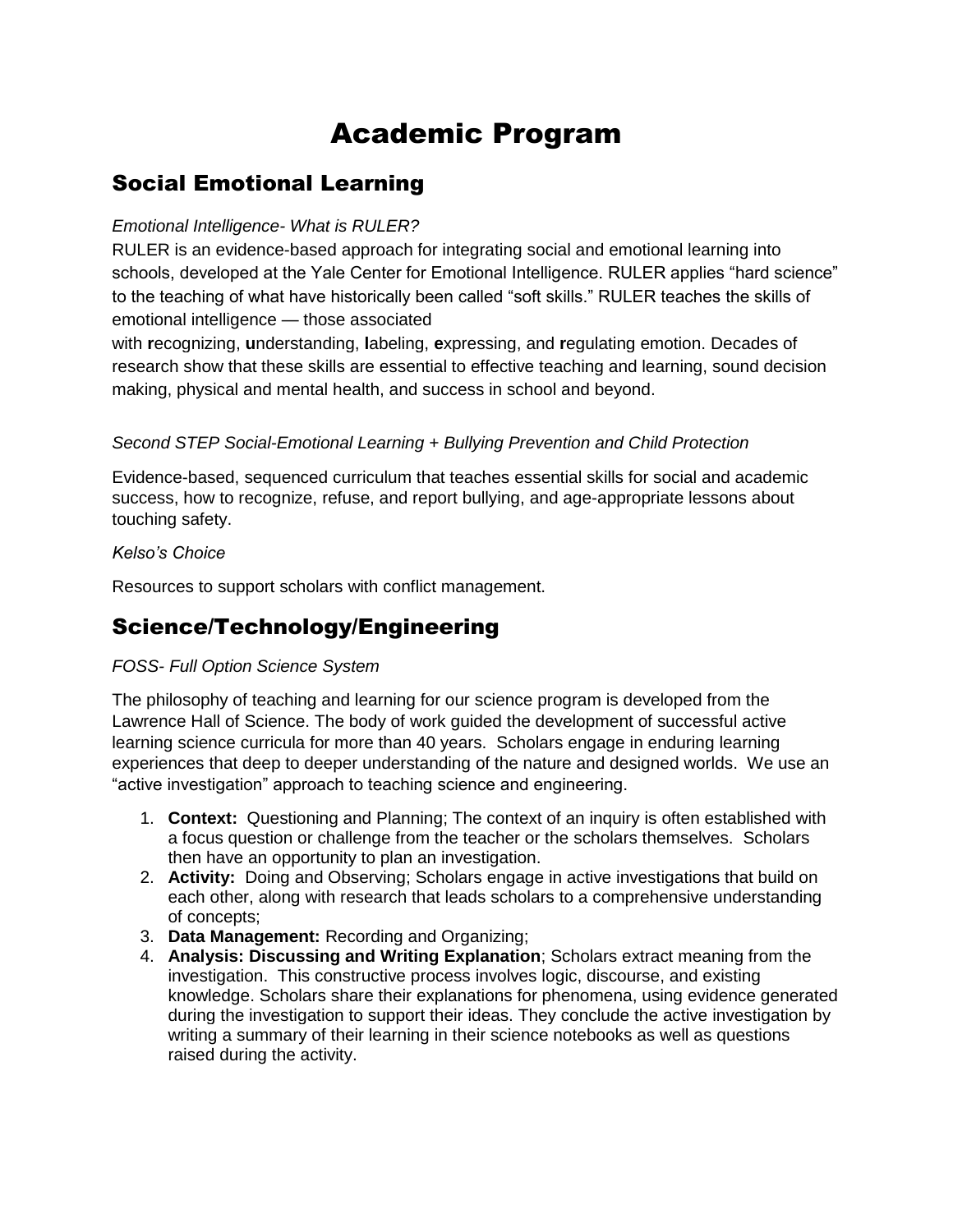# Academic Program

### Social Emotional Learning

#### *Emotional Intelligence- What is RULER?*

RULER is an evidence-based approach for integrating social and emotional learning into schools, developed at the Yale Center for Emotional Intelligence. RULER applies "hard science" to the teaching of what have historically been called "soft skills." RULER teaches the skills of emotional intelligence — those associated

with **r**ecognizing, **u**nderstanding, **l**abeling, **e**xpressing, and **r**egulating emotion. Decades of research show that these skills are essential to effective teaching and learning, sound decision making, physical and mental health, and success in school and beyond.

#### *Second STEP Social-Emotional Learning + Bullying Prevention and Child Protection*

Evidence-based, sequenced curriculum that teaches essential skills for social and academic success, how to recognize, refuse, and report bullying, and age-appropriate lessons about touching safety.

#### *Kelso's Choice*

Resources to support scholars with conflict management.

# Science/Technology/Engineering

#### *FOSS- Full Option Science System*

The philosophy of teaching and learning for our science program is developed from the Lawrence Hall of Science. The body of work guided the development of successful active learning science curricula for more than 40 years. Scholars engage in enduring learning experiences that deep to deeper understanding of the nature and designed worlds. We use an "active investigation" approach to teaching science and engineering.

- 1. **Context:** Questioning and Planning; The context of an inquiry is often established with a focus question or challenge from the teacher or the scholars themselves. Scholars then have an opportunity to plan an investigation.
- 2. **Activity:** Doing and Observing; Scholars engage in active investigations that build on each other, along with research that leads scholars to a comprehensive understanding of concepts;
- 3. **Data Management:** Recording and Organizing;
- 4. **Analysis: Discussing and Writing Explanation**; Scholars extract meaning from the investigation. This constructive process involves logic, discourse, and existing knowledge. Scholars share their explanations for phenomena, using evidence generated during the investigation to support their ideas. They conclude the active investigation by writing a summary of their learning in their science notebooks as well as questions raised during the activity.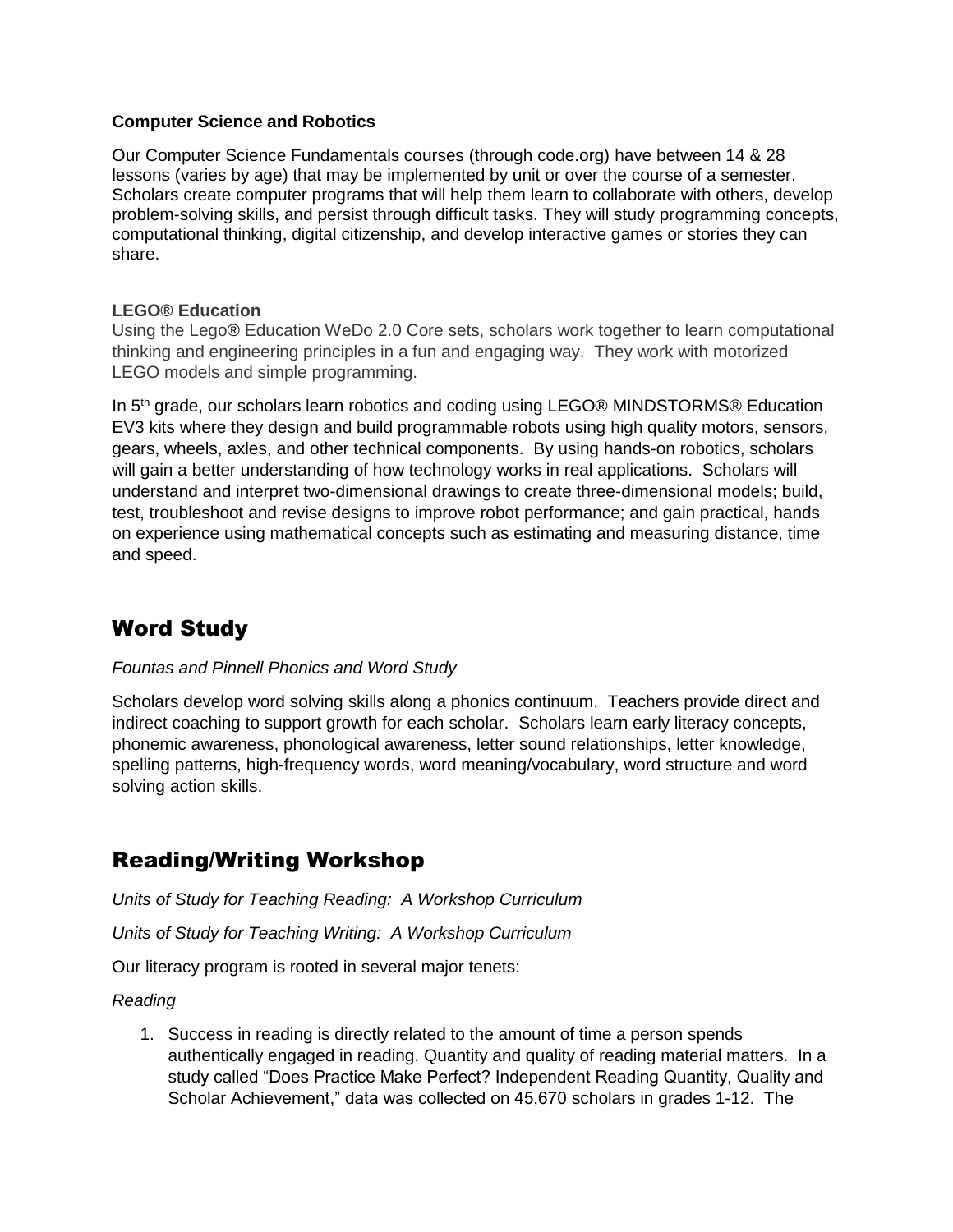#### **Computer Science and Robotics**

Our Computer Science Fundamentals courses (through code.org) have between 14 & 28 lessons (varies by age) that may be implemented by unit or over the course of a semester. Scholars create computer programs that will help them learn to collaborate with others, develop problem-solving skills, and persist through difficult tasks. They will study programming concepts, computational thinking, digital citizenship, and develop interactive games or stories they can share.

#### **LEGO® Education**

Using the Lego® Education WeDo 2.0 Core sets, scholars work together to learn computational thinking and engineering principles in a fun and engaging way. They work with motorized LEGO models and simple programming.

In  $5<sup>th</sup>$  grade, our scholars learn robotics and coding using LEGO® MINDSTORMS® Education EV3 kits where they design and build programmable robots using high quality motors, sensors, gears, wheels, axles, and other technical components. By using hands-on robotics, scholars will gain a better understanding of how technology works in real applications. Scholars will understand and interpret two-dimensional drawings to create three-dimensional models; build, test, troubleshoot and revise designs to improve robot performance; and gain practical, hands on experience using mathematical concepts such as estimating and measuring distance, time and speed.

# Word Study

#### *Fountas and Pinnell Phonics and Word Study*

Scholars develop word solving skills along a phonics continuum. Teachers provide direct and indirect coaching to support growth for each scholar. Scholars learn early literacy concepts, phonemic awareness, phonological awareness, letter sound relationships, letter knowledge, spelling patterns, high-frequency words, word meaning/vocabulary, word structure and word solving action skills.

### Reading/Writing Workshop

*Units of Study for Teaching Reading: A Workshop Curriculum* 

*Units of Study for Teaching Writing: A Workshop Curriculum* 

Our literacy program is rooted in several major tenets:

#### *Reading*

1. Success in reading is directly related to the amount of time a person spends authentically engaged in reading. Quantity and quality of reading material matters. In a study called "Does Practice Make Perfect? Independent Reading Quantity, Quality and Scholar Achievement," data was collected on 45,670 scholars in grades 1-12. The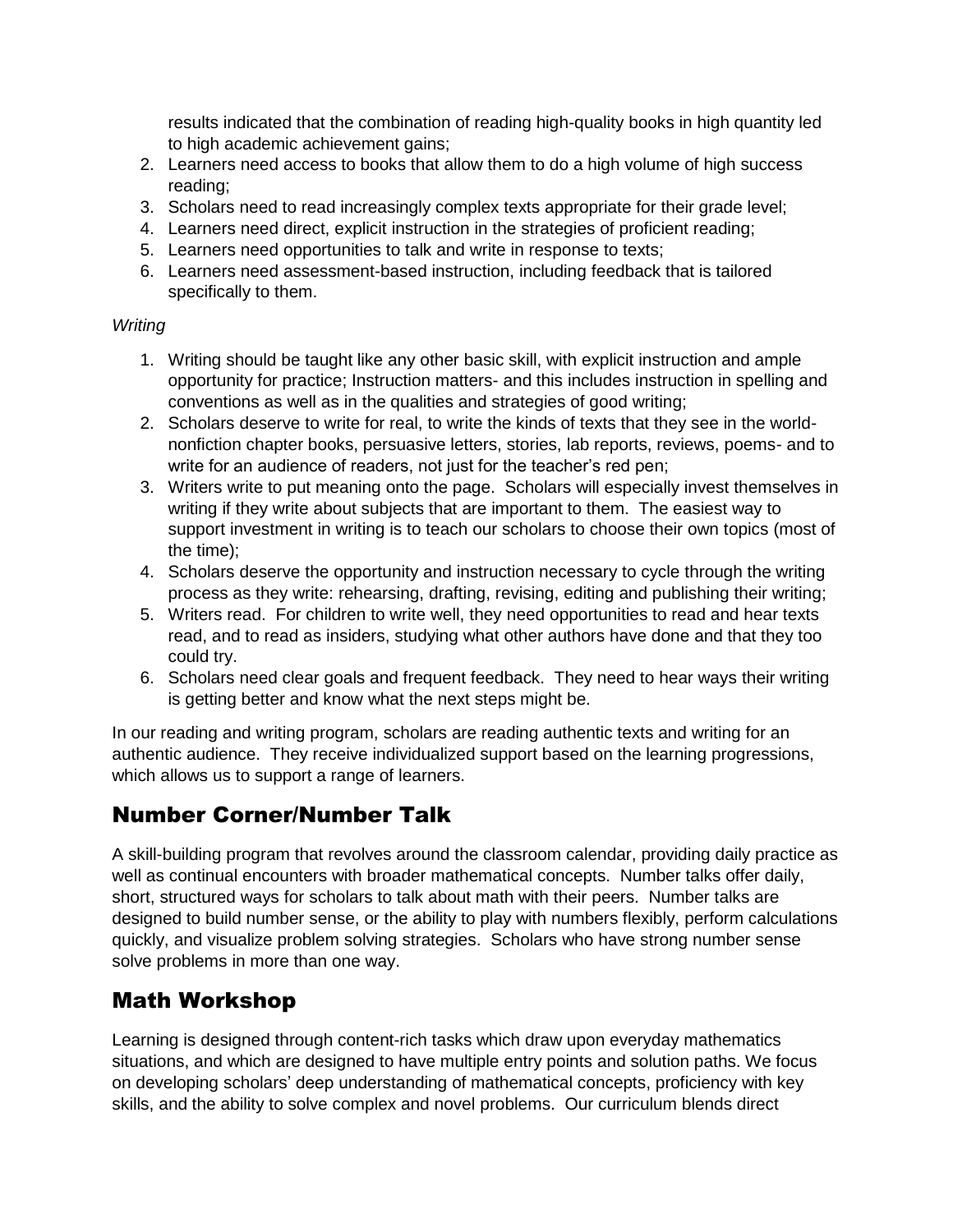results indicated that the combination of reading high-quality books in high quantity led to high academic achievement gains;

- 2. Learners need access to books that allow them to do a high volume of high success reading;
- 3. Scholars need to read increasingly complex texts appropriate for their grade level;
- 4. Learners need direct, explicit instruction in the strategies of proficient reading;
- 5. Learners need opportunities to talk and write in response to texts;
- 6. Learners need assessment-based instruction, including feedback that is tailored specifically to them.

#### *Writing*

- 1. Writing should be taught like any other basic skill, with explicit instruction and ample opportunity for practice; Instruction matters- and this includes instruction in spelling and conventions as well as in the qualities and strategies of good writing;
- 2. Scholars deserve to write for real, to write the kinds of texts that they see in the worldnonfiction chapter books, persuasive letters, stories, lab reports, reviews, poems- and to write for an audience of readers, not just for the teacher's red pen;
- 3. Writers write to put meaning onto the page. Scholars will especially invest themselves in writing if they write about subjects that are important to them. The easiest way to support investment in writing is to teach our scholars to choose their own topics (most of the time);
- 4. Scholars deserve the opportunity and instruction necessary to cycle through the writing process as they write: rehearsing, drafting, revising, editing and publishing their writing;
- 5. Writers read. For children to write well, they need opportunities to read and hear texts read, and to read as insiders, studying what other authors have done and that they too could try.
- 6. Scholars need clear goals and frequent feedback. They need to hear ways their writing is getting better and know what the next steps might be.

In our reading and writing program, scholars are reading authentic texts and writing for an authentic audience. They receive individualized support based on the learning progressions, which allows us to support a range of learners.

# Number Corner/Number Talk

A skill-building program that revolves around the classroom calendar, providing daily practice as well as continual encounters with broader mathematical concepts. Number talks offer daily, short, structured ways for scholars to talk about math with their peers. Number talks are designed to build number sense, or the ability to play with numbers flexibly, perform calculations quickly, and visualize problem solving strategies. Scholars who have strong number sense solve problems in more than one way.

# Math Workshop

Learning is designed through content-rich tasks which draw upon everyday mathematics situations, and which are designed to have multiple entry points and solution paths. We focus on developing scholars' deep understanding of mathematical concepts, proficiency with key skills, and the ability to solve complex and novel problems. Our curriculum blends direct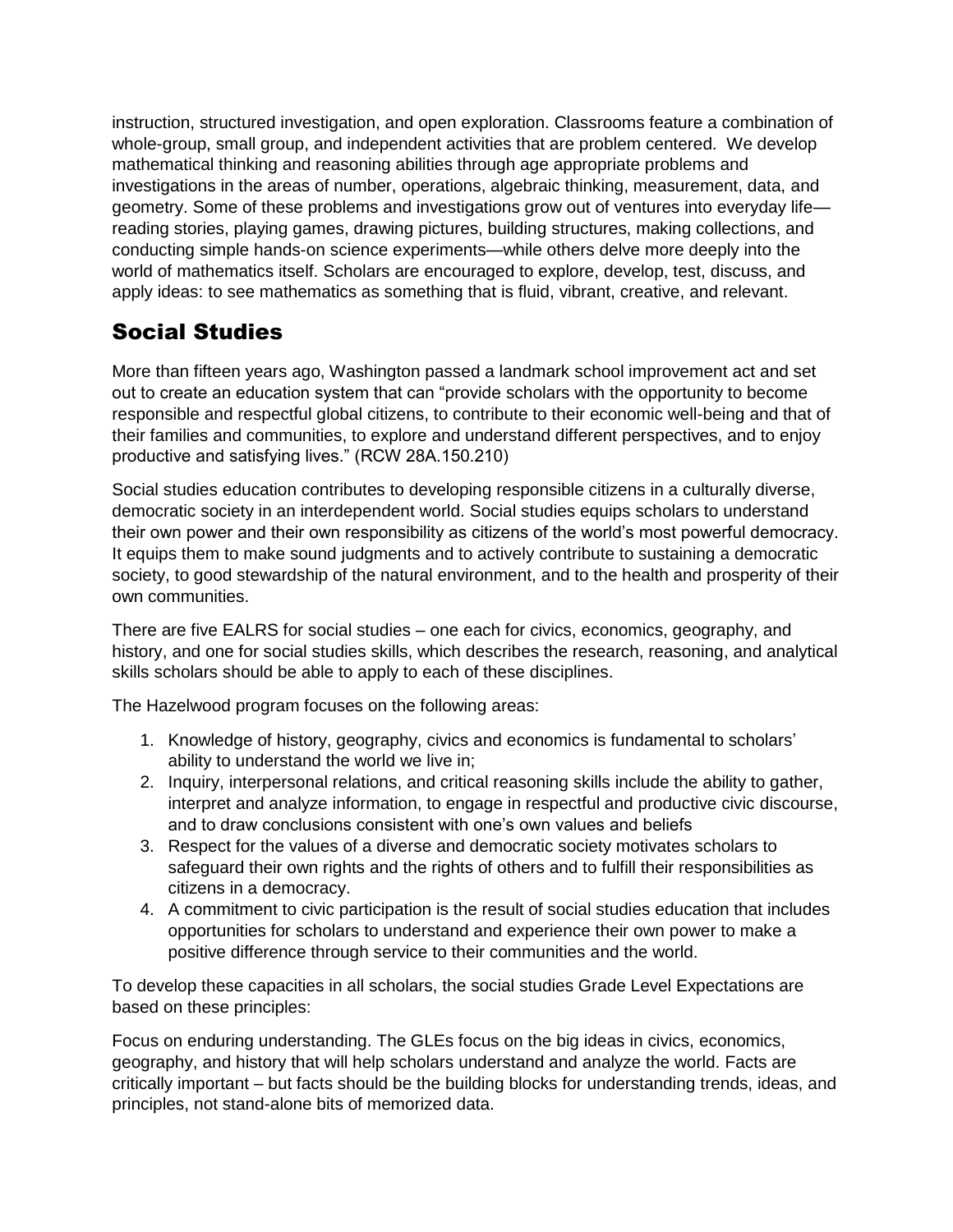instruction, structured investigation, and open exploration. Classrooms feature a combination of whole-group, small group, and independent activities that are problem centered. We develop mathematical thinking and reasoning abilities through age appropriate problems and investigations in the areas of number, operations, algebraic thinking, measurement, data, and geometry. Some of these problems and investigations grow out of ventures into everyday life reading stories, playing games, drawing pictures, building structures, making collections, and conducting simple hands-on science experiments—while others delve more deeply into the world of mathematics itself. Scholars are encouraged to explore, develop, test, discuss, and apply ideas: to see mathematics as something that is fluid, vibrant, creative, and relevant.

# Social Studies

More than fifteen years ago, Washington passed a landmark school improvement act and set out to create an education system that can "provide scholars with the opportunity to become responsible and respectful global citizens, to contribute to their economic well-being and that of their families and communities, to explore and understand different perspectives, and to enjoy productive and satisfying lives." (RCW 28A.150.210)

Social studies education contributes to developing responsible citizens in a culturally diverse, democratic society in an interdependent world. Social studies equips scholars to understand their own power and their own responsibility as citizens of the world's most powerful democracy. It equips them to make sound judgments and to actively contribute to sustaining a democratic society, to good stewardship of the natural environment, and to the health and prosperity of their own communities.

There are five EALRS for social studies – one each for civics, economics, geography, and history, and one for social studies skills, which describes the research, reasoning, and analytical skills scholars should be able to apply to each of these disciplines.

The Hazelwood program focuses on the following areas:

- 1. Knowledge of history, geography, civics and economics is fundamental to scholars' ability to understand the world we live in;
- 2. Inquiry, interpersonal relations, and critical reasoning skills include the ability to gather, interpret and analyze information, to engage in respectful and productive civic discourse, and to draw conclusions consistent with one's own values and beliefs
- 3. Respect for the values of a diverse and democratic society motivates scholars to safeguard their own rights and the rights of others and to fulfill their responsibilities as citizens in a democracy.
- 4. A commitment to civic participation is the result of social studies education that includes opportunities for scholars to understand and experience their own power to make a positive difference through service to their communities and the world.

To develop these capacities in all scholars, the social studies Grade Level Expectations are based on these principles:

Focus on enduring understanding. The GLEs focus on the big ideas in civics, economics, geography, and history that will help scholars understand and analyze the world. Facts are critically important – but facts should be the building blocks for understanding trends, ideas, and principles, not stand-alone bits of memorized data.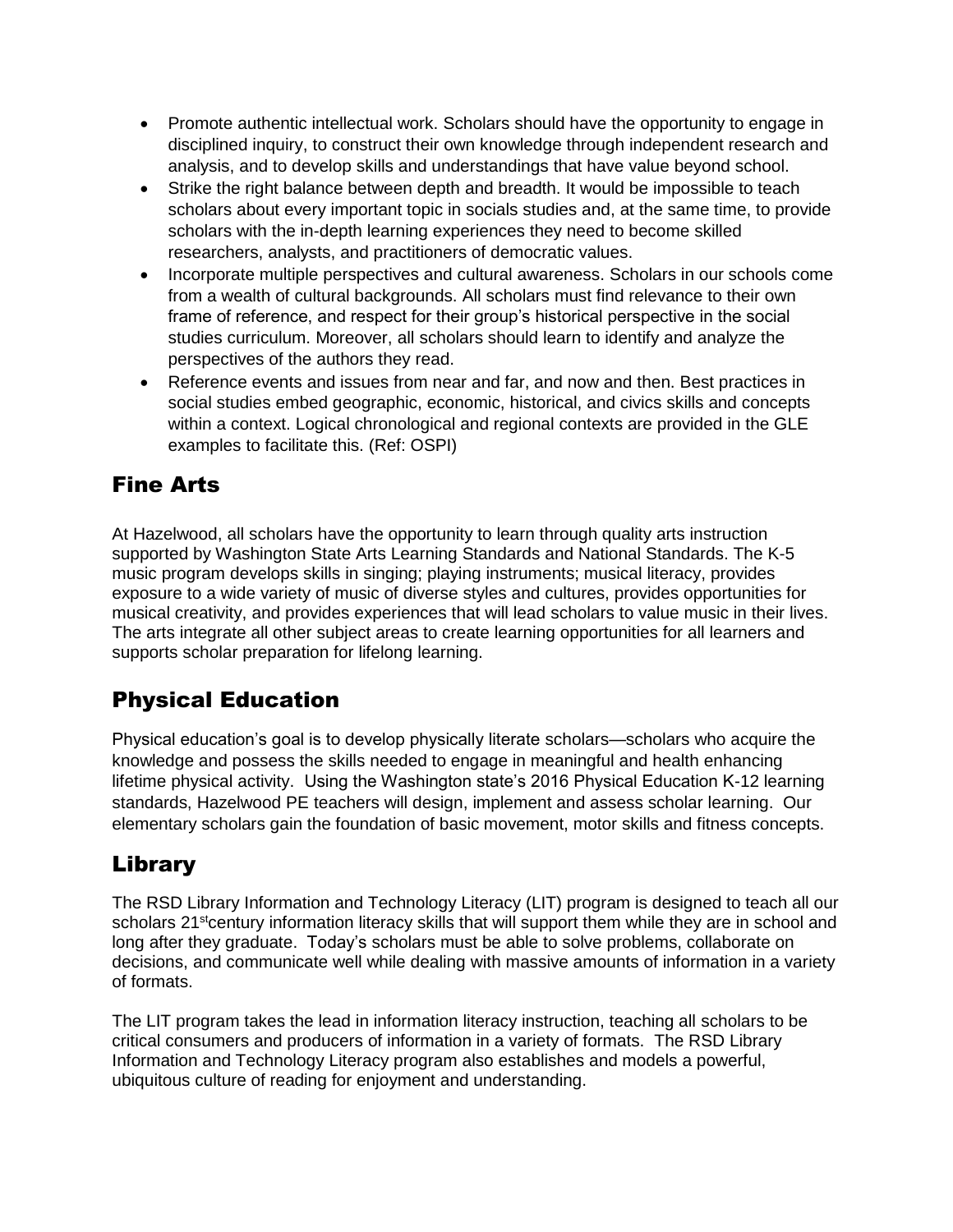- Promote authentic intellectual work. Scholars should have the opportunity to engage in disciplined inquiry, to construct their own knowledge through independent research and analysis, and to develop skills and understandings that have value beyond school.
- Strike the right balance between depth and breadth. It would be impossible to teach scholars about every important topic in socials studies and, at the same time, to provide scholars with the in-depth learning experiences they need to become skilled researchers, analysts, and practitioners of democratic values.
- Incorporate multiple perspectives and cultural awareness. Scholars in our schools come from a wealth of cultural backgrounds. All scholars must find relevance to their own frame of reference, and respect for their group's historical perspective in the social studies curriculum. Moreover, all scholars should learn to identify and analyze the perspectives of the authors they read.
- Reference events and issues from near and far, and now and then. Best practices in social studies embed geographic, economic, historical, and civics skills and concepts within a context. Logical chronological and regional contexts are provided in the GLE examples to facilitate this. (Ref: OSPI)

# Fine Arts

At Hazelwood, all scholars have the opportunity to learn through quality arts instruction supported by Washington State Arts Learning Standards and National Standards. The K-5 music program develops skills in singing; playing instruments; musical literacy, provides exposure to a wide variety of music of diverse styles and cultures, provides opportunities for musical creativity, and provides experiences that will lead scholars to value music in their lives. The arts integrate all other subject areas to create learning opportunities for all learners and supports scholar preparation for lifelong learning.

# Physical Education

Physical education's goal is to develop physically literate scholars—scholars who acquire the knowledge and possess the skills needed to engage in meaningful and health enhancing lifetime physical activity. Using the Washington state's 2016 Physical Education K-12 learning standards, Hazelwood PE teachers will design, implement and assess scholar learning. Our elementary scholars gain the foundation of basic movement, motor skills and fitness concepts.

# Library

The RSD Library Information and Technology Literacy (LIT) program is designed to teach all our scholars 21<sup>st</sup>century information literacy skills that will support them while they are in school and long after they graduate. Today's scholars must be able to solve problems, collaborate on decisions, and communicate well while dealing with massive amounts of information in a variety of formats.

The LIT program takes the lead in information literacy instruction, teaching all scholars to be critical consumers and producers of information in a variety of formats. The RSD Library Information and Technology Literacy program also establishes and models a powerful, ubiquitous culture of reading for enjoyment and understanding.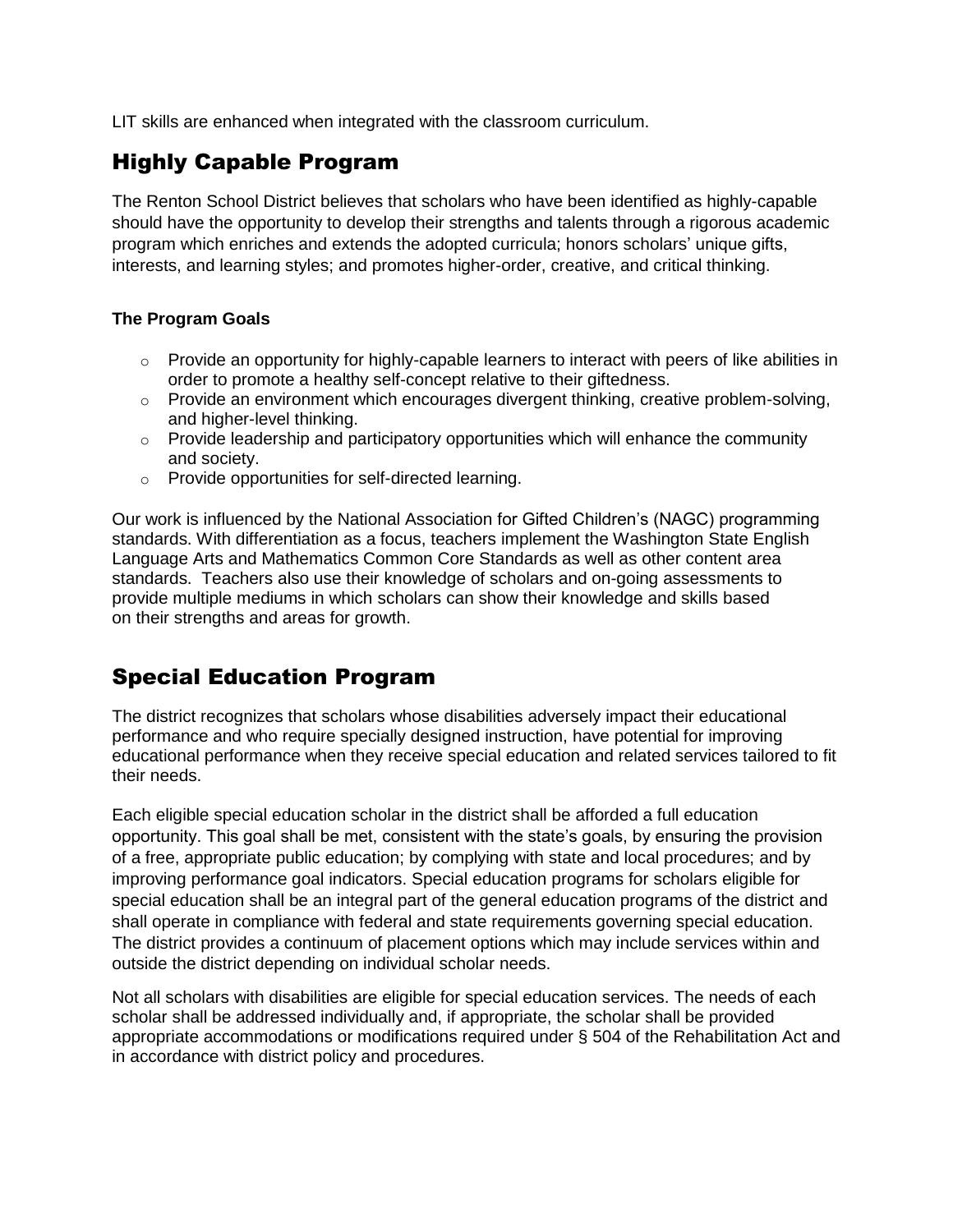LIT skills are enhanced when integrated with the classroom curriculum.

# Highly Capable Program

The Renton School District believes that scholars who have been identified as highly-capable should have the opportunity to develop their strengths and talents through a rigorous academic program which enriches and extends the adopted curricula; honors scholars' unique gifts, interests, and learning styles; and promotes higher-order, creative, and critical thinking.

#### **The Program Goals**

- $\circ$  Provide an opportunity for highly-capable learners to interact with peers of like abilities in order to promote a healthy self-concept relative to their giftedness.
- $\circ$  Provide an environment which encourages divergent thinking, creative problem-solving, and higher-level thinking.
- $\circ$  Provide leadership and participatory opportunities which will enhance the community and society.
- o Provide opportunities for self-directed learning.

Our work is influenced by the National Association for Gifted Children's (NAGC) programming standards. With differentiation as a focus, teachers implement the Washington State English Language Arts and Mathematics Common Core Standards as well as other content area standards. Teachers also use their knowledge of scholars and on-going assessments to provide multiple mediums in which scholars can show their knowledge and skills based on their strengths and areas for growth.

# Special Education Program

The district recognizes that scholars whose disabilities adversely impact their educational performance and who require specially designed instruction, have potential for improving educational performance when they receive special education and related services tailored to fit their needs.

Each eligible special education scholar in the district shall be afforded a full education opportunity. This goal shall be met, consistent with the state's goals, by ensuring the provision of a free, appropriate public education; by complying with state and local procedures; and by improving performance goal indicators. Special education programs for scholars eligible for special education shall be an integral part of the general education programs of the district and shall operate in compliance with federal and state requirements governing special education. The district provides a continuum of placement options which may include services within and outside the district depending on individual scholar needs.

Not all scholars with disabilities are eligible for special education services. The needs of each scholar shall be addressed individually and, if appropriate, the scholar shall be provided appropriate accommodations or modifications required under § 504 of the Rehabilitation Act and in accordance with district policy and procedures.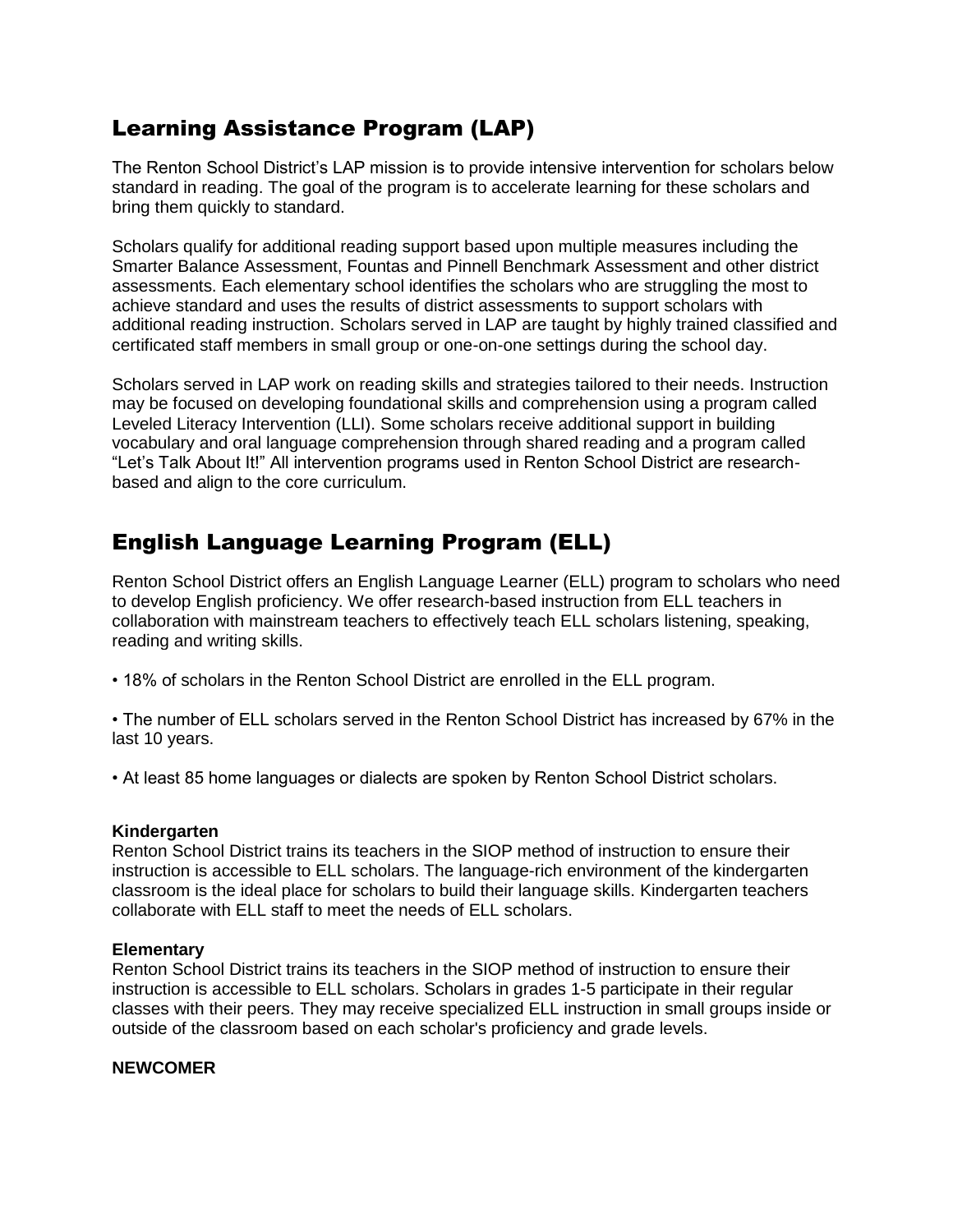# Learning Assistance Program (LAP)

The Renton School District's LAP mission is to provide intensive intervention for scholars below standard in reading. The goal of the program is to accelerate learning for these scholars and bring them quickly to standard.

Scholars qualify for additional reading support based upon multiple measures including the Smarter Balance Assessment, Fountas and Pinnell Benchmark Assessment and other district assessments. Each elementary school identifies the scholars who are struggling the most to achieve standard and uses the results of district assessments to support scholars with additional reading instruction. Scholars served in LAP are taught by highly trained classified and certificated staff members in small group or one-on-one settings during the school day.

Scholars served in LAP work on reading skills and strategies tailored to their needs. Instruction may be focused on developing foundational skills and comprehension using a program called Leveled Literacy Intervention (LLI). Some scholars receive additional support in building vocabulary and oral language comprehension through shared reading and a program called "Let's Talk About It!" All intervention programs used in Renton School District are researchbased and align to the core curriculum.

# English Language Learning Program (ELL)

Renton School District offers an English Language Learner (ELL) program to scholars who need to develop English proficiency. We offer research-based instruction from ELL teachers in collaboration with mainstream teachers to effectively teach ELL scholars listening, speaking, reading and writing skills.

• 18% of scholars in the Renton School District are enrolled in the ELL program.

• The number of ELL scholars served in the Renton School District has increased by 67% in the last 10 years.

• At least 85 home languages or dialects are spoken by Renton School District scholars.

#### **Kindergarten**

Renton School District trains its teachers in the SIOP method of instruction to ensure their instruction is accessible to ELL scholars. The language-rich environment of the kindergarten classroom is the ideal place for scholars to build their language skills. Kindergarten teachers collaborate with ELL staff to meet the needs of ELL scholars.

#### **Elementary**

Renton School District trains its teachers in the SIOP method of instruction to ensure their instruction is accessible to ELL scholars. Scholars in grades 1-5 participate in their regular classes with their peers. They may receive specialized ELL instruction in small groups inside or outside of the classroom based on each scholar's proficiency and grade levels.

#### **NEWCOMER**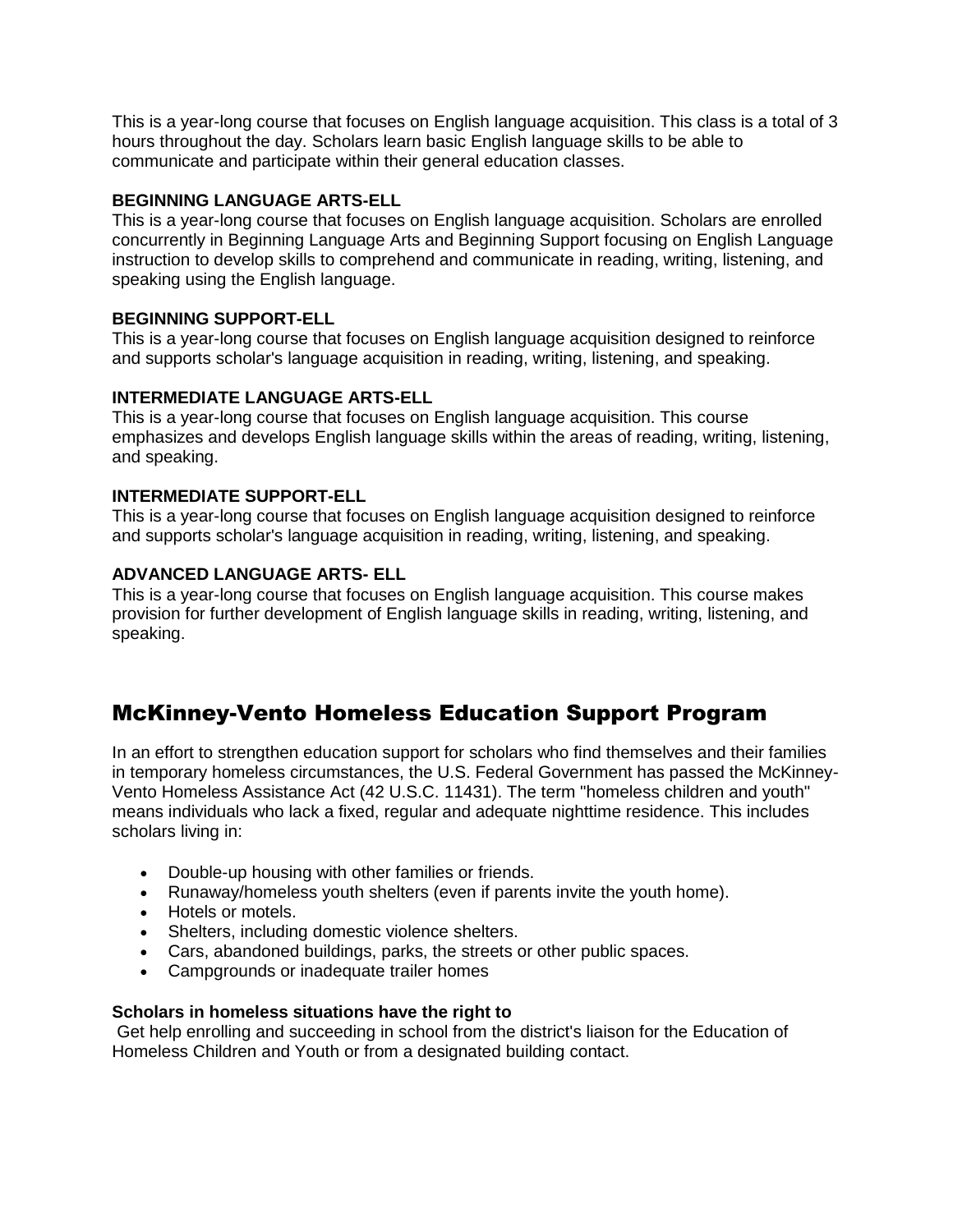This is a year-long course that focuses on English language acquisition. This class is a total of 3 hours throughout the day. Scholars learn basic English language skills to be able to communicate and participate within their general education classes.

#### **BEGINNING LANGUAGE ARTS-ELL**

This is a year-long course that focuses on English language acquisition. Scholars are enrolled concurrently in Beginning Language Arts and Beginning Support focusing on English Language instruction to develop skills to comprehend and communicate in reading, writing, listening, and speaking using the English language.

#### **BEGINNING SUPPORT-ELL**

This is a year-long course that focuses on English language acquisition designed to reinforce and supports scholar's language acquisition in reading, writing, listening, and speaking.

#### **INTERMEDIATE LANGUAGE ARTS-ELL**

This is a year-long course that focuses on English language acquisition. This course emphasizes and develops English language skills within the areas of reading, writing, listening, and speaking.

#### **INTERMEDIATE SUPPORT-ELL**

This is a year-long course that focuses on English language acquisition designed to reinforce and supports scholar's language acquisition in reading, writing, listening, and speaking.

#### **ADVANCED LANGUAGE ARTS- ELL**

This is a year-long course that focuses on English language acquisition. This course makes provision for further development of English language skills in reading, writing, listening, and speaking.

# McKinney-Vento Homeless Education Support Program

In an effort to strengthen education support for scholars who find themselves and their families in temporary homeless circumstances, the U.S. Federal Government has passed the McKinney-Vento Homeless Assistance Act (42 U.S.C. 11431). The term "homeless children and youth" means individuals who lack a fixed, regular and adequate nighttime residence. This includes scholars living in:

- Double-up housing with other families or friends.
- Runaway/homeless youth shelters (even if parents invite the youth home).
- Hotels or motels.
- Shelters, including domestic violence shelters.
- Cars, abandoned buildings, parks, the streets or other public spaces.
- Campgrounds or inadequate trailer homes

#### **Scholars in homeless situations have the right to**

Get help enrolling and succeeding in school from the district's liaison for the Education of Homeless Children and Youth or from a designated building contact.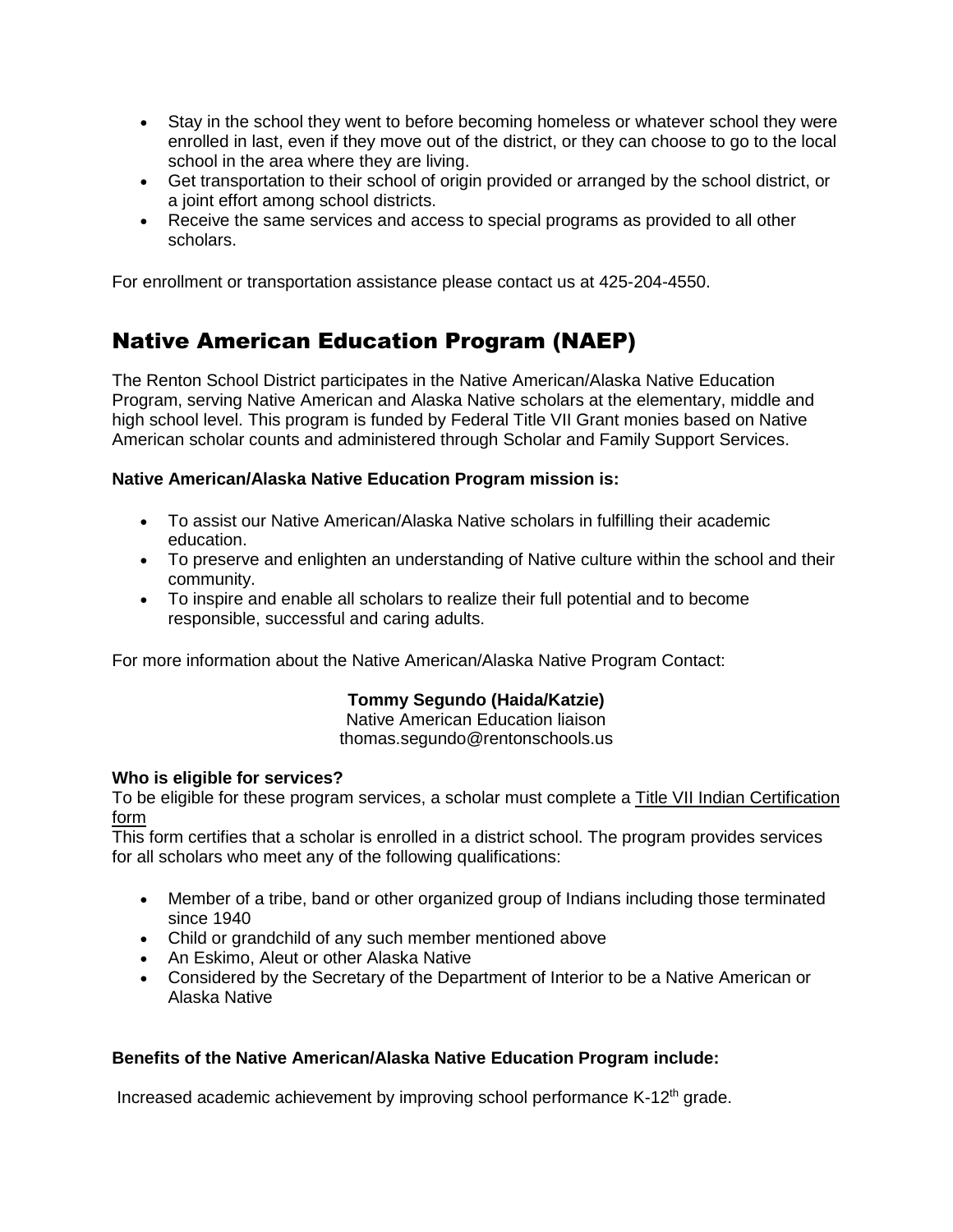- Stay in the school they went to before becoming homeless or whatever school they were enrolled in last, even if they move out of the district, or they can choose to go to the local school in the area where they are living.
- Get transportation to their school of origin provided or arranged by the school district, or a joint effort among school districts.
- Receive the same services and access to special programs as provided to all other scholars.

For enrollment or transportation assistance please contact us at 425-204-4550.

# Native American Education Program (NAEP)

The Renton School District participates in the Native American/Alaska Native Education Program, serving Native American and Alaska Native scholars at the elementary, middle and high school level. This program is funded by Federal Title VII Grant monies based on Native American scholar counts and administered through Scholar and Family Support Services.

#### **Native American/Alaska Native Education Program mission is:**

- To assist our Native American/Alaska Native scholars in fulfilling their academic education.
- To preserve and enlighten an understanding of Native culture within the school and their community.
- To inspire and enable all scholars to realize their full potential and to become responsible, successful and caring adults.

For more information about the Native American/Alaska Native Program Contact:

#### **Tommy Segundo (Haida/Katzie)**

Native American Education liaison thomas.segundo@rentonschools.us

#### **Who is eligible for services?**

To be eligible for these program services, a scholar must complete a [Title VII Indian Certification](http://sde.ok.gov/sde/sites/ok.gov.sde/files/ED_506_form_exp%2031%20Jul%202019.pdf)  [form](http://sde.ok.gov/sde/sites/ok.gov.sde/files/ED_506_form_exp%2031%20Jul%202019.pdf)

This form certifies that a scholar is enrolled in a district school. The program provides services for all scholars who meet any of the following qualifications:

- Member of a tribe, band or other organized group of Indians including those terminated since 1940
- Child or grandchild of any such member mentioned above
- An Eskimo, Aleut or other Alaska Native
- Considered by the Secretary of the Department of Interior to be a Native American or Alaska Native

#### **Benefits of the Native American/Alaska Native Education Program include:**

Increased academic achievement by improving school performance K-12<sup>th</sup> grade.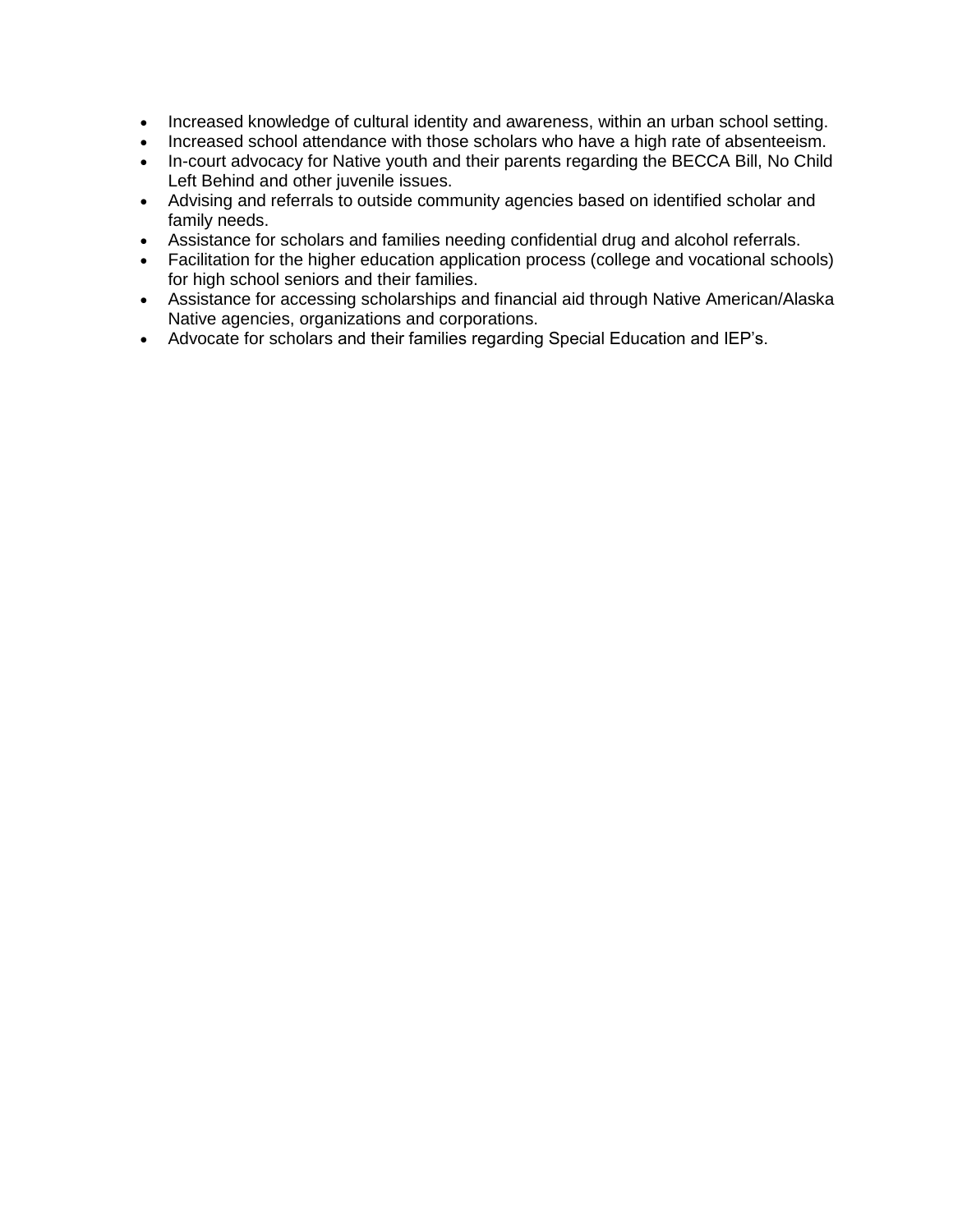- Increased knowledge of cultural identity and awareness, within an urban school setting.
- Increased school attendance with those scholars who have a high rate of absenteeism.
- In-court advocacy for Native youth and their parents regarding the BECCA Bill, No Child Left Behind and other juvenile issues.
- Advising and referrals to outside community agencies based on identified scholar and family needs.
- Assistance for scholars and families needing confidential drug and alcohol referrals.
- Facilitation for the higher education application process (college and vocational schools) for high school seniors and their families.
- Assistance for accessing scholarships and financial aid through Native American/Alaska Native agencies, organizations and corporations.
- Advocate for scholars and their families regarding Special Education and IEP's.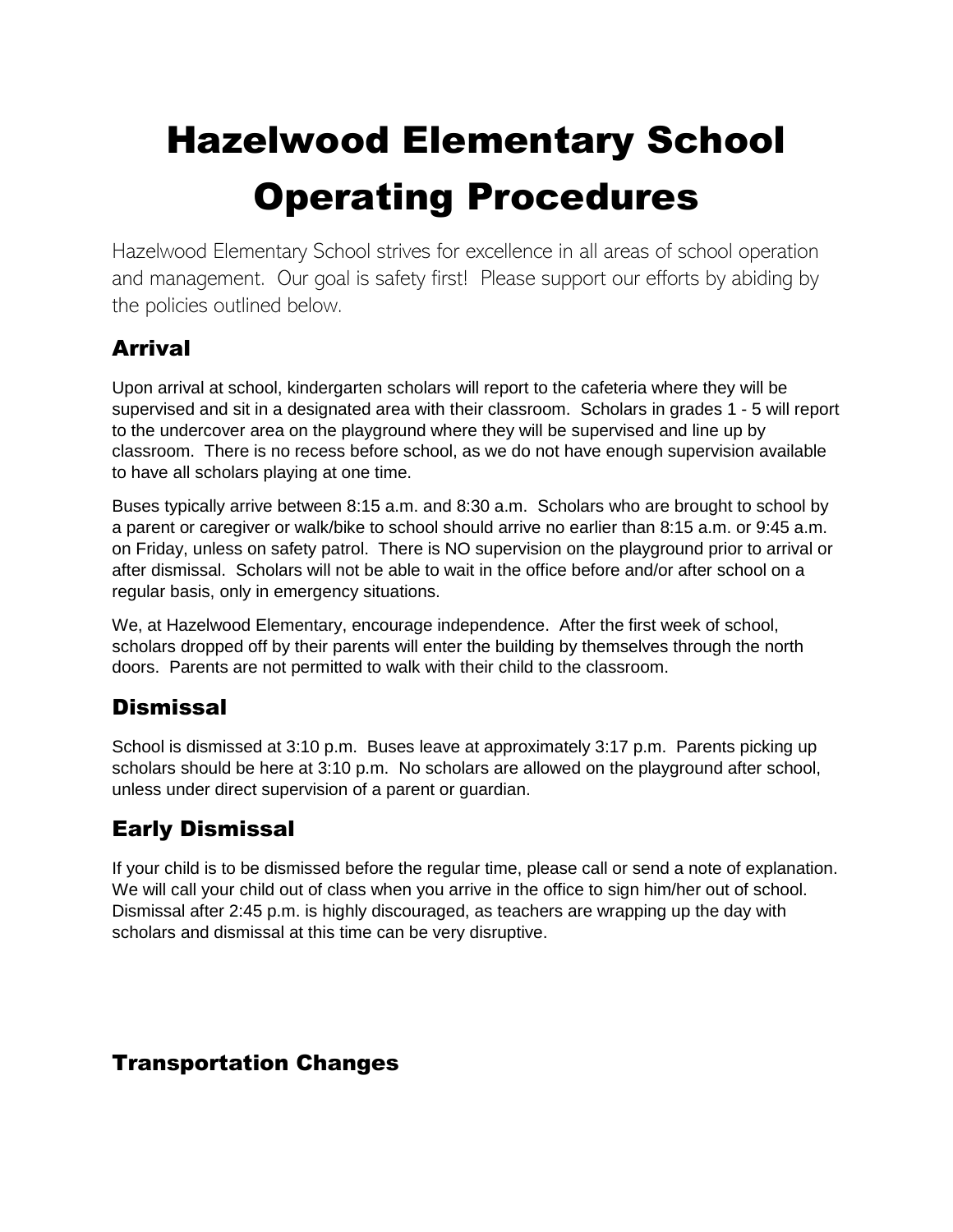# Hazelwood Elementary School Operating Procedures

Hazelwood Elementary School strives for excellence in all areas of school operation and management. Our goal is safety first! Please support our efforts by abiding by the policies outlined below.

# Arrival

Upon arrival at school, kindergarten scholars will report to the cafeteria where they will be supervised and sit in a designated area with their classroom. Scholars in grades 1 - 5 will report to the undercover area on the playground where they will be supervised and line up by classroom. There is no recess before school, as we do not have enough supervision available to have all scholars playing at one time.

Buses typically arrive between 8:15 a.m. and 8:30 a.m. Scholars who are brought to school by a parent or caregiver or walk/bike to school should arrive no earlier than 8:15 a.m. or 9:45 a.m. on Friday, unless on safety patrol. There is NO supervision on the playground prior to arrival or after dismissal. Scholars will not be able to wait in the office before and/or after school on a regular basis, only in emergency situations.

We, at Hazelwood Elementary, encourage independence. After the first week of school, scholars dropped off by their parents will enter the building by themselves through the north doors. Parents are not permitted to walk with their child to the classroom.

# **Dismissal**

School is dismissed at 3:10 p.m. Buses leave at approximately 3:17 p.m. Parents picking up scholars should be here at 3:10 p.m. No scholars are allowed on the playground after school, unless under direct supervision of a parent or guardian.

# Early Dismissal

If your child is to be dismissed before the regular time, please call or send a note of explanation. We will call your child out of class when you arrive in the office to sign him/her out of school. Dismissal after 2:45 p.m. is highly discouraged, as teachers are wrapping up the day with scholars and dismissal at this time can be very disruptive.

# Transportation Changes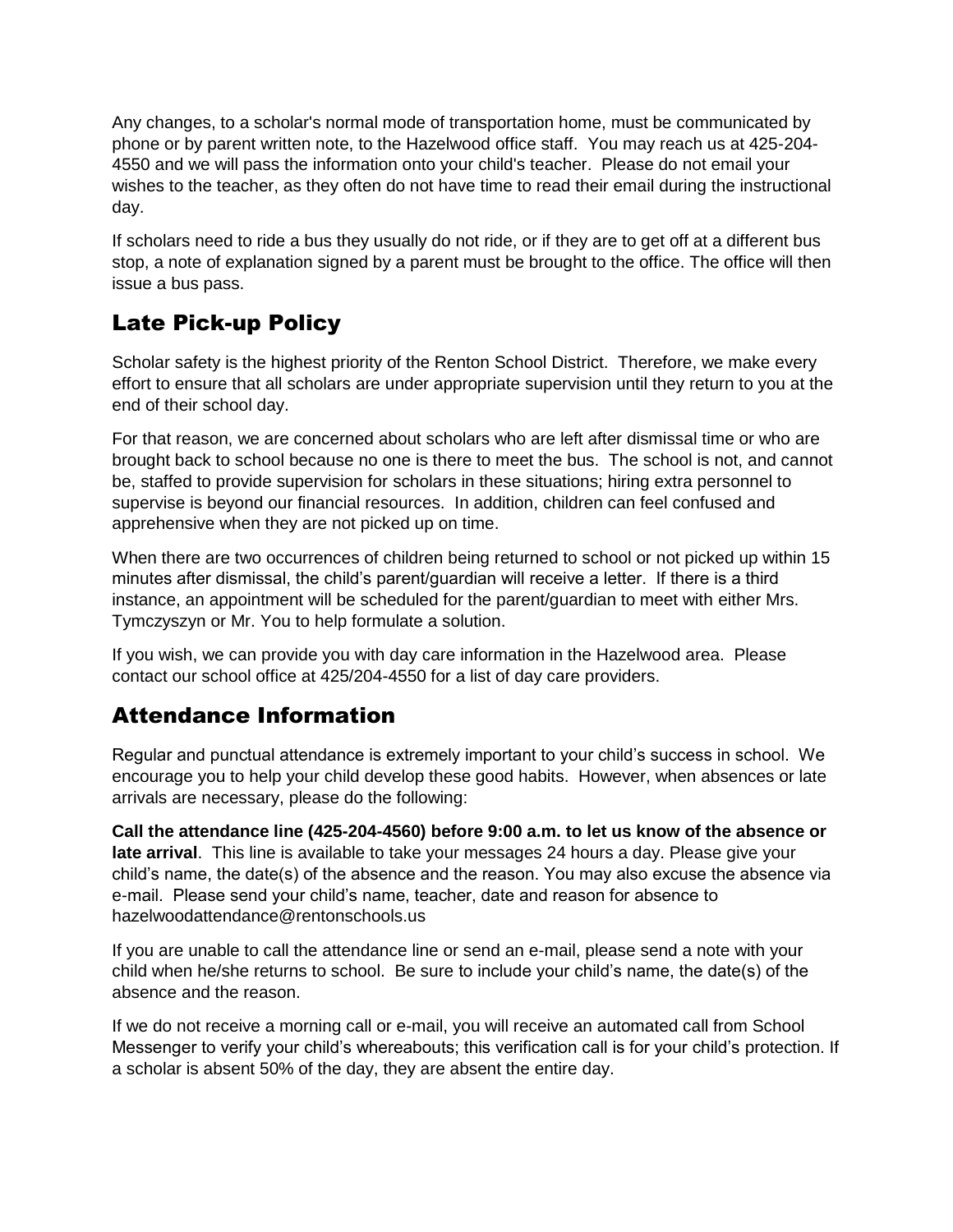Any changes, to a scholar's normal mode of transportation home, must be communicated by phone or by parent written note, to the Hazelwood office staff. You may reach us at 425-204- 4550 and we will pass the information onto your child's teacher. Please do not email your wishes to the teacher, as they often do not have time to read their email during the instructional day.

If scholars need to ride a bus they usually do not ride, or if they are to get off at a different bus stop, a note of explanation signed by a parent must be brought to the office. The office will then issue a bus pass.

# Late Pick-up Policy

Scholar safety is the highest priority of the Renton School District. Therefore, we make every effort to ensure that all scholars are under appropriate supervision until they return to you at the end of their school day.

For that reason, we are concerned about scholars who are left after dismissal time or who are brought back to school because no one is there to meet the bus. The school is not, and cannot be, staffed to provide supervision for scholars in these situations; hiring extra personnel to supervise is beyond our financial resources. In addition, children can feel confused and apprehensive when they are not picked up on time.

When there are two occurrences of children being returned to school or not picked up within 15 minutes after dismissal, the child's parent/guardian will receive a letter. If there is a third instance, an appointment will be scheduled for the parent/guardian to meet with either Mrs. Tymczyszyn or Mr. You to help formulate a solution.

If you wish, we can provide you with day care information in the Hazelwood area. Please contact our school office at 425/204-4550 for a list of day care providers.

# Attendance Information

Regular and punctual attendance is extremely important to your child's success in school. We encourage you to help your child develop these good habits. However, when absences or late arrivals are necessary, please do the following:

**Call the attendance line (425-204-4560) before 9:00 a.m. to let us know of the absence or late arrival**. This line is available to take your messages 24 hours a day. Please give your child's name, the date(s) of the absence and the reason. You may also excuse the absence via e-mail. Please send your child's name, teacher, date and reason for absence to hazelwoodattendance@rentonschools.us

If you are unable to call the attendance line or send an e-mail, please send a note with your child when he/she returns to school. Be sure to include your child's name, the date(s) of the absence and the reason.

If we do not receive a morning call or e-mail, you will receive an automated call from School Messenger to verify your child's whereabouts; this verification call is for your child's protection. If a scholar is absent 50% of the day, they are absent the entire day.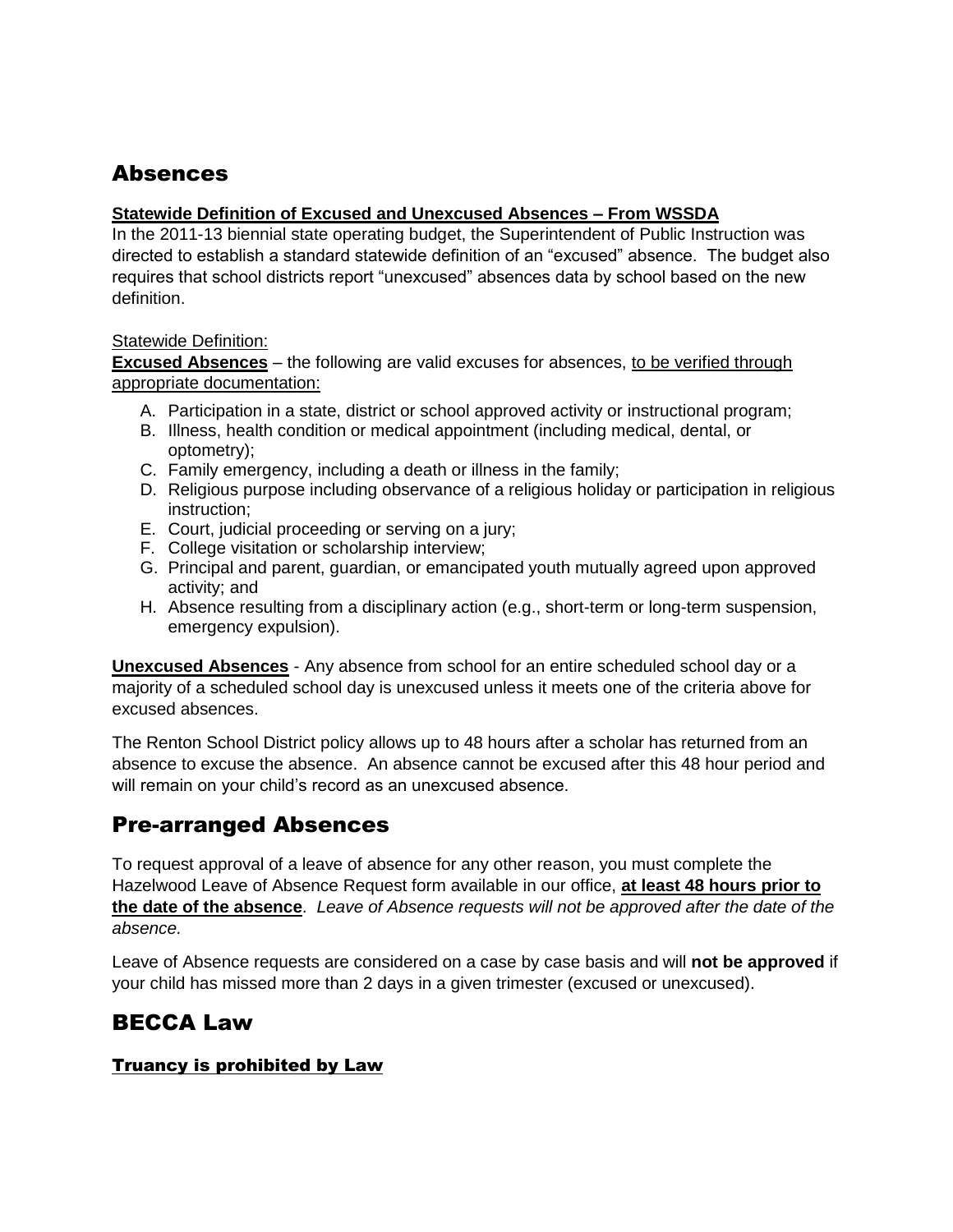# Absences

#### **Statewide Definition of Excused and Unexcused Absences – From WSSDA**

In the 2011-13 biennial state operating budget, the Superintendent of Public Instruction was directed to establish a standard statewide definition of an "excused" absence. The budget also requires that school districts report "unexcused" absences data by school based on the new definition.

#### Statewide Definition:

**Excused Absences** – the following are valid excuses for absences, to be verified through appropriate documentation:

- A. Participation in a state, district or school approved activity or instructional program;
- B. Illness, health condition or medical appointment (including medical, dental, or optometry);
- C. Family emergency, including a death or illness in the family;
- D. Religious purpose including observance of a religious holiday or participation in religious instruction;
- E. Court, judicial proceeding or serving on a jury;
- F. College visitation or scholarship interview;
- G. Principal and parent, guardian, or emancipated youth mutually agreed upon approved activity; and
- H. Absence resulting from a disciplinary action (e.g., short-term or long-term suspension, emergency expulsion).

**Unexcused Absences** - Any absence from school for an entire scheduled school day or a majority of a scheduled school day is unexcused unless it meets one of the criteria above for excused absences.

The Renton School District policy allows up to 48 hours after a scholar has returned from an absence to excuse the absence. An absence cannot be excused after this 48 hour period and will remain on your child's record as an unexcused absence.

# Pre-arranged Absences

To request approval of a leave of absence for any other reason, you must complete the Hazelwood Leave of Absence Request form available in our office, **at least 48 hours prior to the date of the absence**. *Leave of Absence requests will not be approved after the date of the absence.*

Leave of Absence requests are considered on a case by case basis and will **not be approved** if your child has missed more than 2 days in a given trimester (excused or unexcused).

# BECCA Law

#### Truancy is prohibited by Law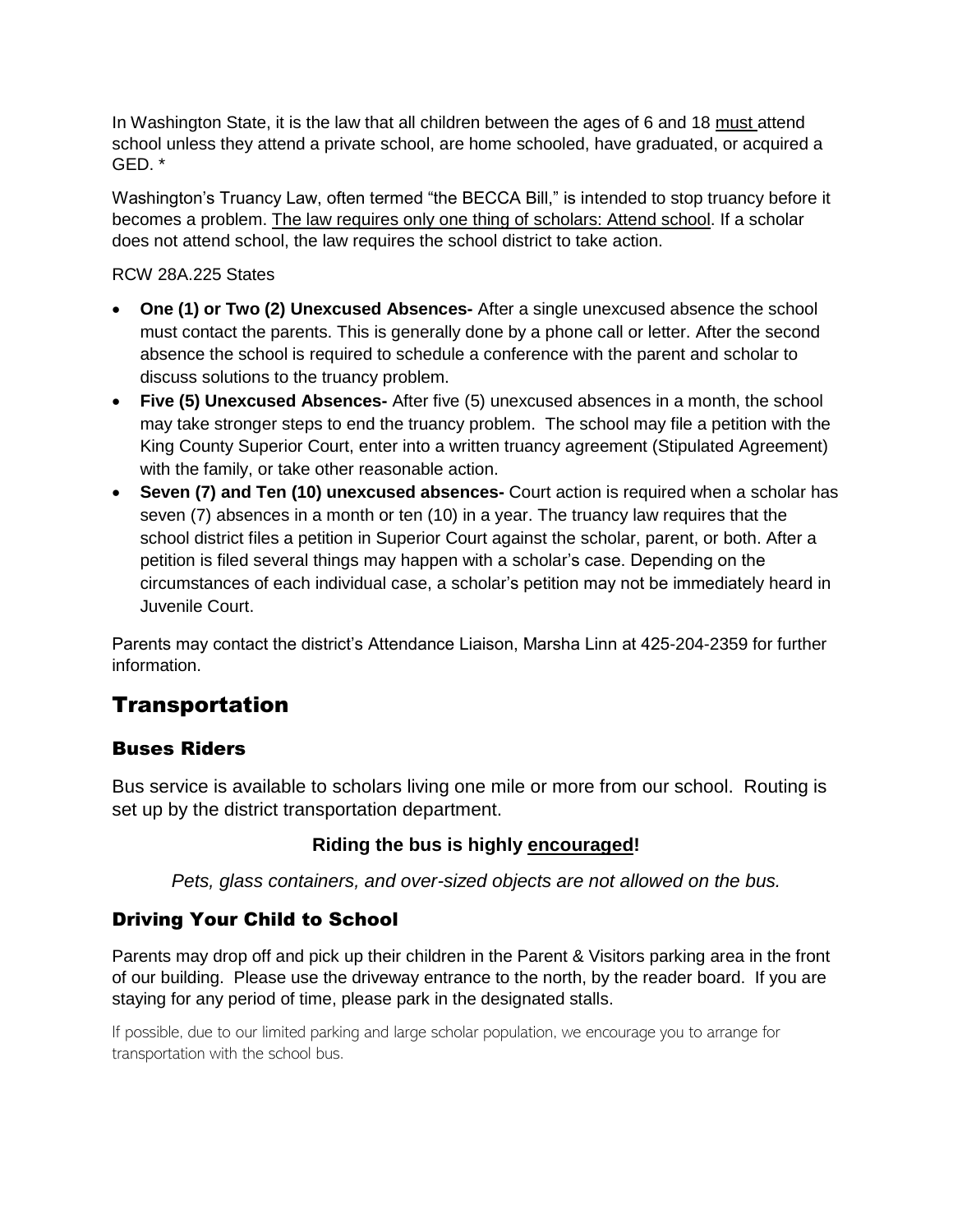In Washington State, it is the law that all children between the ages of 6 and 18 must attend school unless they attend a private school, are home schooled, have graduated, or acquired a GED. \*

Washington's Truancy Law, often termed "the BECCA Bill," is intended to stop truancy before it becomes a problem. The law requires only one thing of scholars: Attend school. If a scholar does not attend school, the law requires the school district to take action.

RCW 28A.225 States

- **One (1) or Two (2) Unexcused Absences-** After a single unexcused absence the school must contact the parents. This is generally done by a phone call or letter. After the second absence the school is required to schedule a conference with the parent and scholar to discuss solutions to the truancy problem.
- **Five (5) Unexcused Absences-** After five (5) unexcused absences in a month, the school may take stronger steps to end the truancy problem. The school may file a petition with the King County Superior Court, enter into a written truancy agreement (Stipulated Agreement) with the family, or take other reasonable action.
- **Seven (7) and Ten (10) unexcused absences-** Court action is required when a scholar has seven (7) absences in a month or ten (10) in a year. The truancy law requires that the school district files a petition in Superior Court against the scholar, parent, or both. After a petition is filed several things may happen with a scholar's case. Depending on the circumstances of each individual case, a scholar's petition may not be immediately heard in Juvenile Court.

Parents may contact the district's Attendance Liaison, Marsha Linn at 425-204-2359 for further information.

# **Transportation**

#### Buses Riders

Bus service is available to scholars living one mile or more from our school. Routing is set up by the district transportation department.

#### **Riding the bus is highly encouraged!**

*Pets, glass containers, and over-sized objects are not allowed on the bus.*

#### Driving Your Child to School

Parents may drop off and pick up their children in the Parent & Visitors parking area in the front of our building. Please use the driveway entrance to the north, by the reader board. If you are staying for any period of time, please park in the designated stalls.

If possible, due to our limited parking and large scholar population, we encourage you to arrange for transportation with the school bus.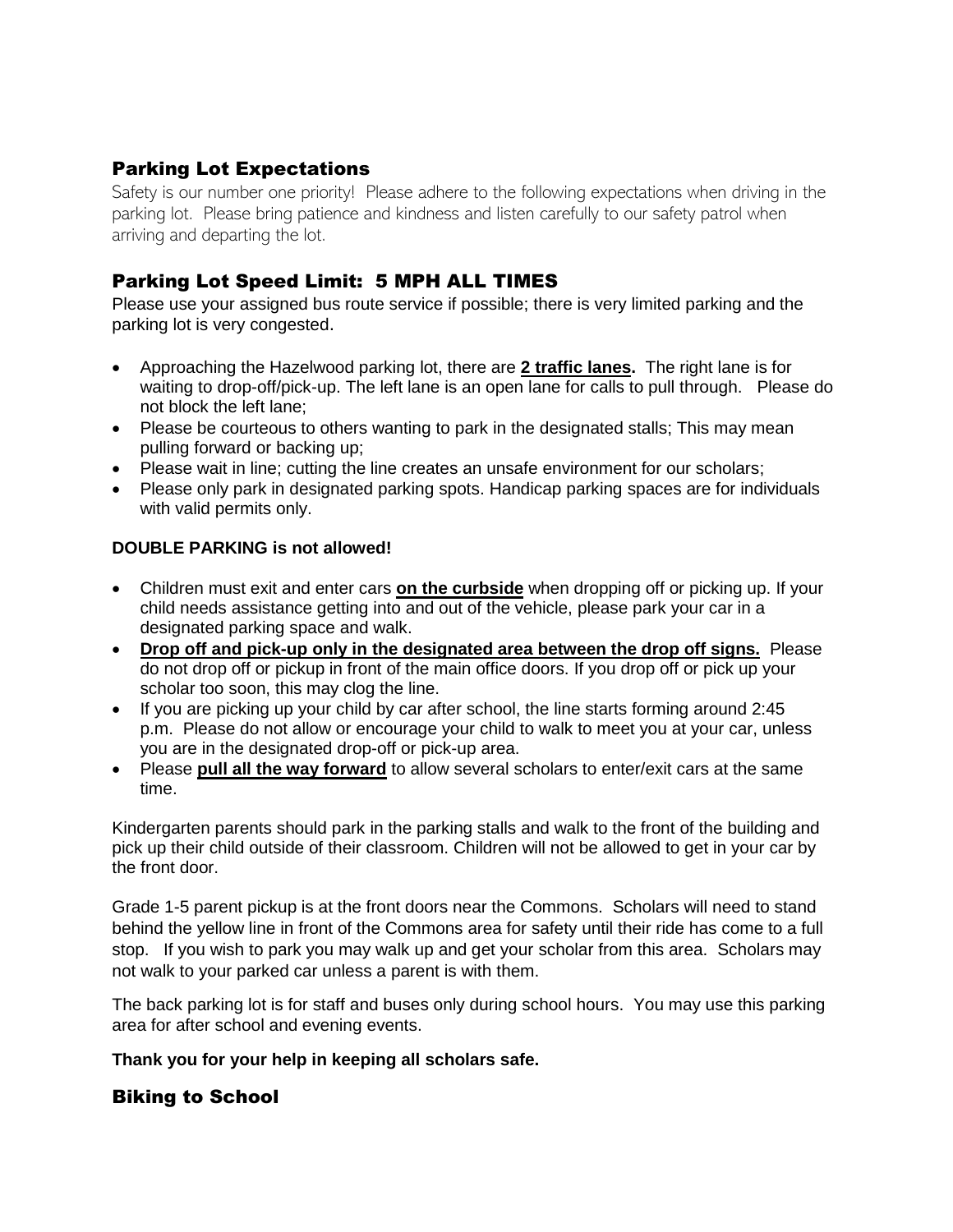#### Parking Lot Expectations

Safety is our number one priority! Please adhere to the following expectations when driving in the parking lot. Please bring patience and kindness and listen carefully to our safety patrol when arriving and departing the lot.

#### Parking Lot Speed Limit: 5 MPH ALL TIMES

Please use your assigned bus route service if possible; there is very limited parking and the parking lot is very congested.

- Approaching the Hazelwood parking lot, there are **2 traffic lanes.** The right lane is for waiting to drop-off/pick-up. The left lane is an open lane for calls to pull through. Please do not block the left lane;
- Please be courteous to others wanting to park in the designated stalls; This may mean pulling forward or backing up;
- Please wait in line; cutting the line creates an unsafe environment for our scholars;
- Please only park in designated parking spots. Handicap parking spaces are for individuals with valid permits only.

#### **DOUBLE PARKING is not allowed!**

- Children must exit and enter cars **on the curbside** when dropping off or picking up. If your child needs assistance getting into and out of the vehicle, please park your car in a designated parking space and walk.
- **Drop off and pick-up only in the designated area between the drop off signs.** Please do not drop off or pickup in front of the main office doors. If you drop off or pick up your scholar too soon, this may clog the line.
- If you are picking up your child by car after school, the line starts forming around 2:45 p.m. Please do not allow or encourage your child to walk to meet you at your car, unless you are in the designated drop-off or pick-up area.
- Please **pull all the way forward** to allow several scholars to enter/exit cars at the same time.

Kindergarten parents should park in the parking stalls and walk to the front of the building and pick up their child outside of their classroom. Children will not be allowed to get in your car by the front door.

Grade 1-5 parent pickup is at the front doors near the Commons. Scholars will need to stand behind the yellow line in front of the Commons area for safety until their ride has come to a full stop. If you wish to park you may walk up and get your scholar from this area. Scholars may not walk to your parked car unless a parent is with them.

The back parking lot is for staff and buses only during school hours. You may use this parking area for after school and evening events.

#### **Thank you for your help in keeping all scholars safe.**

#### Biking to School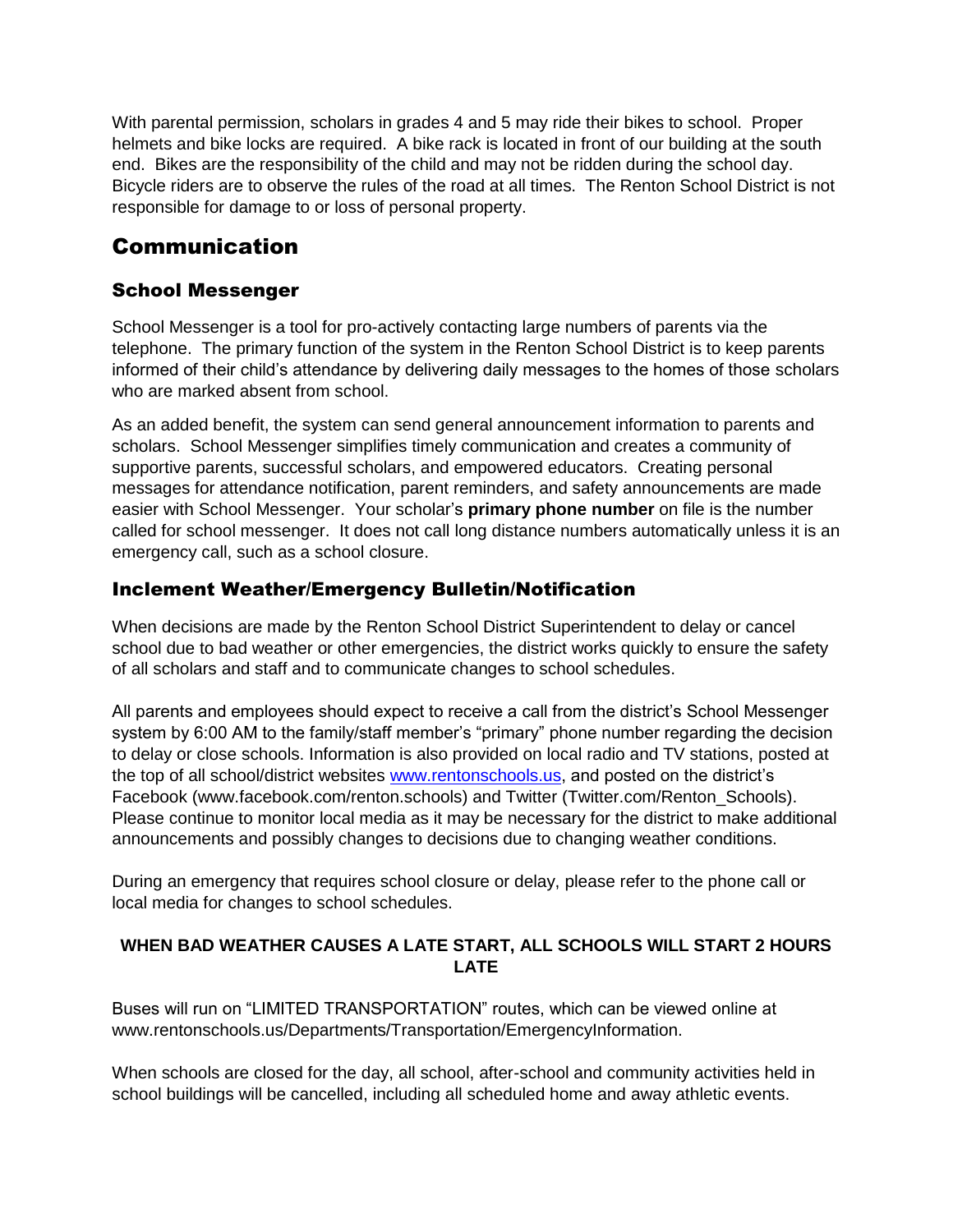With parental permission, scholars in grades 4 and 5 may ride their bikes to school. Proper helmets and bike locks are required. A bike rack is located in front of our building at the south end. Bikes are the responsibility of the child and may not be ridden during the school day. Bicycle riders are to observe the rules of the road at all times. The Renton School District is not responsible for damage to or loss of personal property.

# Communication

#### School Messenger

School Messenger is a tool for pro-actively contacting large numbers of parents via the telephone. The primary function of the system in the Renton School District is to keep parents informed of their child's attendance by delivering daily messages to the homes of those scholars who are marked absent from school.

As an added benefit, the system can send general announcement information to parents and scholars. School Messenger simplifies timely communication and creates a community of supportive parents, successful scholars, and empowered educators. Creating personal messages for attendance notification, parent reminders, and safety announcements are made easier with School Messenger. Your scholar's **primary phone number** on file is the number called for school messenger. It does not call long distance numbers automatically unless it is an emergency call, such as a school closure.

#### Inclement Weather/Emergency Bulletin/Notification

When decisions are made by the Renton School District Superintendent to delay or cancel school due to bad weather or other emergencies, the district works quickly to ensure the safety of all scholars and staff and to communicate changes to school schedules.

All parents and employees should expect to receive a call from the district's School Messenger system by 6:00 AM to the family/staff member's "primary" phone number regarding the decision to delay or close schools. Information is also provided on local radio and TV stations, posted at the top of all school/district websites [www.rentonschools.us,](http://www.rentonschools.us/) and posted on the district's Facebook (www.facebook.com/renton.schools) and Twitter (Twitter.com/Renton\_Schools). Please continue to monitor local media as it may be necessary for the district to make additional announcements and possibly changes to decisions due to changing weather conditions.

During an emergency that requires school closure or delay, please refer to the phone call or local media for changes to school schedules.

#### **WHEN BAD WEATHER CAUSES A LATE START, ALL SCHOOLS WILL START 2 HOURS LATE**

Buses will run on "LIMITED TRANSPORTATION" routes, which can be viewed online at www.rentonschools.us/Departments/Transportation/EmergencyInformation.

When schools are closed for the day, all school, after-school and community activities held in school buildings will be cancelled, including all scheduled home and away athletic events.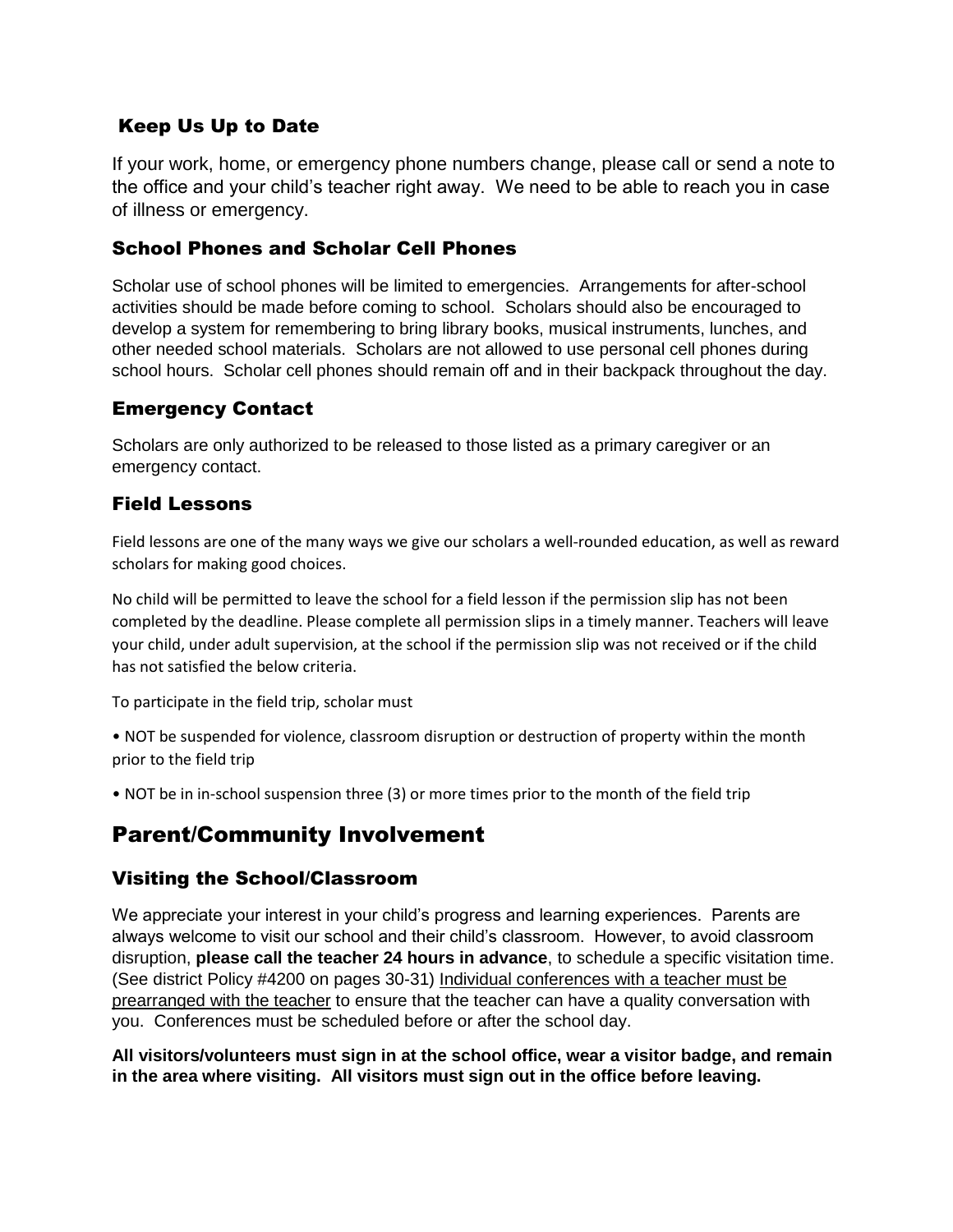#### Keep Us Up to Date

If your work, home, or emergency phone numbers change, please call or send a note to the office and your child's teacher right away. We need to be able to reach you in case of illness or emergency.

#### School Phones and Scholar Cell Phones

Scholar use of school phones will be limited to emergencies. Arrangements for after-school activities should be made before coming to school. Scholars should also be encouraged to develop a system for remembering to bring library books, musical instruments, lunches, and other needed school materials. Scholars are not allowed to use personal cell phones during school hours. Scholar cell phones should remain off and in their backpack throughout the day.

#### Emergency Contact

Scholars are only authorized to be released to those listed as a primary caregiver or an emergency contact.

#### Field Lessons

Field lessons are one of the many ways we give our scholars a well-rounded education, as well as reward scholars for making good choices.

No child will be permitted to leave the school for a field lesson if the permission slip has not been completed by the deadline. Please complete all permission slips in a timely manner. Teachers will leave your child, under adult supervision, at the school if the permission slip was not received or if the child has not satisfied the below criteria.

To participate in the field trip, scholar must

• NOT be suspended for violence, classroom disruption or destruction of property within the month prior to the field trip

• NOT be in in-school suspension three (3) or more times prior to the month of the field trip

# Parent/Community Involvement

#### Visiting the School/Classroom

We appreciate your interest in your child's progress and learning experiences. Parents are always welcome to visit our school and their child's classroom. However, to avoid classroom disruption, **please call the teacher 24 hours in advance**, to schedule a specific visitation time. (See district Policy #4200 on pages 30-31) Individual conferences with a teacher must be prearranged with the teacher to ensure that the teacher can have a quality conversation with you. Conferences must be scheduled before or after the school day.

**All visitors/volunteers must sign in at the school office, wear a visitor badge, and remain in the area where visiting. All visitors must sign out in the office before leaving.**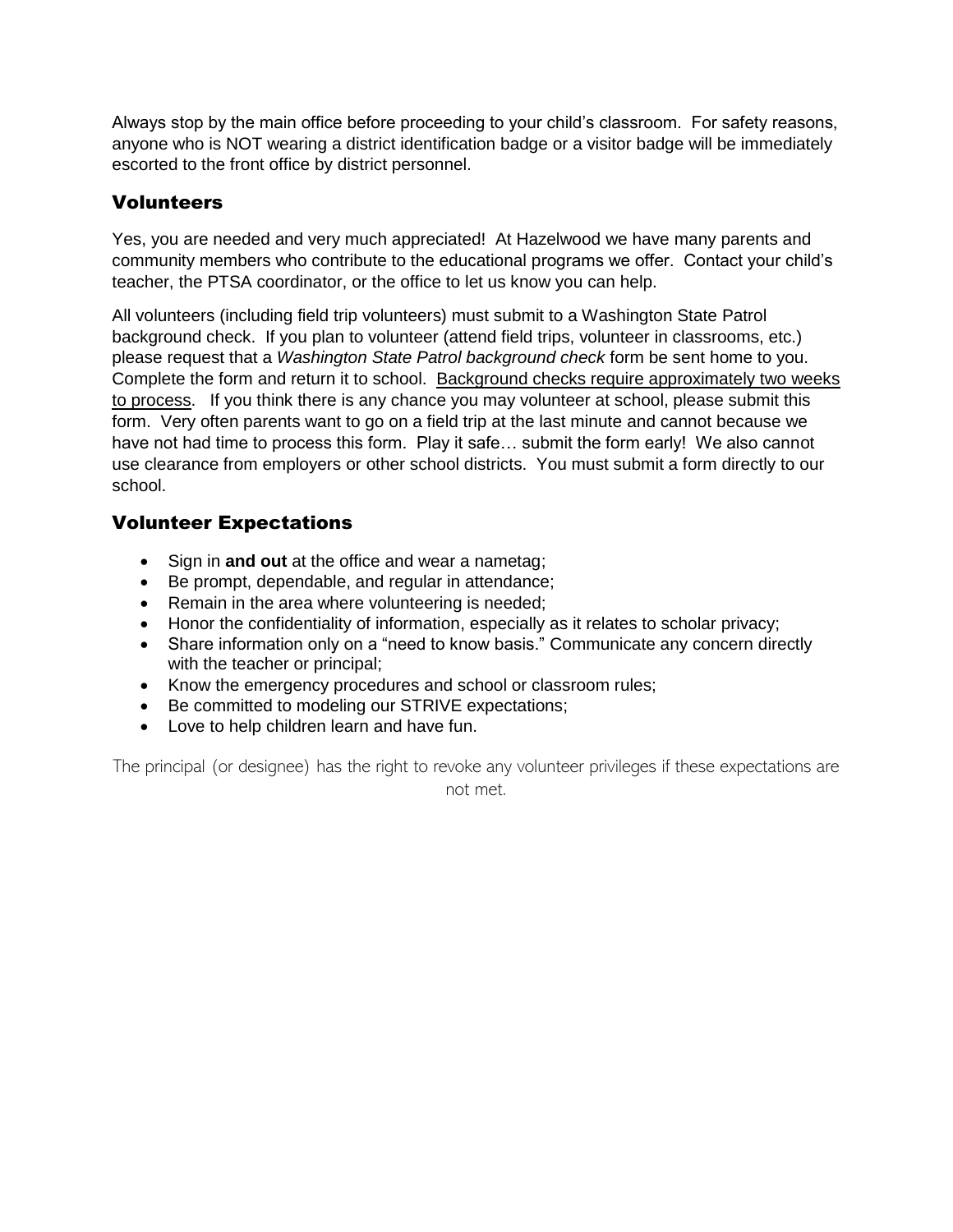Always stop by the main office before proceeding to your child's classroom. For safety reasons, anyone who is NOT wearing a district identification badge or a visitor badge will be immediately escorted to the front office by district personnel.

#### Volunteers

Yes, you are needed and very much appreciated! At Hazelwood we have many parents and community members who contribute to the educational programs we offer. Contact your child's teacher, the PTSA coordinator, or the office to let us know you can help.

All volunteers (including field trip volunteers) must submit to a Washington State Patrol background check. If you plan to volunteer (attend field trips, volunteer in classrooms, etc.) please request that a *Washington State Patrol background check* form be sent home to you. Complete the form and return it to school. Background checks require approximately two weeks to process. If you think there is any chance you may volunteer at school, please submit this form. Very often parents want to go on a field trip at the last minute and cannot because we have not had time to process this form. Play it safe… submit the form early! We also cannot use clearance from employers or other school districts. You must submit a form directly to our school.

#### Volunteer Expectations

- Sign in **and out** at the office and wear a nametag;
- Be prompt, dependable, and regular in attendance;
- Remain in the area where volunteering is needed;
- Honor the confidentiality of information, especially as it relates to scholar privacy;
- Share information only on a "need to know basis." Communicate any concern directly with the teacher or principal;
- Know the emergency procedures and school or classroom rules;
- Be committed to modeling our STRIVE expectations;
- Love to help children learn and have fun.

The principal (or designee) has the right to revoke any volunteer privileges if these expectations are not met.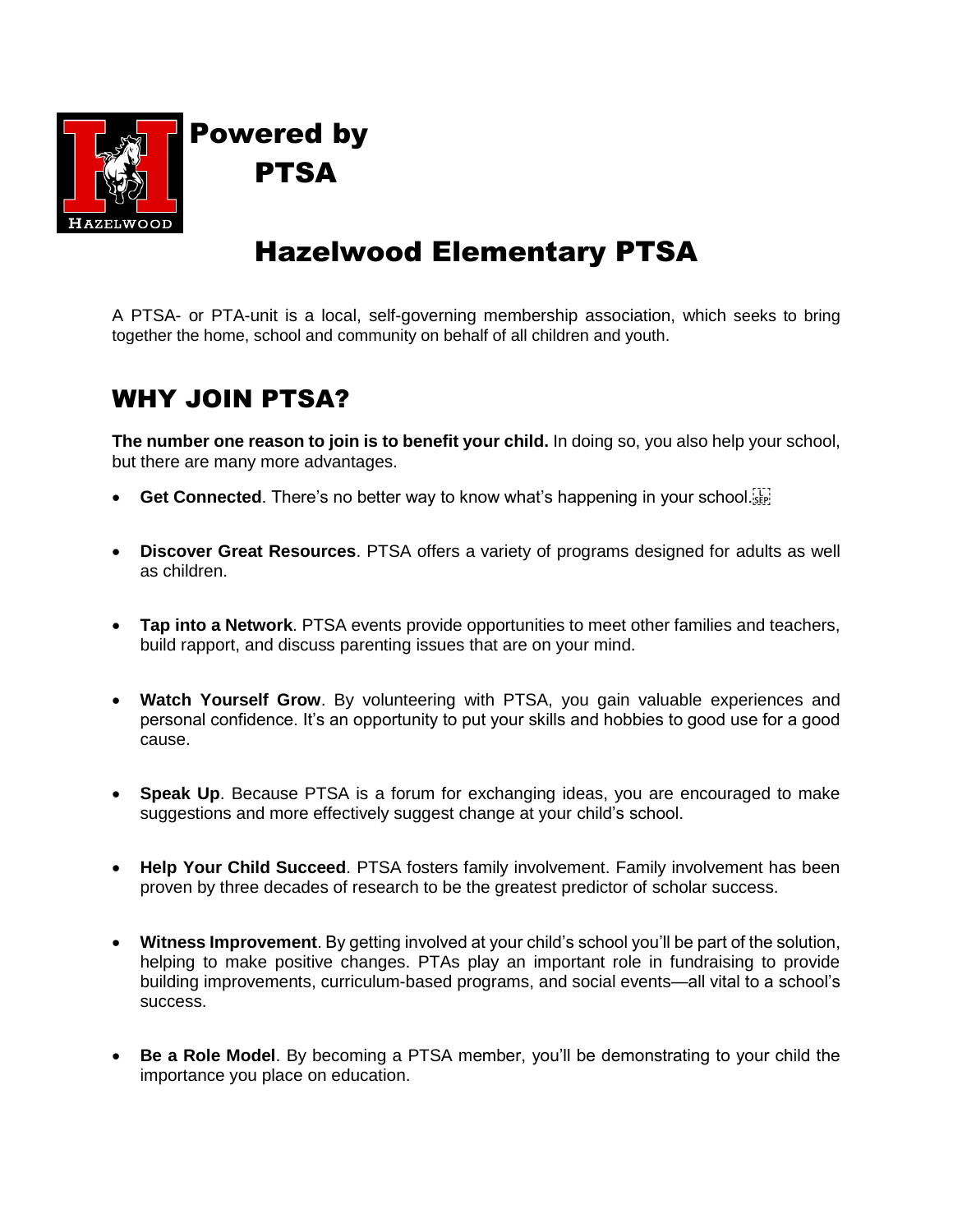

# Powered by PTSA

# Hazelwood Elementary PTSA

A PTSA- or PTA-unit is a local, self-governing membership association, which seeks to bring together the home, school and community on behalf of all children and youth.

# WHY JOIN PTSA?

**The number one reason to join is to benefit your child.** In doing so, you also help your school, but there are many more advantages.

- **Get Connected**. There's no better way to know what's happening in your school.
- **Discover Great Resources**. PTSA offers a variety of programs designed for adults as well as children.
- **Tap into a Network**. PTSA events provide opportunities to meet other families and teachers, build rapport, and discuss parenting issues that are on your mind.
- **Watch Yourself Grow**. By volunteering with PTSA, you gain valuable experiences and personal confidence. It's an opportunity to put your skills and hobbies to good use for a good cause.
- **Speak Up**. Because PTSA is a forum for exchanging ideas, you are encouraged to make suggestions and more effectively suggest change at your child's school.
- **Help Your Child Succeed**. PTSA fosters family involvement. Family involvement has been proven by three decades of research to be the greatest predictor of scholar success.
- **Witness Improvement**. By getting involved at your child's school you'll be part of the solution, helping to make positive changes. PTAs play an important role in fundraising to provide building improvements, curriculum-based programs, and social events—all vital to a school's success.
- **Be a Role Model**. By becoming a PTSA member, you'll be demonstrating to your child the importance you place on education.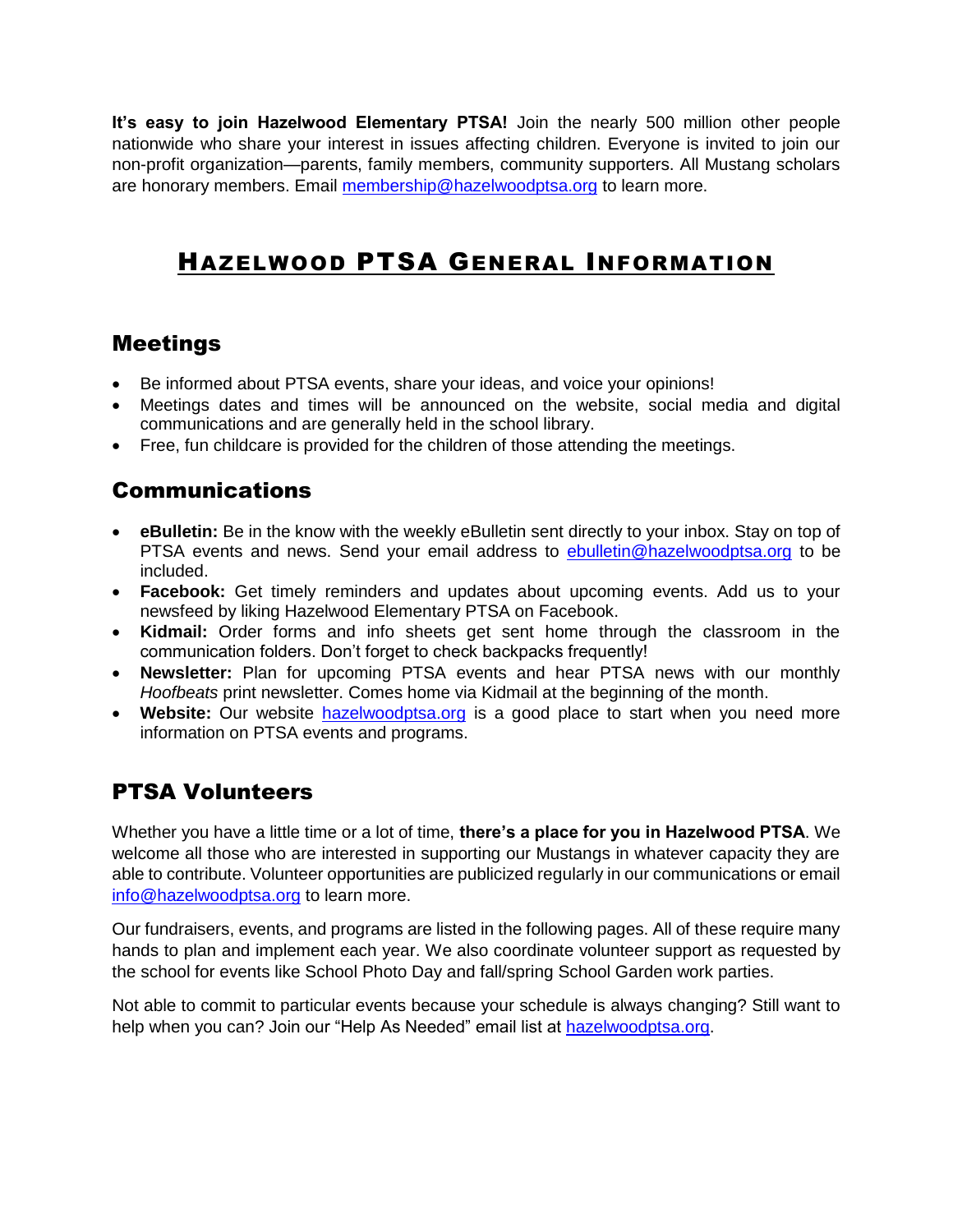**It's easy to join Hazelwood Elementary PTSA!** Join the nearly 500 million other people nationwide who share your interest in issues affecting children. Everyone is invited to join our non-profit organization—parents, family members, community supporters. All Mustang scholars are honorary members. Email [membership@hazelwoodptsa.org](mailto:membership@hazelwoodptsa.org) to learn more.

# HAZELWOOD PTSA GENERAL INFORMATION

### Meetings

- Be informed about PTSA events, share your ideas, and voice your opinions!
- Meetings dates and times will be announced on the website, social media and digital communications and are generally held in the school library.
- Free, fun childcare is provided for the children of those attending the meetings.

### Communications

- **eBulletin:** Be in the know with the weekly eBulletin sent directly to your inbox. Stay on top of PTSA events and news. Send your email address to **ebulletin@hazelwoodptsa.org** to be included.
- **Facebook:** Get timely reminders and updates about upcoming events. Add us to your newsfeed by liking Hazelwood Elementary PTSA on Facebook.
- **Kidmail:** Order forms and info sheets get sent home through the classroom in the communication folders. Don't forget to check backpacks frequently!
- **Newsletter:** Plan for upcoming PTSA events and hear PTSA news with our monthly *Hoofbeats* print newsletter. Comes home via Kidmail at the beginning of the month.
- **Website:** Our website [hazelwoodptsa.org](Hand%20Book%202018%202019%20changes/AppData/Local/Microsoft/Windows/Temporary%20Internet%20Files/Content.Outlook/C2HW6HY7/Debbie) is a good place to start when you need more information on PTSA events and programs.

# PTSA Volunteers

Whether you have a little time or a lot of time, **there's a place for you in Hazelwood PTSA**. We welcome all those who are interested in supporting our Mustangs in whatever capacity they are able to contribute. Volunteer opportunities are publicized regularly in our communications or email [info@hazelwoodptsa.org](mailto:info@hazelwoodptsa.org) to learn more.

Our fundraisers, events, and programs are listed in the following pages. All of these require many hands to plan and implement each year. We also coordinate volunteer support as requested by the school for events like School Photo Day and fall/spring School Garden work parties.

Not able to commit to particular events because your schedule is always changing? Still want to help when you can? Join our "Help As Needed" email list at [hazelwoodptsa.org.](Hand%20Book%202018%202019%20changes/AppData/Local/Microsoft/Windows/Temporary%20Internet%20Files/Content.Outlook/AppData/Local/Microsoft/Windows/Temporary%20Internet%20Files/Content.Outlook/C2HW6HY7/hazelwoodptsa.org)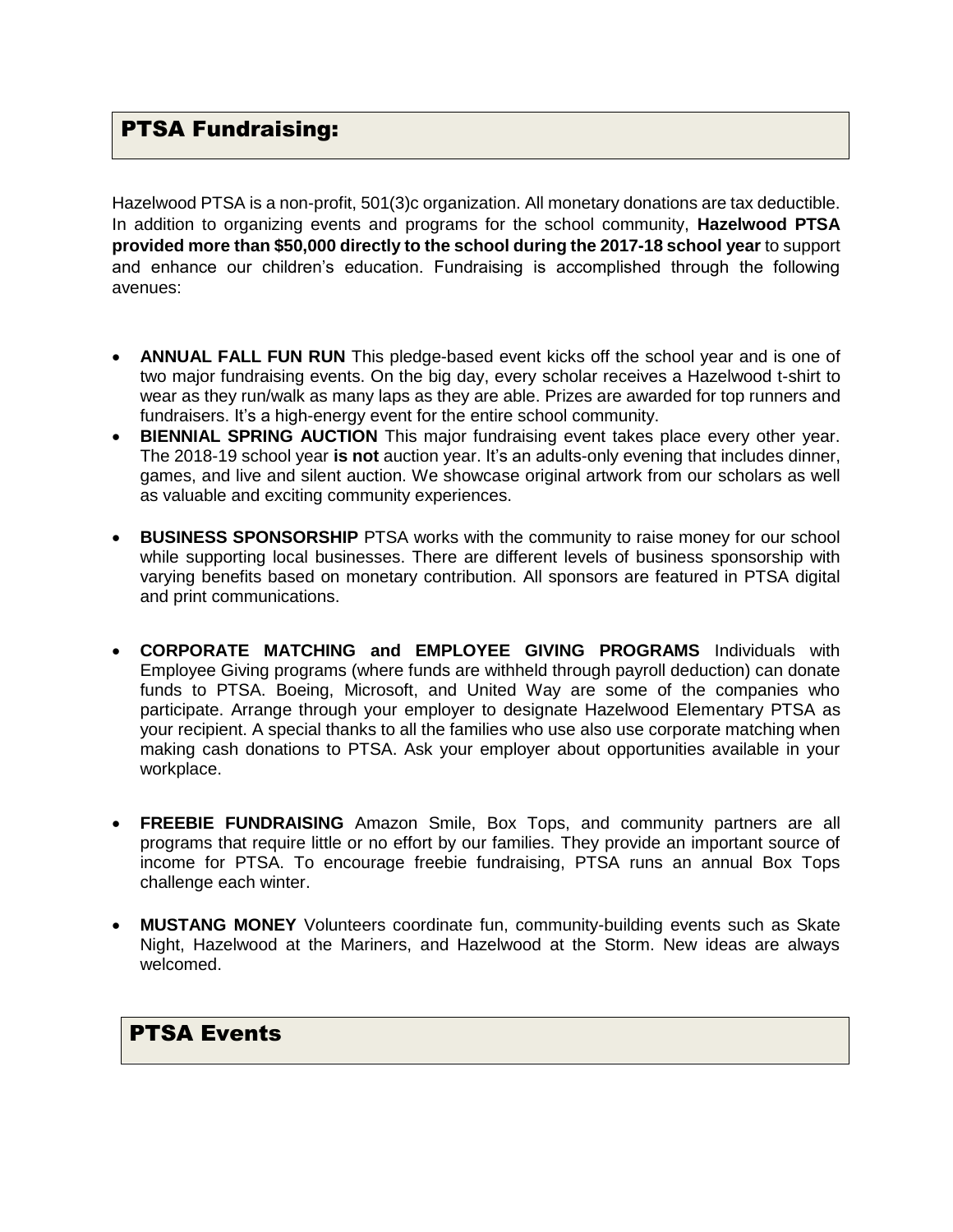#### PTSA Fundraising:

Hazelwood PTSA is a non-profit, 501(3)c organization. All monetary donations are tax deductible. In addition to organizing events and programs for the school community, **Hazelwood PTSA provided more than \$50,000 directly to the school during the 2017-18 school year** to support and enhance our children's education. Fundraising is accomplished through the following avenues:

- **ANNUAL FALL FUN RUN** This pledge-based event kicks off the school year and is one of two major fundraising events. On the big day, every scholar receives a Hazelwood t-shirt to wear as they run/walk as many laps as they are able. Prizes are awarded for top runners and fundraisers. It's a high-energy event for the entire school community.
- **BIENNIAL SPRING AUCTION** This major fundraising event takes place every other year. The 2018-19 school year **is not** auction year. It's an adults-only evening that includes dinner, games, and live and silent auction. We showcase original artwork from our scholars as well as valuable and exciting community experiences.
- **BUSINESS SPONSORSHIP** PTSA works with the community to raise money for our school while supporting local businesses. There are different levels of business sponsorship with varying benefits based on monetary contribution. All sponsors are featured in PTSA digital and print communications.
- **CORPORATE MATCHING and EMPLOYEE GIVING PROGRAMS** Individuals with Employee Giving programs (where funds are withheld through payroll deduction) can donate funds to PTSA. Boeing, Microsoft, and United Way are some of the companies who participate. Arrange through your employer to designate Hazelwood Elementary PTSA as your recipient. A special thanks to all the families who use also use corporate matching when making cash donations to PTSA. Ask your employer about opportunities available in your workplace.
- **FREEBIE FUNDRAISING** Amazon Smile, Box Tops, and community partners are all programs that require little or no effort by our families. They provide an important source of income for PTSA. To encourage freebie fundraising, PTSA runs an annual Box Tops challenge each winter.
- **MUSTANG MONEY** Volunteers coordinate fun, community-building events such as Skate Night, Hazelwood at the Mariners, and Hazelwood at the Storm. New ideas are always welcomed.

#### PTSA Events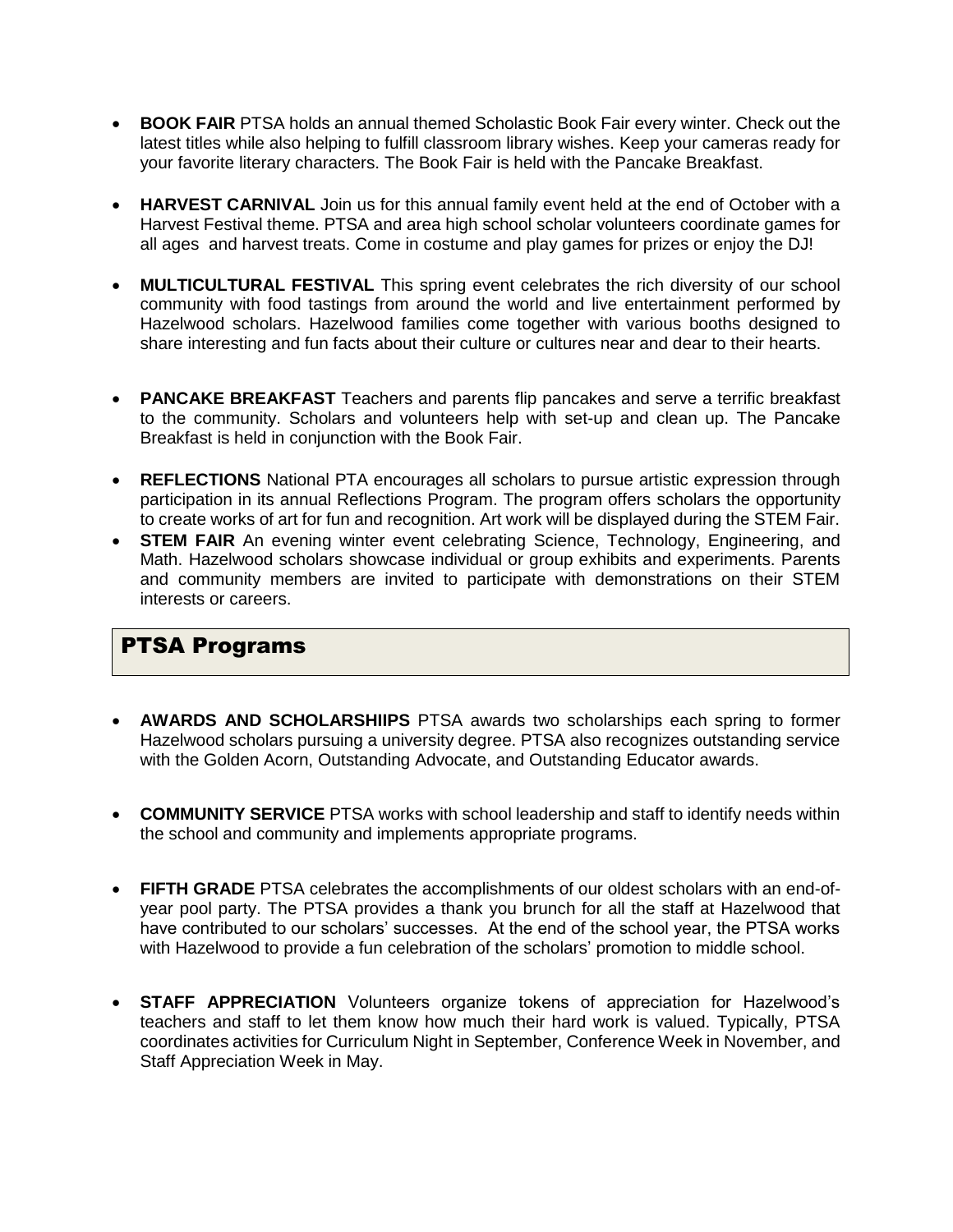- **BOOK FAIR** PTSA holds an annual themed Scholastic Book Fair every winter. Check out the latest titles while also helping to fulfill classroom library wishes. Keep your cameras ready for your favorite literary characters. The Book Fair is held with the Pancake Breakfast.
- **HARVEST CARNIVAL** Join us for this annual family event held at the end of October with a Harvest Festival theme. PTSA and area high school scholar volunteers coordinate games for all ages and harvest treats. Come in costume and play games for prizes or enjoy the DJ!
- **MULTICULTURAL FESTIVAL** This spring event celebrates the rich diversity of our school community with food tastings from around the world and live entertainment performed by Hazelwood scholars. Hazelwood families come together with various booths designed to share interesting and fun facts about their culture or cultures near and dear to their hearts.
- **PANCAKE BREAKFAST** Teachers and parents flip pancakes and serve a terrific breakfast to the community. Scholars and volunteers help with set-up and clean up. The Pancake Breakfast is held in conjunction with the Book Fair.
- **REFLECTIONS** National PTA encourages all scholars to pursue artistic expression through participation in its annual Reflections Program. The program offers scholars the opportunity to create works of art for fun and recognition. Art work will be displayed during the STEM Fair.
- **STEM FAIR** An evening winter event celebrating Science, Technology, Engineering, and Math. Hazelwood scholars showcase individual or group exhibits and experiments. Parents and community members are invited to participate with demonstrations on their STEM interests or careers.

# PTSA Programs

- **AWARDS AND SCHOLARSHIIPS** PTSA awards two scholarships each spring to former Hazelwood scholars pursuing a university degree. PTSA also recognizes outstanding service with the Golden Acorn, Outstanding Advocate, and Outstanding Educator awards.
- **COMMUNITY SERVICE** PTSA works with school leadership and staff to identify needs within the school and community and implements appropriate programs.
- **FIFTH GRADE** PTSA celebrates the accomplishments of our oldest scholars with an end-ofyear pool party. The PTSA provides a thank you brunch for all the staff at Hazelwood that have contributed to our scholars' successes. At the end of the school year, the PTSA works with Hazelwood to provide a fun celebration of the scholars' promotion to middle school.
- **STAFF APPRECIATION** Volunteers organize tokens of appreciation for Hazelwood's teachers and staff to let them know how much their hard work is valued. Typically, PTSA coordinates activities for Curriculum Night in September, Conference Week in November, and Staff Appreciation Week in May.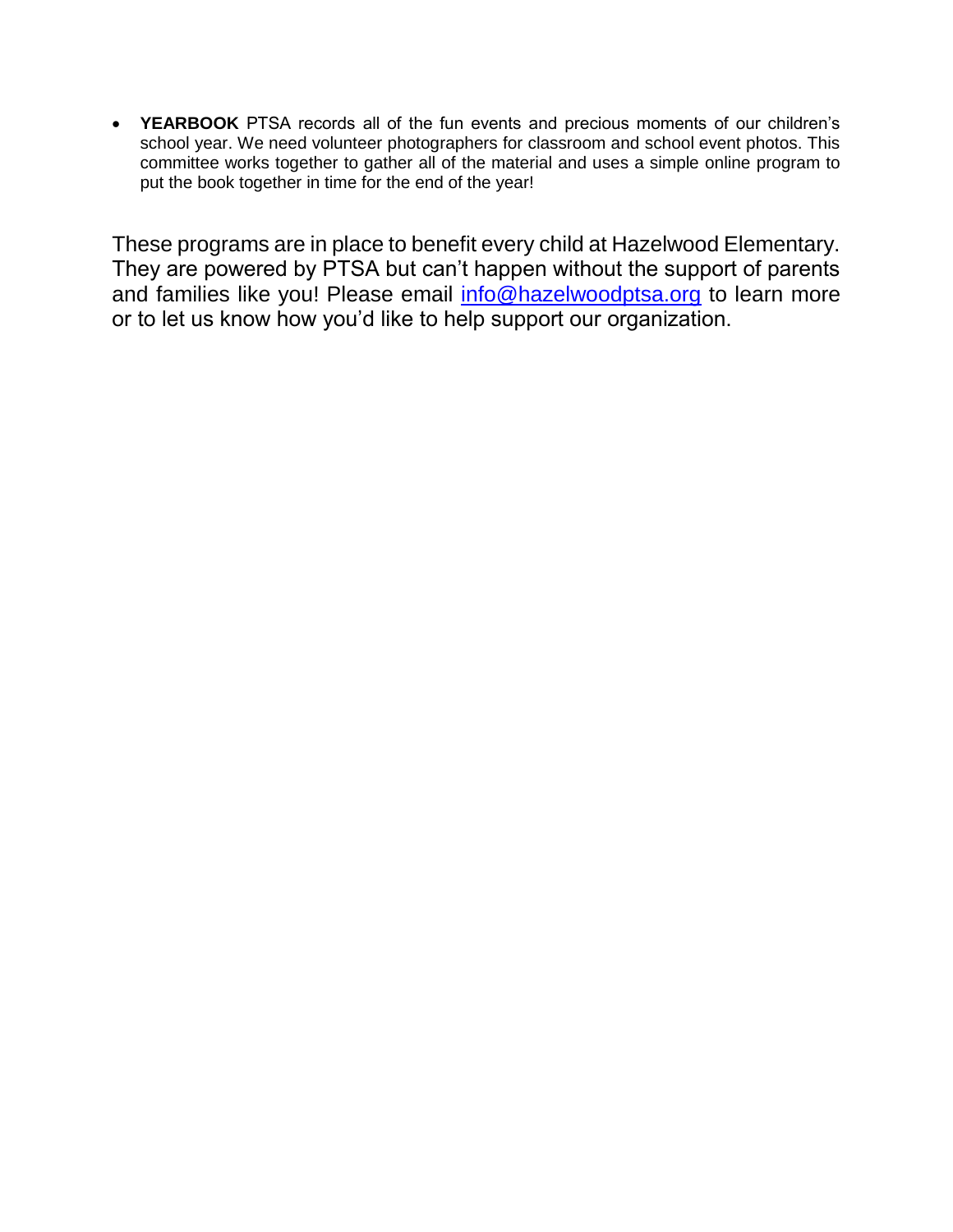• **YEARBOOK** PTSA records all of the fun events and precious moments of our children's school year. We need volunteer photographers for classroom and school event photos. This committee works together to gather all of the material and uses a simple online program to put the book together in time for the end of the year!

These programs are in place to benefit every child at Hazelwood Elementary. They are powered by PTSA but can't happen without the support of parents and families like you! Please email [info@hazelwoodptsa.org](mailto:info@hazelwoodptsa.org) to learn more or to let us know how you'd like to help support our organization.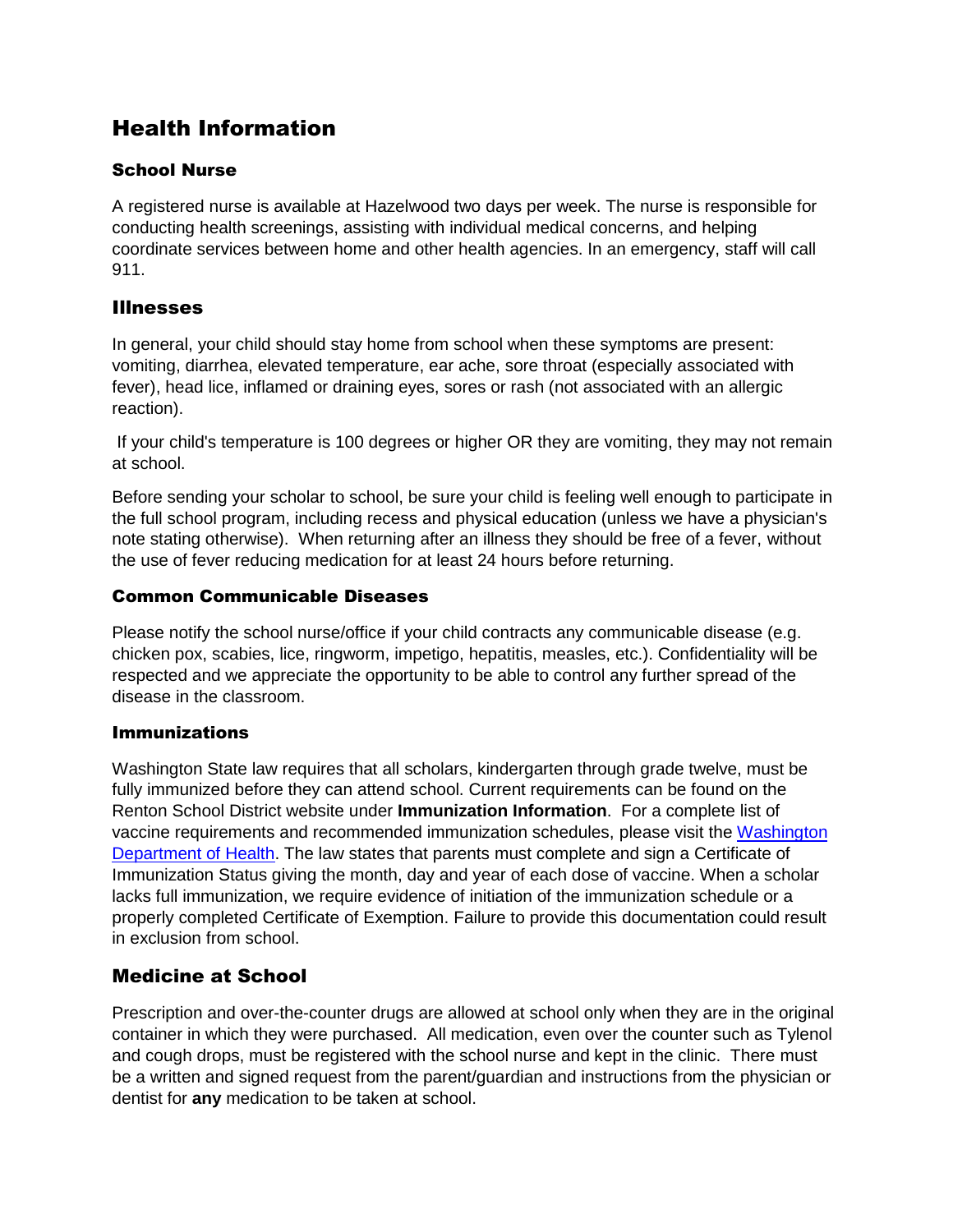# Health Information

#### School Nurse

A registered nurse is available at Hazelwood two days per week. The nurse is responsible for conducting health screenings, assisting with individual medical concerns, and helping coordinate services between home and other health agencies. In an emergency, staff will call 911.

#### Illnesses

In general, your child should stay home from school when these symptoms are present: vomiting, diarrhea, elevated temperature, ear ache, sore throat (especially associated with fever), head lice, inflamed or draining eyes, sores or rash (not associated with an allergic reaction).

If your child's temperature is 100 degrees or higher OR they are vomiting, they may not remain at school.

Before sending your scholar to school, be sure your child is feeling well enough to participate in the full school program, including recess and physical education (unless we have a physician's note stating otherwise). When returning after an illness they should be free of a fever, without the use of fever reducing medication for at least 24 hours before returning.

#### Common Communicable Diseases

Please notify the school nurse/office if your child contracts any communicable disease (e.g. chicken pox, scabies, lice, ringworm, impetigo, hepatitis, measles, etc.). Confidentiality will be respected and we appreciate the opportunity to be able to control any further spread of the disease in the classroom.

#### Immunizations

Washington State law requires that all scholars, kindergarten through grade twelve, must be fully immunized before they can attend school. Current requirements can be found on the Renton School District website under **Immunization Information**. For a complete list of vaccine requirements and recommended immunization schedules, please visit the [Washington](https://www.doh.wa.gov/)  [Department of Health.](https://www.doh.wa.gov/) The law states that parents must complete and sign a Certificate of Immunization Status giving the month, day and year of each dose of vaccine. When a scholar lacks full immunization, we require evidence of initiation of the immunization schedule or a properly completed Certificate of Exemption. Failure to provide this documentation could result in exclusion from school.

#### Medicine at School

Prescription and over-the-counter drugs are allowed at school only when they are in the original container in which they were purchased. All medication, even over the counter such as Tylenol and cough drops, must be registered with the school nurse and kept in the clinic. There must be a written and signed request from the parent/guardian and instructions from the physician or dentist for **any** medication to be taken at school.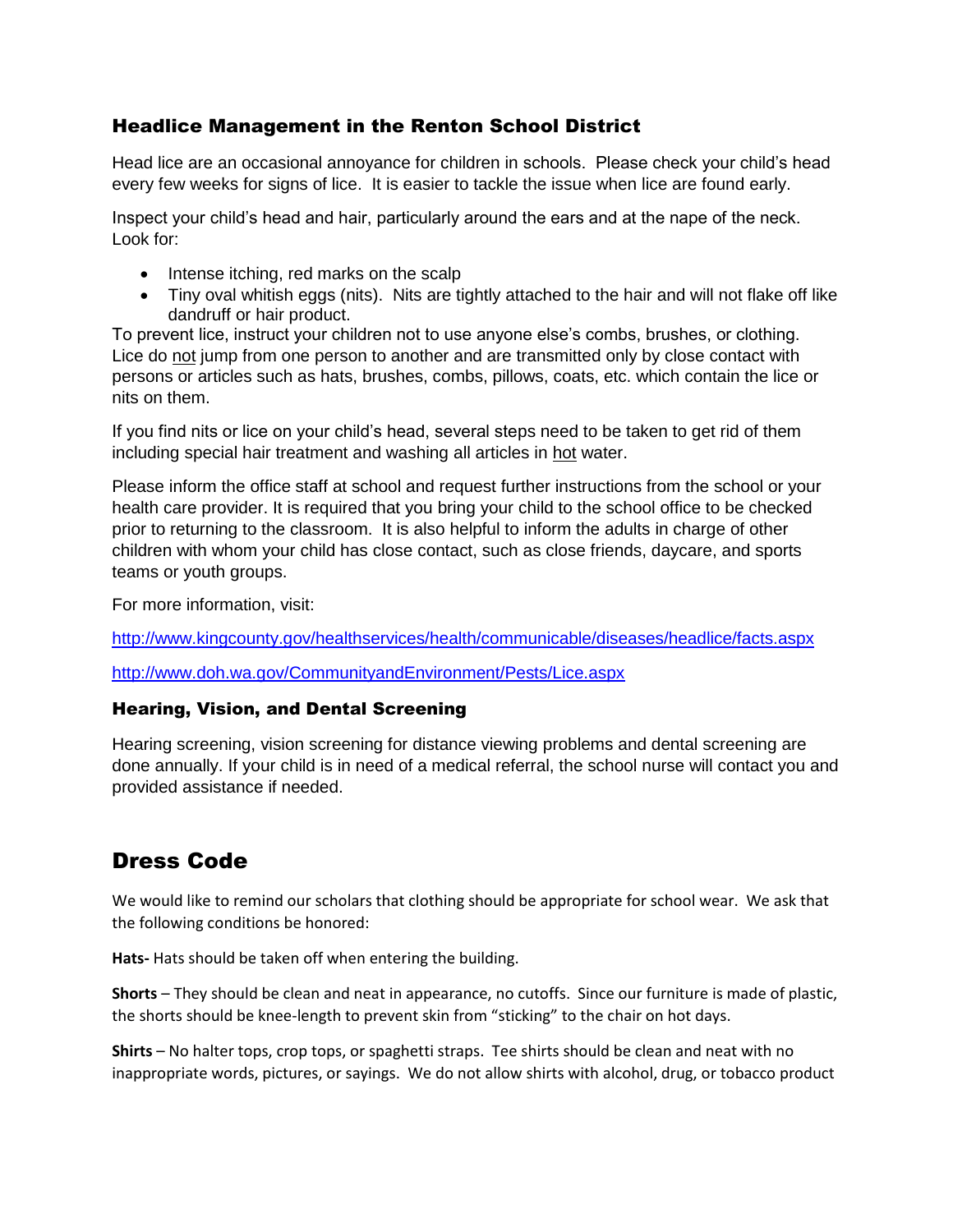#### Headlice Management in the Renton School District

Head lice are an occasional annoyance for children in schools. Please check your child's head every few weeks for signs of lice. It is easier to tackle the issue when lice are found early.

Inspect your child's head and hair, particularly around the ears and at the nape of the neck. Look for:

- Intense itching, red marks on the scalp
- Tiny oval whitish eggs (nits). Nits are tightly attached to the hair and will not flake off like dandruff or hair product.

To prevent lice, instruct your children not to use anyone else's combs, brushes, or clothing. Lice do not jump from one person to another and are transmitted only by close contact with persons or articles such as hats, brushes, combs, pillows, coats, etc. which contain the lice or nits on them.

If you find nits or lice on your child's head, several steps need to be taken to get rid of them including special hair treatment and washing all articles in hot water.

Please inform the office staff at school and request further instructions from the school or your health care provider. It is required that you bring your child to the school office to be checked prior to returning to the classroom. It is also helpful to inform the adults in charge of other children with whom your child has close contact, such as close friends, daycare, and sports teams or youth groups.

For more information, visit:

<http://www.kingcounty.gov/healthservices/health/communicable/diseases/headlice/facts.aspx>

<http://www.doh.wa.gov/CommunityandEnvironment/Pests/Lice.aspx>

#### Hearing, Vision, and Dental Screening

Hearing screening, vision screening for distance viewing problems and dental screening are done annually. If your child is in need of a medical referral, the school nurse will contact you and provided assistance if needed.

# Dress Code

We would like to remind our scholars that clothing should be appropriate for school wear. We ask that the following conditions be honored:

**Hats-** Hats should be taken off when entering the building.

**Shorts** – They should be clean and neat in appearance, no cutoffs. Since our furniture is made of plastic, the shorts should be knee-length to prevent skin from "sticking" to the chair on hot days.

**Shirts** – No halter tops, crop tops, or spaghetti straps. Tee shirts should be clean and neat with no inappropriate words, pictures, or sayings. We do not allow shirts with alcohol, drug, or tobacco product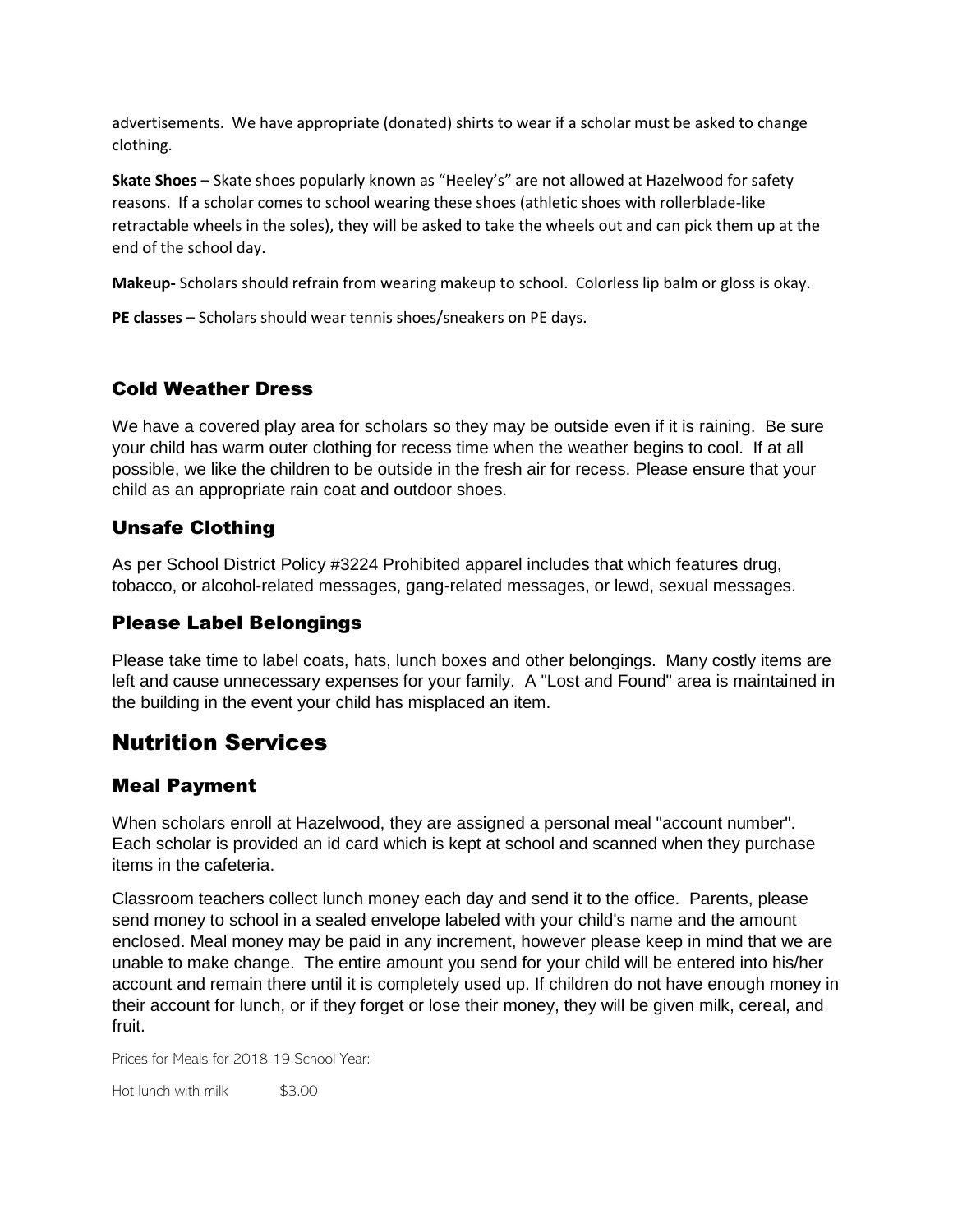advertisements. We have appropriate (donated) shirts to wear if a scholar must be asked to change clothing.

**Skate Shoes** – Skate shoes popularly known as "Heeley's" are not allowed at Hazelwood for safety reasons. If a scholar comes to school wearing these shoes (athletic shoes with rollerblade-like retractable wheels in the soles), they will be asked to take the wheels out and can pick them up at the end of the school day.

**Makeup-** Scholars should refrain from wearing makeup to school. Colorless lip balm or gloss is okay.

**PE classes** – Scholars should wear tennis shoes/sneakers on PE days.

#### Cold Weather Dress

We have a covered play area for scholars so they may be outside even if it is raining. Be sure your child has warm outer clothing for recess time when the weather begins to cool. If at all possible, we like the children to be outside in the fresh air for recess. Please ensure that your child as an appropriate rain coat and outdoor shoes.

#### Unsafe Clothing

As per School District Policy #3224 Prohibited apparel includes that which features drug, tobacco, or alcohol-related messages, gang-related messages, or lewd, sexual messages.

#### Please Label Belongings

Please take time to label coats, hats, lunch boxes and other belongings. Many costly items are left and cause unnecessary expenses for your family. A "Lost and Found" area is maintained in the building in the event your child has misplaced an item.

# Nutrition Services

#### Meal Payment

When scholars enroll at Hazelwood, they are assigned a personal meal "account number". Each scholar is provided an id card which is kept at school and scanned when they purchase items in the cafeteria.

Classroom teachers collect lunch money each day and send it to the office. Parents, please send money to school in a sealed envelope labeled with your child's name and the amount enclosed. Meal money may be paid in any increment, however please keep in mind that we are unable to make change. The entire amount you send for your child will be entered into his/her account and remain there until it is completely used up. If children do not have enough money in their account for lunch, or if they forget or lose their money, they will be given milk, cereal, and fruit.

Prices for Meals for 2018-19 School Year:

Hot lunch with milk  $$3.00$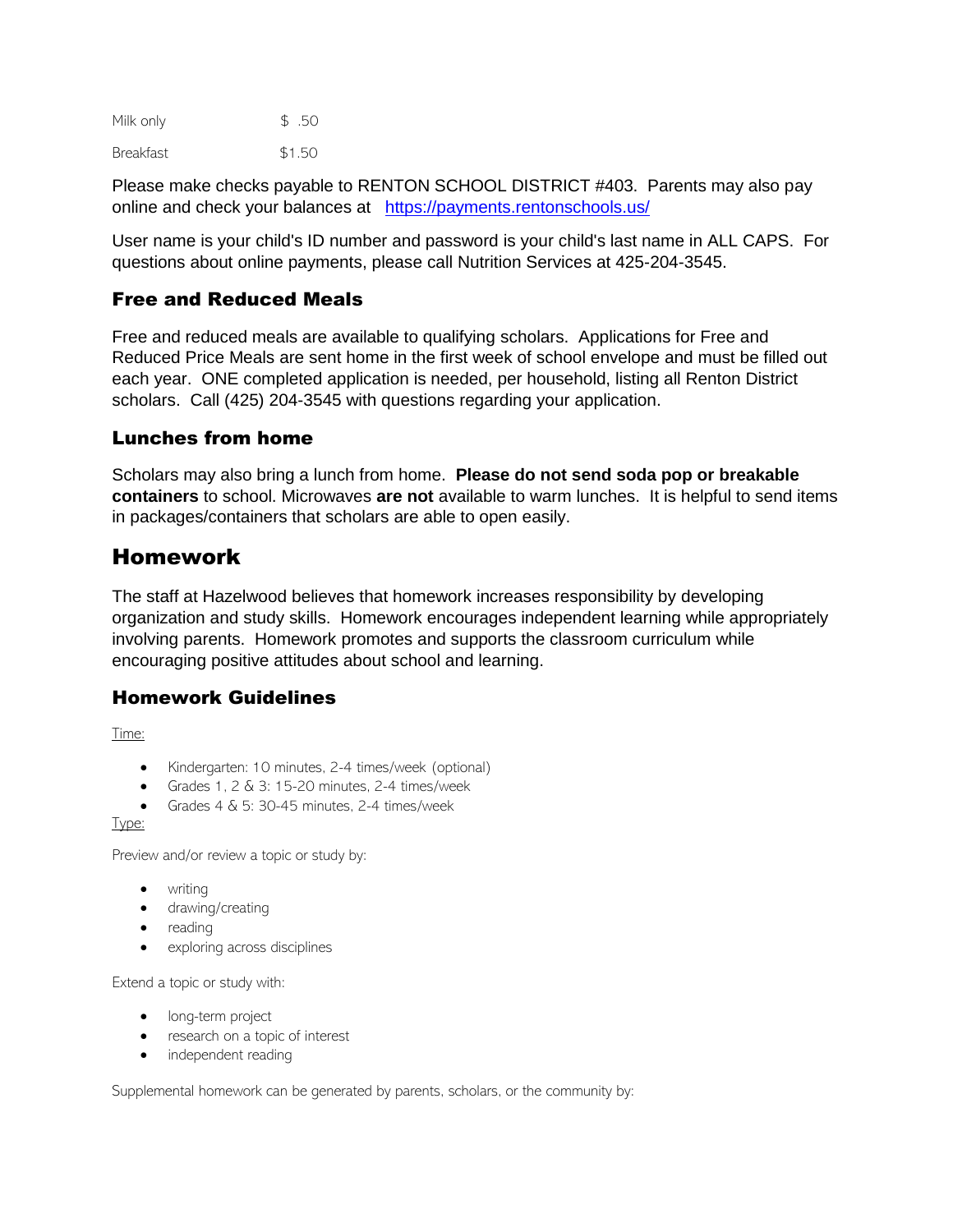| Milk only        | \$.50  |
|------------------|--------|
| <b>Breakfast</b> | \$1.50 |

Please make checks payable to RENTON SCHOOL DISTRICT #403. Parents may also pay online and check your balances at <https://payments.rentonschools.us/>

User name is your child's ID number and password is your child's last name in ALL CAPS. For questions about online payments, please call Nutrition Services at 425-204-3545.

#### Free and Reduced Meals

Free and reduced meals are available to qualifying scholars. Applications for Free and Reduced Price Meals are sent home in the first week of school envelope and must be filled out each year. ONE completed application is needed, per household, listing all Renton District scholars. Call (425) 204-3545 with questions regarding your application.

#### Lunches from home

Scholars may also bring a lunch from home. **Please do not send soda pop or breakable containers** to school. Microwaves **are not** available to warm lunches. It is helpful to send items in packages/containers that scholars are able to open easily.

### Homework

The staff at Hazelwood believes that homework increases responsibility by developing organization and study skills. Homework encourages independent learning while appropriately involving parents. Homework promotes and supports the classroom curriculum while encouraging positive attitudes about school and learning.

#### Homework Guidelines

Time:

- Kindergarten: 10 minutes, 2-4 times/week (optional)
- Grades 1,  $2 \& 3$ : 15-20 minutes,  $2-4$  times/week
- Grades 4 & 5: 30-45 minutes, 2-4 times/week

Type:

Preview and/or review a topic or study by:

- writing
- drawing/creating
- reading
- exploring across disciplines

Extend a topic or study with:

- long-term project
- research on a topic of interest
- independent reading

Supplemental homework can be generated by parents, scholars, or the community by: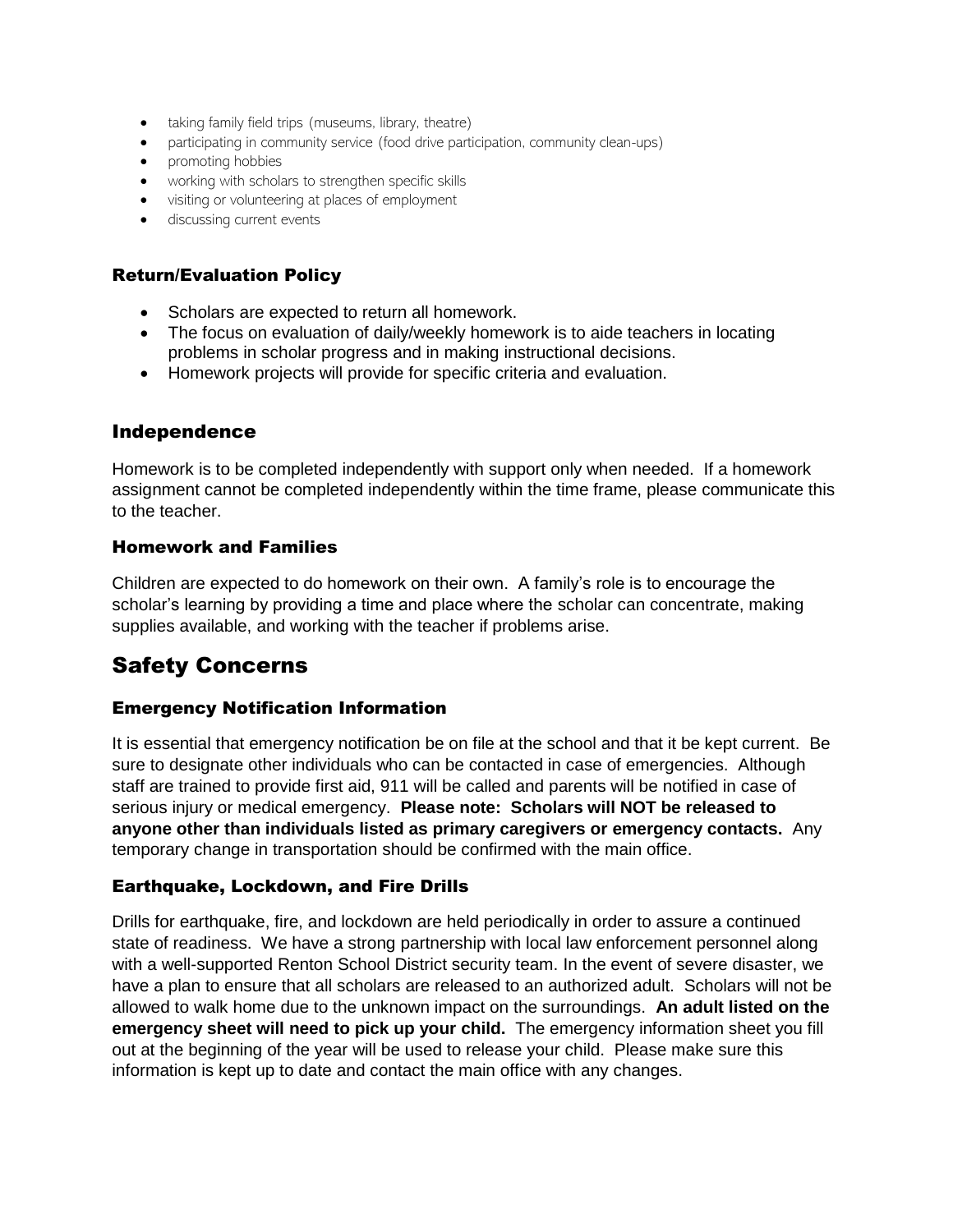- taking family field trips (museums, library, theatre)
- participating in community service (food drive participation, community clean-ups)
- promoting hobbies
- working with scholars to strengthen specific skills
- visiting or volunteering at places of employment
- discussing current events

#### Return/Evaluation Policy

- Scholars are expected to return all homework.
- The focus on evaluation of daily/weekly homework is to aide teachers in locating problems in scholar progress and in making instructional decisions.
- Homework projects will provide for specific criteria and evaluation.

#### Independence

Homework is to be completed independently with support only when needed. If a homework assignment cannot be completed independently within the time frame, please communicate this to the teacher.

#### Homework and Families

Children are expected to do homework on their own. A family's role is to encourage the scholar's learning by providing a time and place where the scholar can concentrate, making supplies available, and working with the teacher if problems arise.

### Safety Concerns

#### Emergency Notification Information

It is essential that emergency notification be on file at the school and that it be kept current. Be sure to designate other individuals who can be contacted in case of emergencies. Although staff are trained to provide first aid, 911 will be called and parents will be notified in case of serious injury or medical emergency. **Please note: Scholars will NOT be released to anyone other than individuals listed as primary caregivers or emergency contacts.** Any temporary change in transportation should be confirmed with the main office.

#### Earthquake, Lockdown, and Fire Drills

Drills for earthquake, fire, and lockdown are held periodically in order to assure a continued state of readiness. We have a strong partnership with local law enforcement personnel along with a well-supported Renton School District security team. In the event of severe disaster, we have a plan to ensure that all scholars are released to an authorized adult. Scholars will not be allowed to walk home due to the unknown impact on the surroundings. **An adult listed on the emergency sheet will need to pick up your child.** The emergency information sheet you fill out at the beginning of the year will be used to release your child. Please make sure this information is kept up to date and contact the main office with any changes.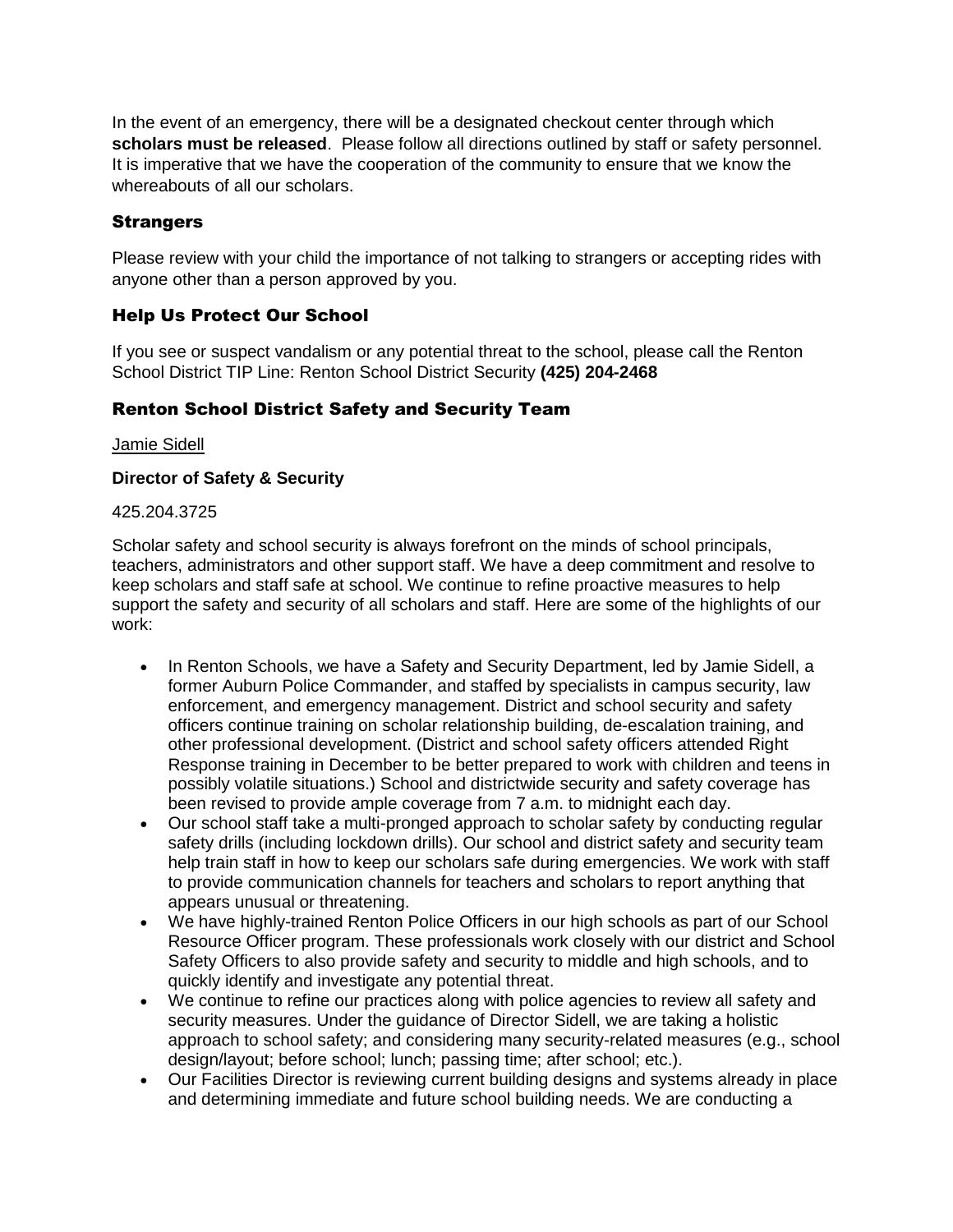In the event of an emergency, there will be a designated checkout center through which **scholars must be released**. Please follow all directions outlined by staff or safety personnel. It is imperative that we have the cooperation of the community to ensure that we know the whereabouts of all our scholars.

#### **Strangers**

Please review with your child the importance of not talking to strangers or accepting rides with anyone other than a person approved by you.

#### Help Us Protect Our School

If you see or suspect vandalism or any potential threat to the school, please call the Renton School District TIP Line: Renton School District Security **(425) 204-2468**

#### Renton School District Safety and Security Team

[Jamie Sidell](mailto:charles.sidell@rentonschools.us)

#### **Director of Safety & Security**

#### 425.204.3725

Scholar safety and school security is always forefront on the minds of school principals, teachers, administrators and other support staff. We have a deep commitment and resolve to keep scholars and staff safe at school. We continue to refine proactive measures to help support the safety and security of all scholars and staff. Here are some of the highlights of our work:

- In Renton Schools, we have a Safety and Security Department, led by Jamie Sidell, a former Auburn Police Commander, and staffed by specialists in campus security, law enforcement, and emergency management. District and school security and safety officers continue training on scholar relationship building, de-escalation training, and other professional development. (District and school safety officers attended Right Response training in December to be better prepared to work with children and teens in possibly volatile situations.) School and districtwide security and safety coverage has been revised to provide ample coverage from 7 a.m. to midnight each day.
- Our school staff take a multi-pronged approach to scholar safety by conducting regular safety drills (including lockdown drills). Our school and district safety and security team help train staff in how to keep our scholars safe during emergencies. We work with staff to provide communication channels for teachers and scholars to report anything that appears unusual or threatening.
- We have highly-trained Renton Police Officers in our high schools as part of our School Resource Officer program. These professionals work closely with our district and School Safety Officers to also provide safety and security to middle and high schools, and to quickly identify and investigate any potential threat.
- We continue to refine our practices along with police agencies to review all safety and security measures. Under the guidance of Director Sidell, we are taking a holistic approach to school safety; and considering many security-related measures (e.g., school design/layout; before school; lunch; passing time; after school; etc.).
- Our Facilities Director is reviewing current building designs and systems already in place and determining immediate and future school building needs. We are conducting a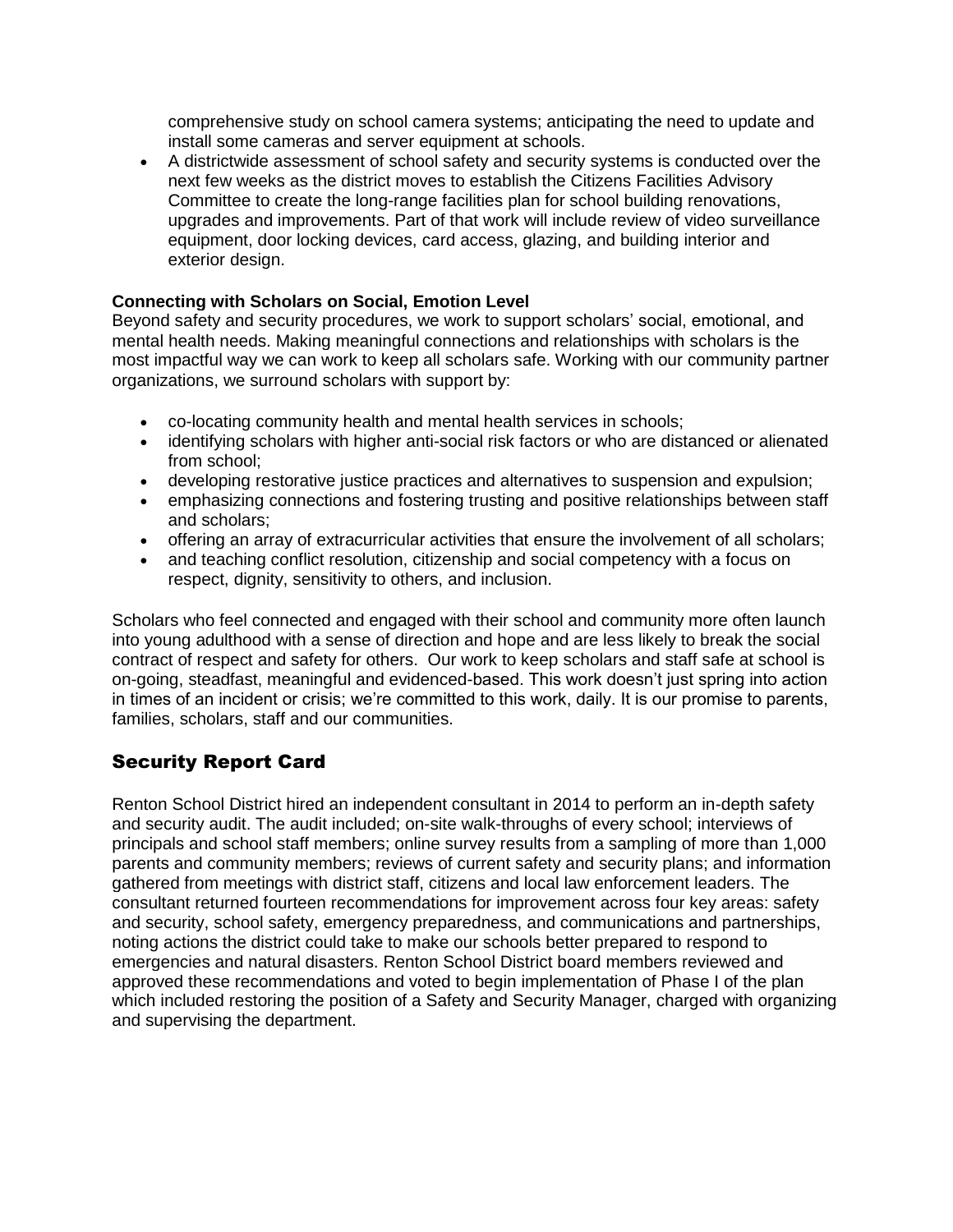comprehensive study on school camera systems; anticipating the need to update and install some cameras and server equipment at schools.

• A districtwide assessment of school safety and security systems is conducted over the next few weeks as the district moves to establish the Citizens Facilities Advisory Committee to create the long-range facilities plan for school building renovations, upgrades and improvements. Part of that work will include review of video surveillance equipment, door locking devices, card access, glazing, and building interior and exterior design.

#### **Connecting with Scholars on Social, Emotion Level**

Beyond safety and security procedures, we work to support scholars' social, emotional, and mental health needs. Making meaningful connections and relationships with scholars is the most impactful way we can work to keep all scholars safe. Working with our community partner organizations, we surround scholars with support by:

- co-locating community health and mental health services in schools;
- identifying scholars with higher anti-social risk factors or who are distanced or alienated from school;
- developing restorative justice practices and alternatives to suspension and expulsion;
- emphasizing connections and fostering trusting and positive relationships between staff and scholars;
- offering an array of extracurricular activities that ensure the involvement of all scholars;
- and teaching conflict resolution, citizenship and social competency with a focus on respect, dignity, sensitivity to others, and inclusion.

Scholars who feel connected and engaged with their school and community more often launch into young adulthood with a sense of direction and hope and are less likely to break the social contract of respect and safety for others. Our work to keep scholars and staff safe at school is on-going, steadfast, meaningful and evidenced-based. This work doesn't just spring into action in times of an incident or crisis; we're committed to this work, daily. It is our promise to parents, families, scholars, staff and our communities.

#### Security Report Card

Renton School District hired an independent consultant in 2014 to perform an in-depth safety and security audit. The audit included; on-site walk-throughs of every school; interviews of principals and school staff members; online survey results from a sampling of more than 1,000 parents and community members; reviews of current safety and security plans; and information gathered from meetings with district staff, citizens and local law enforcement leaders. The consultant returned fourteen recommendations for improvement across four key areas: safety and security, school safety, emergency preparedness, and communications and partnerships, noting actions the district could take to make our schools better prepared to respond to emergencies and natural disasters. Renton School District board members reviewed and approved these recommendations and voted to begin implementation of Phase I of the plan which included restoring the position of a Safety and Security Manager, charged with organizing and supervising the department.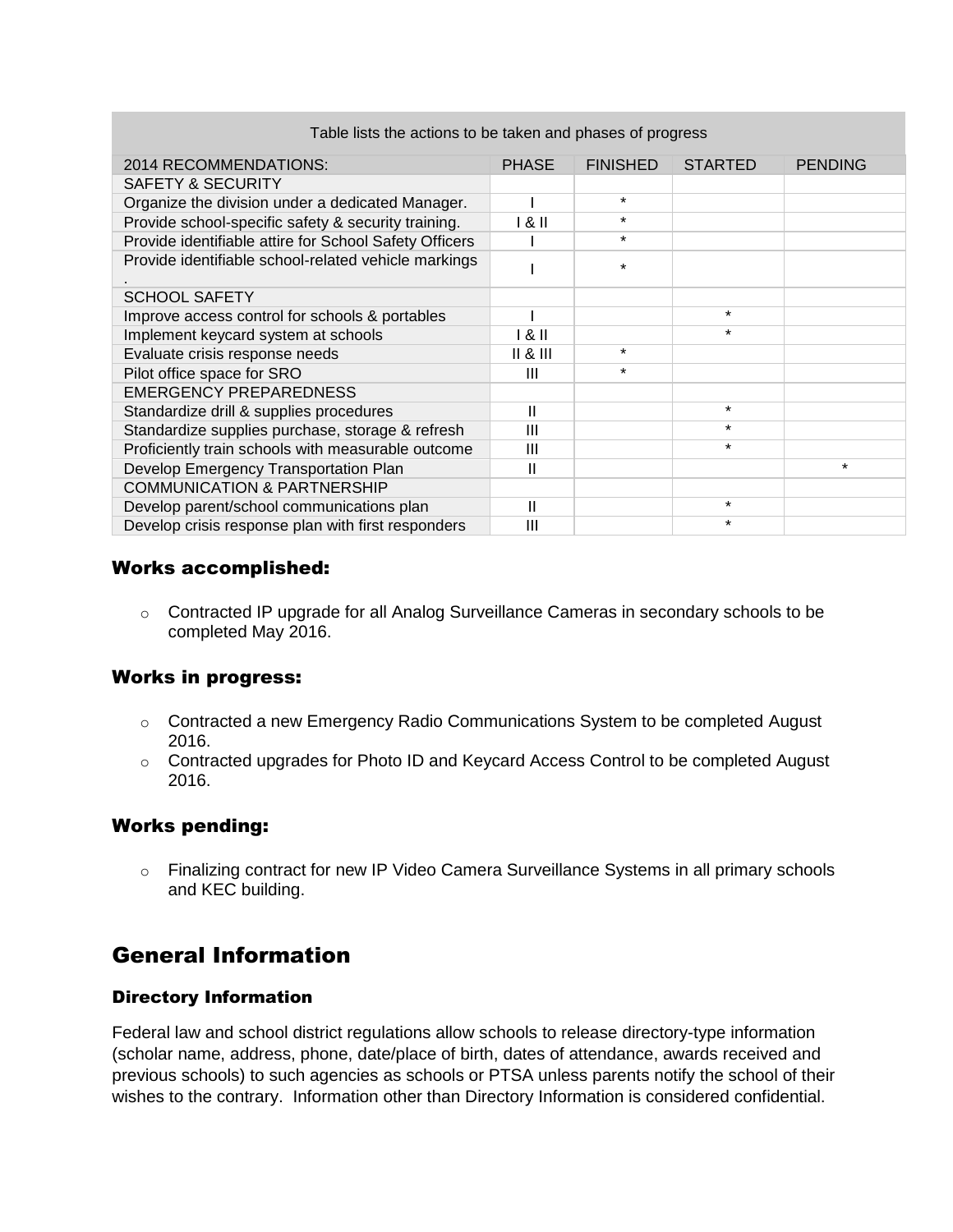| 2014 RECOMMENDATIONS:                                  | <b>PHASE</b>   | <b>FINISHED</b> | <b>STARTED</b> | <b>PENDING</b> |
|--------------------------------------------------------|----------------|-----------------|----------------|----------------|
| SAFETY & SECURITY                                      |                |                 |                |                |
| Organize the division under a dedicated Manager.       |                | $\star$         |                |                |
| Provide school-specific safety & security training.    | 181            | $\star$         |                |                |
| Provide identifiable attire for School Safety Officers |                | $\star$         |                |                |
| Provide identifiable school-related vehicle markings   |                | $\star$         |                |                |
| <b>SCHOOL SAFETY</b>                                   |                |                 |                |                |
| Improve access control for schools & portables         |                |                 | $\star$        |                |
| Implement keycard system at schools                    | 181            |                 | $\star$        |                |
| Evaluate crisis response needs                         | $II & 8$ $III$ | $\star$         |                |                |
| Pilot office space for SRO                             | Ш              | $\star$         |                |                |
| <b>EMERGENCY PREPAREDNESS</b>                          |                |                 |                |                |
| Standardize drill & supplies procedures                | Ш              |                 | $\star$        |                |
| Standardize supplies purchase, storage & refresh       | Ш              |                 | $\star$        |                |
| Proficiently train schools with measurable outcome     | Ш              |                 | $\star$        |                |
| Develop Emergency Transportation Plan                  | Ш              |                 |                | *              |
| <b>COMMUNICATION &amp; PARTNERSHIP</b>                 |                |                 |                |                |
| Develop parent/school communications plan              | Ш              |                 | $\star$        |                |
| Develop crisis response plan with first responders     | Ш              |                 | $\star$        |                |

#### Table lists the actions to be taken and phases of progress

#### Works accomplished:

o Contracted IP upgrade for all Analog Surveillance Cameras in secondary schools to be completed May 2016.

#### Works in progress:

- $\circ$  Contracted a new Emergency Radio Communications System to be completed August 2016.
- o Contracted upgrades for Photo ID and Keycard Access Control to be completed August 2016.

#### Works pending:

o Finalizing contract for new IP Video Camera Surveillance Systems in all primary schools and KEC building.

# General Information

#### Directory Information

Federal law and school district regulations allow schools to release directory-type information (scholar name, address, phone, date/place of birth, dates of attendance, awards received and previous schools) to such agencies as schools or PTSA unless parents notify the school of their wishes to the contrary. Information other than Directory Information is considered confidential.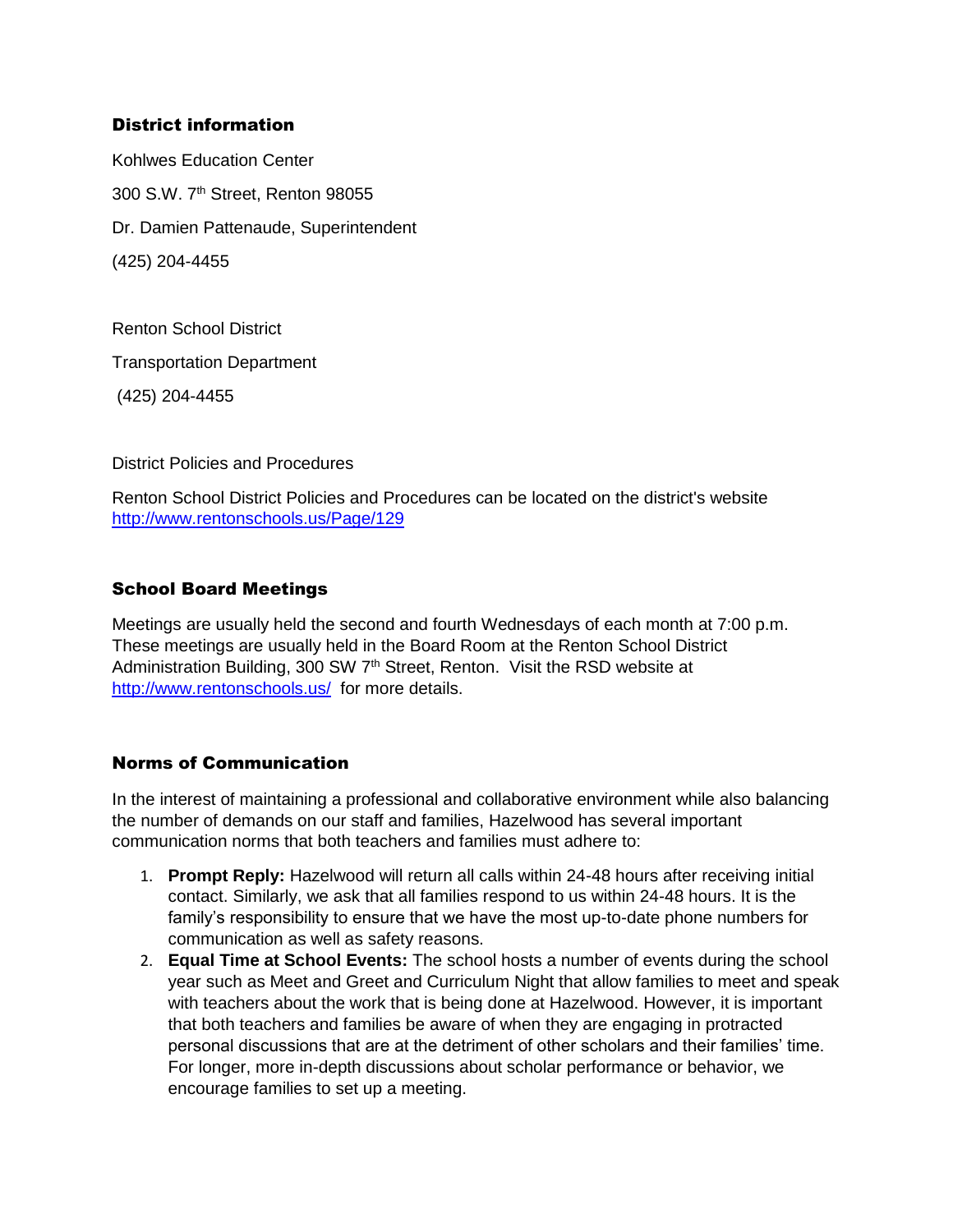#### District information

Kohlwes Education Center 300 S.W. 7th Street, Renton 98055 Dr. Damien Pattenaude, Superintendent (425) 204-4455

Renton School District Transportation Department (425) 204-4455

District Policies and Procedures

Renton School District Policies and Procedures can be located on the district's website <http://www.rentonschools.us/Page/129>

#### School Board Meetings

Meetings are usually held the second and fourth Wednesdays of each month at 7:00 p.m. These meetings are usually held in the Board Room at the Renton School District Administration Building, 300 SW 7<sup>th</sup> Street, Renton. Visit the RSD website at <http://www.rentonschools.us/>for more details.

#### Norms of Communication

In the interest of maintaining a professional and collaborative environment while also balancing the number of demands on our staff and families, Hazelwood has several important communication norms that both teachers and families must adhere to:

- 1. **Prompt Reply:** Hazelwood will return all calls within 24-48 hours after receiving initial contact. Similarly, we ask that all families respond to us within 24-48 hours. It is the family's responsibility to ensure that we have the most up-to-date phone numbers for communication as well as safety reasons.
- 2. **Equal Time at School Events:** The school hosts a number of events during the school year such as Meet and Greet and Curriculum Night that allow families to meet and speak with teachers about the work that is being done at Hazelwood. However, it is important that both teachers and families be aware of when they are engaging in protracted personal discussions that are at the detriment of other scholars and their families' time. For longer, more in-depth discussions about scholar performance or behavior, we encourage families to set up a meeting.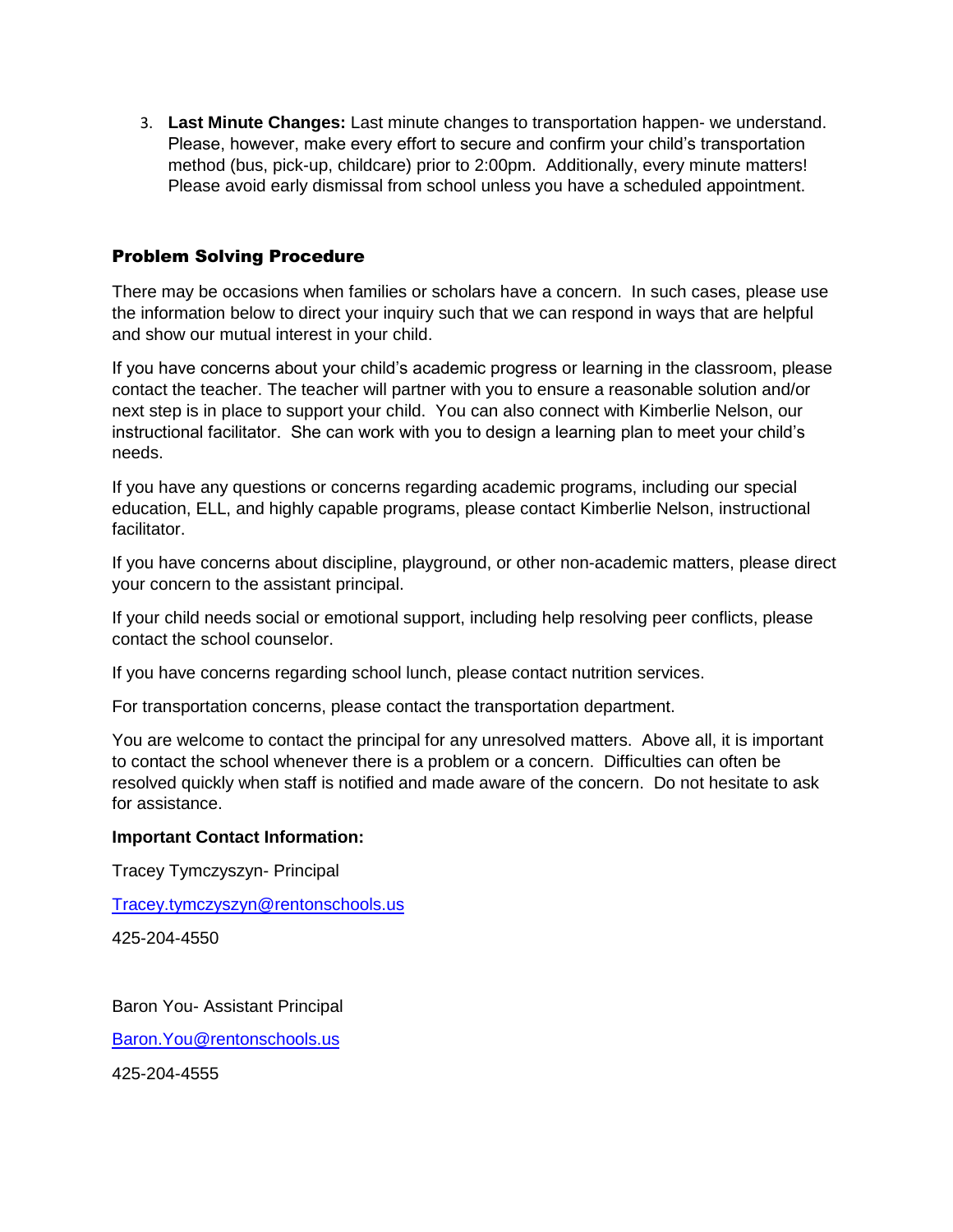3. **Last Minute Changes:** Last minute changes to transportation happen- we understand. Please, however, make every effort to secure and confirm your child's transportation method (bus, pick-up, childcare) prior to 2:00pm. Additionally, every minute matters! Please avoid early dismissal from school unless you have a scheduled appointment.

#### Problem Solving Procedure

There may be occasions when families or scholars have a concern. In such cases, please use the information below to direct your inquiry such that we can respond in ways that are helpful and show our mutual interest in your child.

If you have concerns about your child's academic progress or learning in the classroom, please contact the teacher. The teacher will partner with you to ensure a reasonable solution and/or next step is in place to support your child. You can also connect with Kimberlie Nelson, our instructional facilitator. She can work with you to design a learning plan to meet your child's needs.

If you have any questions or concerns regarding academic programs, including our special education, ELL, and highly capable programs, please contact Kimberlie Nelson, instructional facilitator.

If you have concerns about discipline, playground, or other non-academic matters, please direct your concern to the assistant principal.

If your child needs social or emotional support, including help resolving peer conflicts, please contact the school counselor.

If you have concerns regarding school lunch, please contact nutrition services.

For transportation concerns, please contact the transportation department.

You are welcome to contact the principal for any unresolved matters. Above all, it is important to contact the school whenever there is a problem or a concern. Difficulties can often be resolved quickly when staff is notified and made aware of the concern. Do not hesitate to ask for assistance.

#### **Important Contact Information:**

Tracey Tymczyszyn- Principal

[Tracey.tymczyszyn@rentonschools.us](mailto:Tracey.tymczyszyn@rentonschools.us)

425-204-4550

Baron You- Assistant Principal

[Baron.You@rentonschools.us](mailto:Baron.You@rentonschools.us)

425-204-4555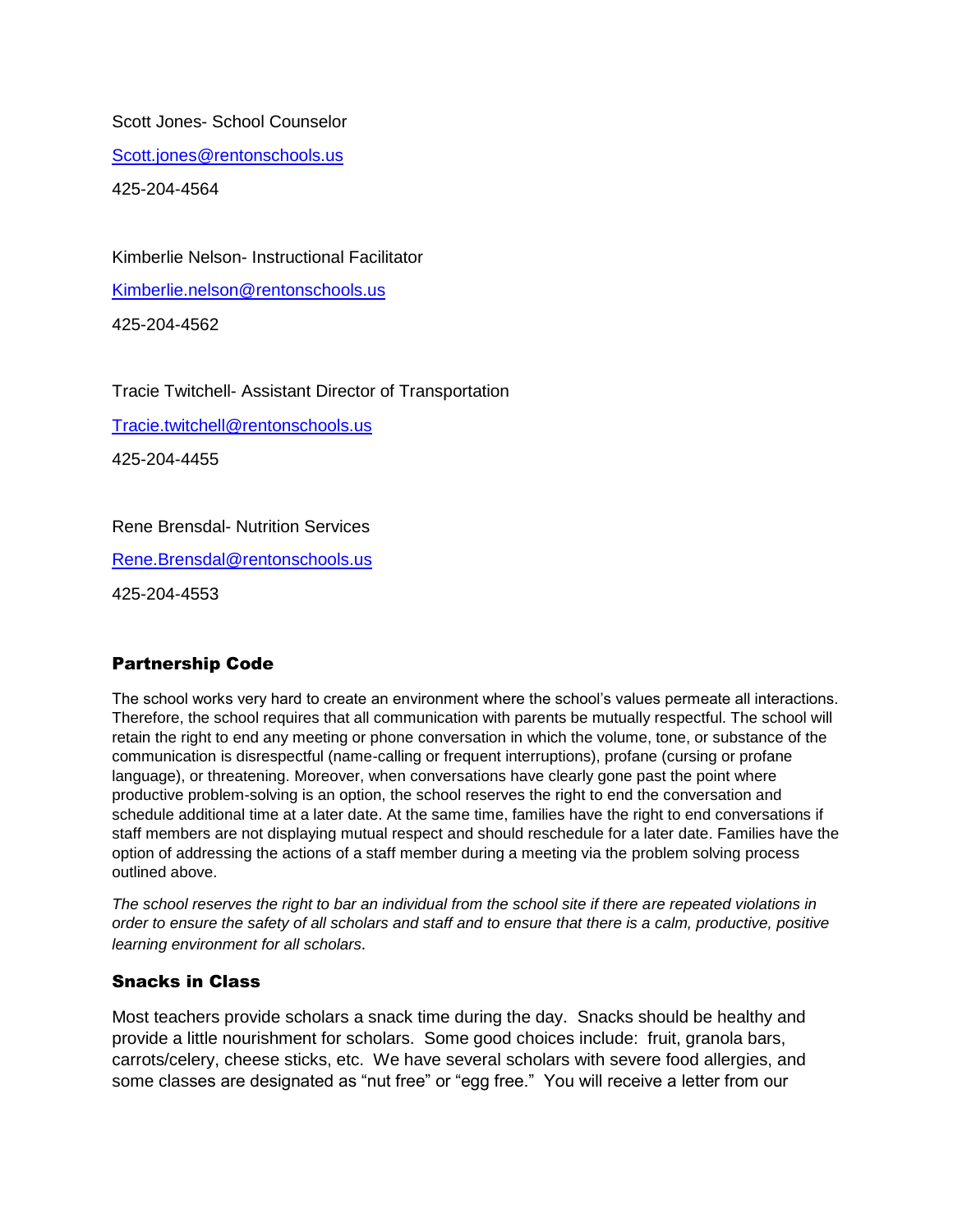Scott Jones- School Counselor

[Scott.jones@rentonschools.us](mailto:Scott.jones@rentonschools.us)

425-204-4564

Kimberlie Nelson- Instructional Facilitator

[Kimberlie.nelson@rentonschools.us](mailto:Kimberlie.nelson@rentonschools.us)

425-204-4562

Tracie Twitchell- Assistant Director of Transportation

[Tracie.twitchell@rentonschools.us](mailto:Tracie.twitchell@rentonschools.us)

425-204-4455

Rene Brensdal- Nutrition Services

[Rene.Brensdal@rentonschools.us](mailto:Rene.Brensdal@rentonschools.us)

425-204-4553

#### Partnership Code

The school works very hard to create an environment where the school's values permeate all interactions. Therefore, the school requires that all communication with parents be mutually respectful. The school will retain the right to end any meeting or phone conversation in which the volume, tone, or substance of the communication is disrespectful (name-calling or frequent interruptions), profane (cursing or profane language), or threatening. Moreover, when conversations have clearly gone past the point where productive problem-solving is an option, the school reserves the right to end the conversation and schedule additional time at a later date. At the same time, families have the right to end conversations if staff members are not displaying mutual respect and should reschedule for a later date. Families have the option of addressing the actions of a staff member during a meeting via the problem solving process outlined above.

*The school reserves the right to bar an individual from the school site if there are repeated violations in order to ensure the safety of all scholars and staff and to ensure that there is a calm, productive, positive learning environment for all scholars.*

#### Snacks in Class

Most teachers provide scholars a snack time during the day. Snacks should be healthy and provide a little nourishment for scholars. Some good choices include: fruit, granola bars, carrots/celery, cheese sticks, etc. We have several scholars with severe food allergies, and some classes are designated as "nut free" or "egg free." You will receive a letter from our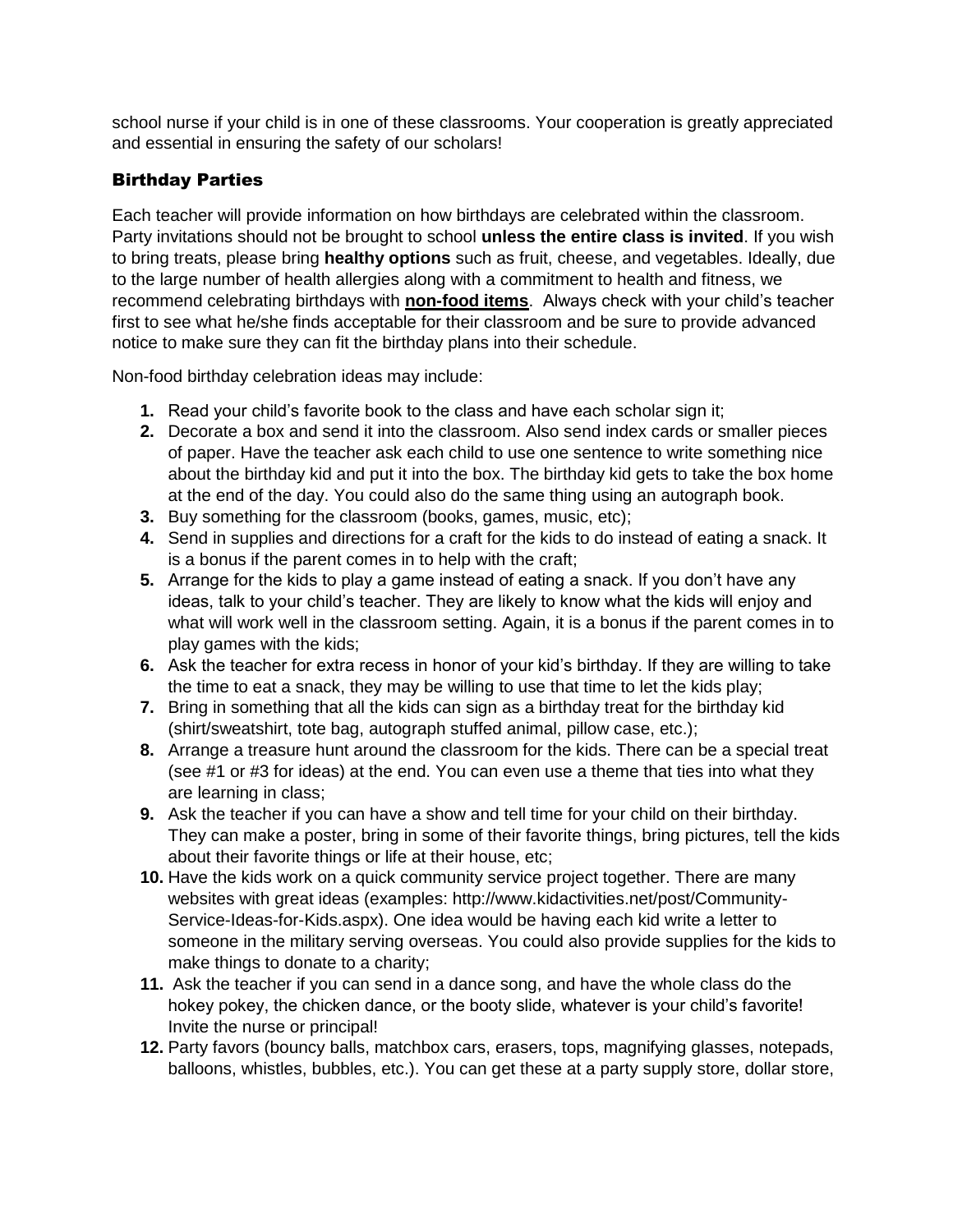school nurse if your child is in one of these classrooms. Your cooperation is greatly appreciated and essential in ensuring the safety of our scholars!

#### Birthday Parties

Each teacher will provide information on how birthdays are celebrated within the classroom. Party invitations should not be brought to school **unless the entire class is invited**. If you wish to bring treats, please bring **healthy options** such as fruit, cheese, and vegetables. Ideally, due to the large number of health allergies along with a commitment to health and fitness, we recommend celebrating birthdays with **non-food items**. Always check with your child's teacher first to see what he/she finds acceptable for their classroom and be sure to provide advanced notice to make sure they can fit the birthday plans into their schedule.

Non-food birthday celebration ideas may include:

- **1.** Read your child's favorite book to the class and have each scholar sign it;
- **2.** Decorate a box and send it into the classroom. Also send index cards or smaller pieces of paper. Have the teacher ask each child to use one sentence to write something nice about the birthday kid and put it into the box. The birthday kid gets to take the box home at the end of the day. You could also do the same thing using an autograph book.
- **3.** Buy something for the classroom (books, games, music, etc);
- **4.** Send in supplies and directions for a craft for the kids to do instead of eating a snack. It is a bonus if the parent comes in to help with the craft;
- **5.** Arrange for the kids to play a game instead of eating a snack. If you don't have any ideas, talk to your child's teacher. They are likely to know what the kids will enjoy and what will work well in the classroom setting. Again, it is a bonus if the parent comes in to play games with the kids;
- **6.** Ask the teacher for extra recess in honor of your kid's birthday. If they are willing to take the time to eat a snack, they may be willing to use that time to let the kids play;
- **7.** Bring in something that all the kids can sign as a birthday treat for the birthday kid (shirt/sweatshirt, tote bag, autograph stuffed animal, pillow case, etc.);
- **8.** Arrange a treasure hunt around the classroom for the kids. There can be a special treat (see #1 or #3 for ideas) at the end. You can even use a theme that ties into what they are learning in class;
- **9.** Ask the teacher if you can have a show and tell time for your child on their birthday. They can make a poster, bring in some of their favorite things, bring pictures, tell the kids about their favorite things or life at their house, etc;
- **10.** Have the kids work on a quick community service project together. There are many websites with great ideas (examples: http://www.kidactivities.net/post/Community-Service-Ideas-for-Kids.aspx). One idea would be having each kid write a letter to someone in the military serving overseas. You could also provide supplies for the kids to make things to donate to a charity;
- **11.** Ask the teacher if you can send in a dance song, and have the whole class do the hokey pokey, the chicken dance, or the booty slide, whatever is your child's favorite! Invite the nurse or principal!
- **12.** Party favors (bouncy balls, matchbox cars, erasers, tops, magnifying glasses, notepads, balloons, whistles, bubbles, etc.). You can get these at a party supply store, dollar store,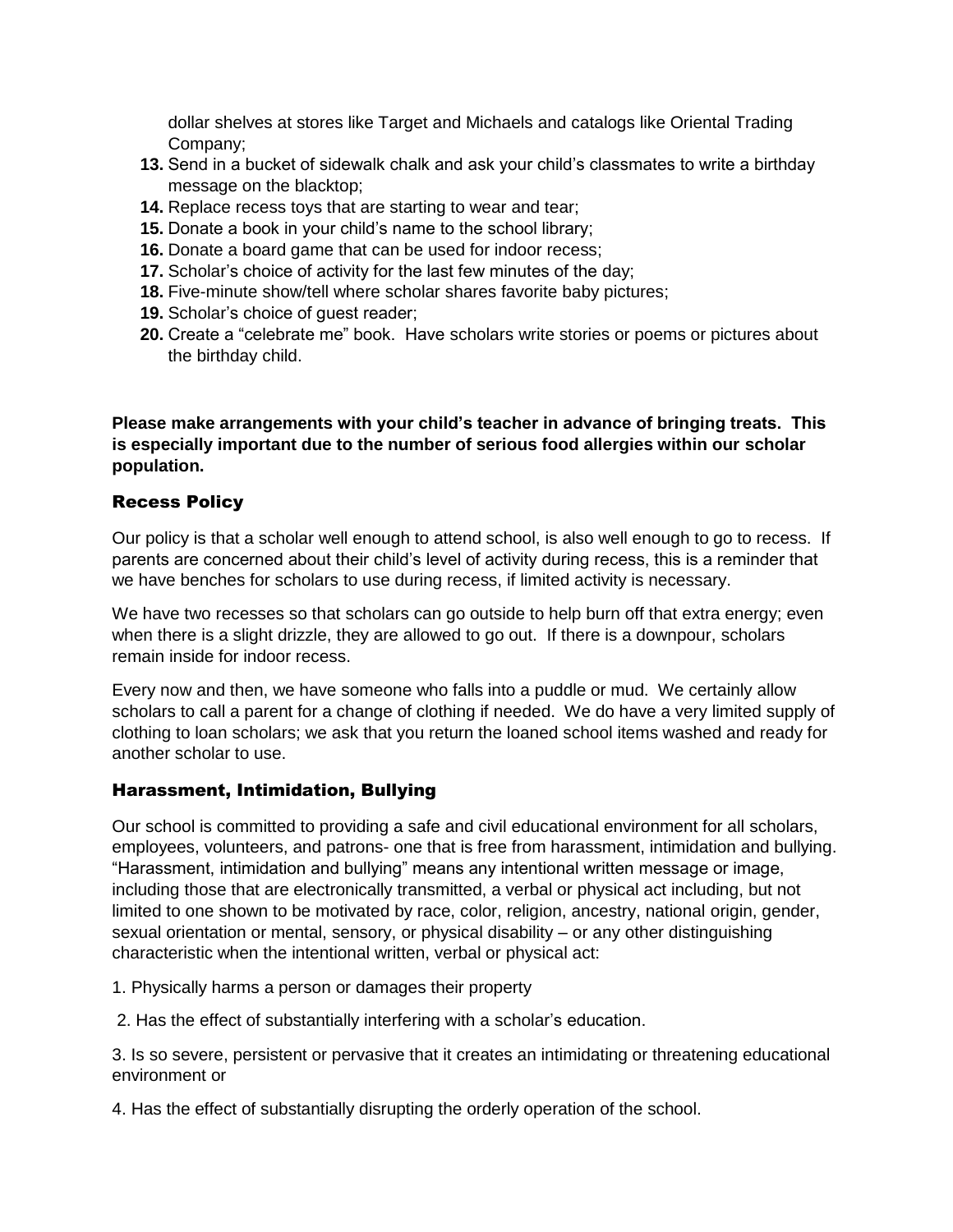dollar shelves at stores like Target and Michaels and catalogs like Oriental Trading Company;

- **13.** Send in a bucket of sidewalk chalk and ask your child's classmates to write a birthday message on the blacktop;
- **14.** Replace recess toys that are starting to wear and tear;
- **15.** Donate a book in your child's name to the school library;
- **16.** Donate a board game that can be used for indoor recess;
- **17.** Scholar's choice of activity for the last few minutes of the day;
- **18.** Five-minute show/tell where scholar shares favorite baby pictures;
- **19.** Scholar's choice of guest reader;
- **20.** Create a "celebrate me" book. Have scholars write stories or poems or pictures about the birthday child.

**Please make arrangements with your child's teacher in advance of bringing treats. This is especially important due to the number of serious food allergies within our scholar population.** 

#### Recess Policy

Our policy is that a scholar well enough to attend school, is also well enough to go to recess. If parents are concerned about their child's level of activity during recess, this is a reminder that we have benches for scholars to use during recess, if limited activity is necessary.

We have two recesses so that scholars can go outside to help burn off that extra energy; even when there is a slight drizzle, they are allowed to go out. If there is a downpour, scholars remain inside for indoor recess.

Every now and then, we have someone who falls into a puddle or mud. We certainly allow scholars to call a parent for a change of clothing if needed. We do have a very limited supply of clothing to loan scholars; we ask that you return the loaned school items washed and ready for another scholar to use.

#### Harassment, Intimidation, Bullying

Our school is committed to providing a safe and civil educational environment for all scholars, employees, volunteers, and patrons- one that is free from harassment, intimidation and bullying. "Harassment, intimidation and bullying" means any intentional written message or image, including those that are electronically transmitted, a verbal or physical act including, but not limited to one shown to be motivated by race, color, religion, ancestry, national origin, gender, sexual orientation or mental, sensory, or physical disability – or any other distinguishing characteristic when the intentional written, verbal or physical act:

- 1. Physically harms a person or damages their property
- 2. Has the effect of substantially interfering with a scholar's education.

3. Is so severe, persistent or pervasive that it creates an intimidating or threatening educational environment or

4. Has the effect of substantially disrupting the orderly operation of the school.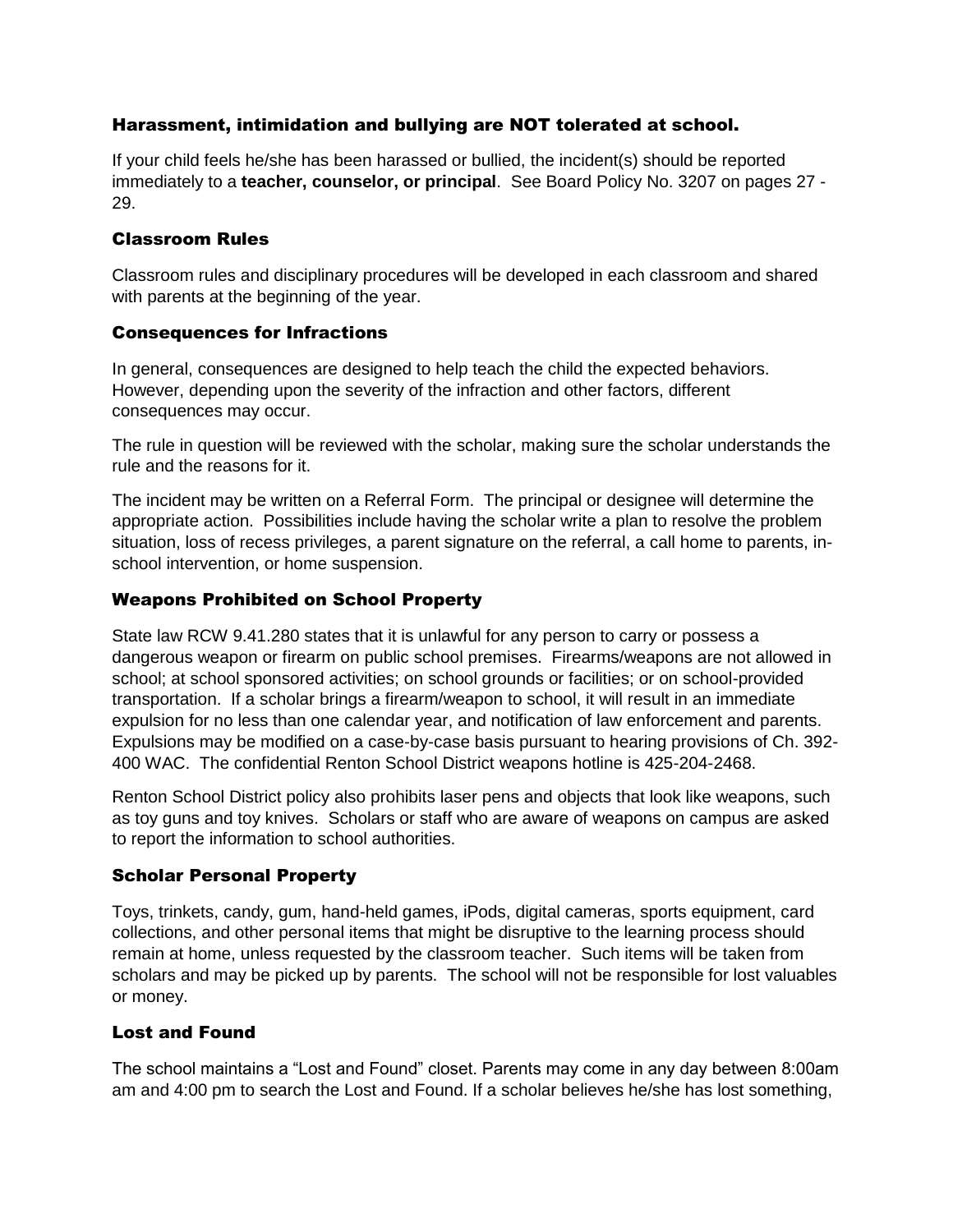#### Harassment, intimidation and bullying are NOT tolerated at school.

If your child feels he/she has been harassed or bullied, the incident(s) should be reported immediately to a **teacher, counselor, or principal**. See Board Policy No. 3207 on pages 27 - 29.

#### Classroom Rules

Classroom rules and disciplinary procedures will be developed in each classroom and shared with parents at the beginning of the year.

#### Consequences for Infractions

In general, consequences are designed to help teach the child the expected behaviors. However, depending upon the severity of the infraction and other factors, different consequences may occur.

The rule in question will be reviewed with the scholar, making sure the scholar understands the rule and the reasons for it.

The incident may be written on a Referral Form. The principal or designee will determine the appropriate action. Possibilities include having the scholar write a plan to resolve the problem situation, loss of recess privileges, a parent signature on the referral, a call home to parents, inschool intervention, or home suspension.

#### Weapons Prohibited on School Property

State law RCW 9.41.280 states that it is unlawful for any person to carry or possess a dangerous weapon or firearm on public school premises. Firearms/weapons are not allowed in school; at school sponsored activities; on school grounds or facilities; or on school-provided transportation. If a scholar brings a firearm/weapon to school, it will result in an immediate expulsion for no less than one calendar year, and notification of law enforcement and parents. Expulsions may be modified on a case-by-case basis pursuant to hearing provisions of Ch. 392- 400 WAC. The confidential Renton School District weapons hotline is 425-204-2468.

Renton School District policy also prohibits laser pens and objects that look like weapons, such as toy guns and toy knives. Scholars or staff who are aware of weapons on campus are asked to report the information to school authorities.

#### Scholar Personal Property

Toys, trinkets, candy, gum, hand-held games, iPods, digital cameras, sports equipment, card collections, and other personal items that might be disruptive to the learning process should remain at home, unless requested by the classroom teacher. Such items will be taken from scholars and may be picked up by parents. The school will not be responsible for lost valuables or money.

#### Lost and Found

The school maintains a "Lost and Found" closet. Parents may come in any day between 8:00am am and 4:00 pm to search the Lost and Found. If a scholar believes he/she has lost something,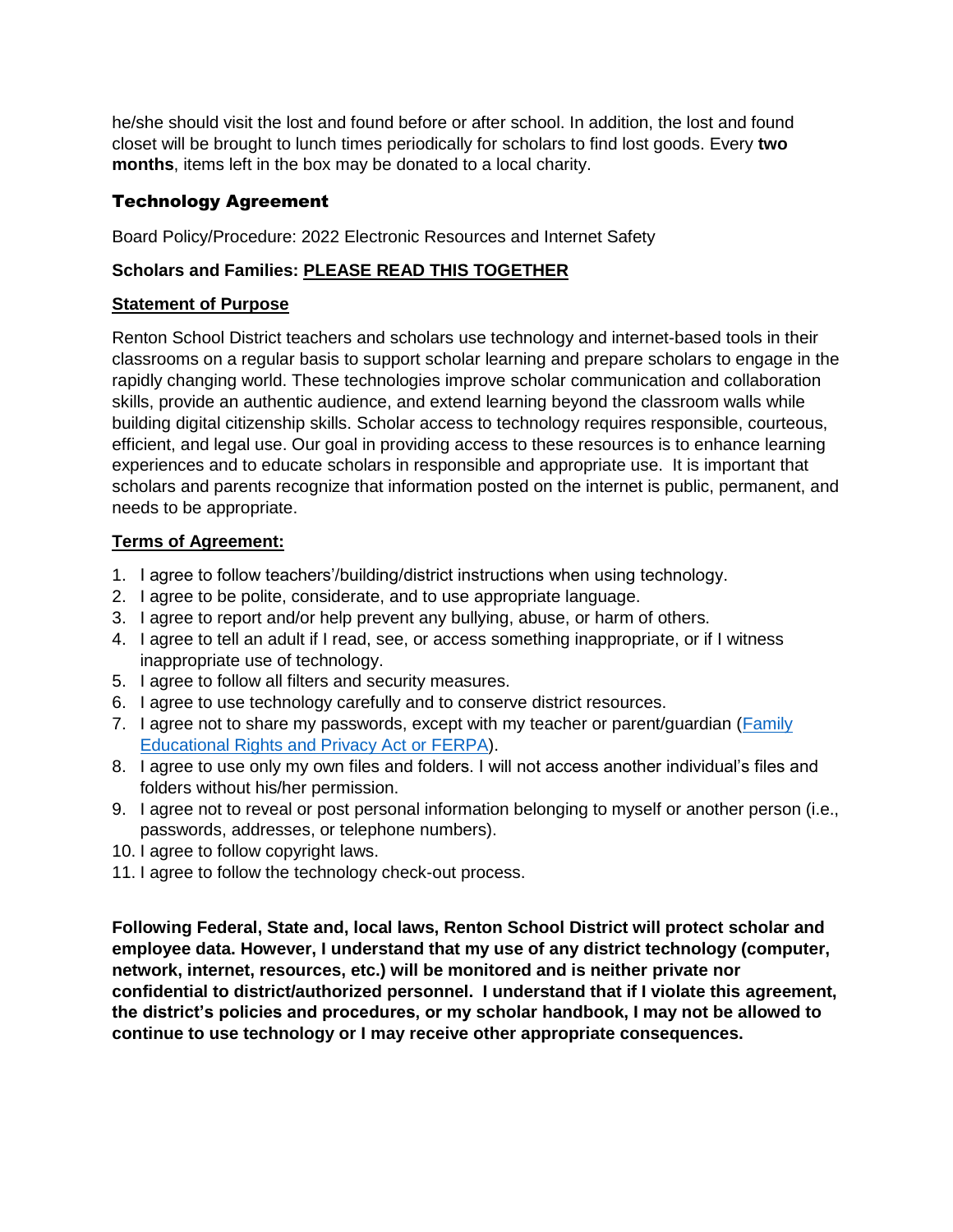he/she should visit the lost and found before or after school. In addition, the lost and found closet will be brought to lunch times periodically for scholars to find lost goods. Every **two months**, items left in the box may be donated to a local charity.

#### Technology Agreement

Board Policy/Procedure: 2022 Electronic Resources and Internet Safety

#### **Scholars and Families: PLEASE READ THIS TOGETHER**

#### **Statement of Purpose**

Renton School District teachers and scholars use technology and internet-based tools in their classrooms on a regular basis to support scholar learning and prepare scholars to engage in the rapidly changing world. These technologies improve scholar communication and collaboration skills, provide an authentic audience, and extend learning beyond the classroom walls while building digital citizenship skills. Scholar access to technology requires responsible, courteous, efficient, and legal use. Our goal in providing access to these resources is to enhance learning experiences and to educate scholars in responsible and appropriate use. It is important that scholars and parents recognize that information posted on the internet is public, permanent, and needs to be appropriate.

#### **Terms of Agreement:**

- 1. I agree to follow teachers'/building/district instructions when using technology.
- 2. I agree to be polite, considerate, and to use appropriate language.
- 3. I agree to report and/or help prevent any bullying, abuse, or harm of others.
- 4. I agree to tell an adult if I read, see, or access something inappropriate, or if I witness inappropriate use of technology.
- 5. I agree to follow all filters and security measures.
- 6. I agree to use technology carefully and to conserve district resources.
- 7. I agree not to share my passwords, except with my teacher or parent/guardian [\(Family](http://www2.ed.gov/policy/gen/guid/fpco/ferpa/index.html)  [Educational Rights and Privacy Act](http://www2.ed.gov/policy/gen/guid/fpco/ferpa/index.html) or FERPA).
- 8. I agree to use only my own files and folders. I will not access another individual's files and folders without his/her permission.
- 9. I agree not to reveal or post personal information belonging to myself or another person (i.e., passwords, addresses, or telephone numbers).
- 10. I agree to follow copyright laws.
- 11. I agree to follow the technology check-out process.

**Following Federal, State and, local laws, Renton School District will protect scholar and employee data. However, I understand that my use of any district technology (computer, network, internet, resources, etc.) will be monitored and is neither private nor confidential to district/authorized personnel. I understand that if I violate this agreement, the district's policies and procedures, or my scholar handbook, I may not be allowed to continue to use technology or I may receive other appropriate consequences.**